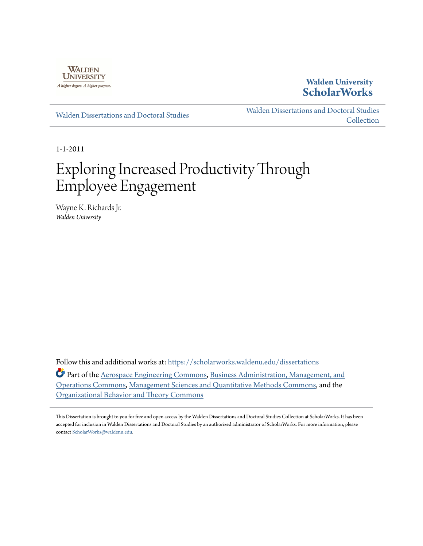

## **Walden University [ScholarWorks](https://scholarworks.waldenu.edu?utm_source=scholarworks.waldenu.edu%2Fdissertations%2F1096&utm_medium=PDF&utm_campaign=PDFCoverPages)**

[Walden Dissertations and Doctoral Studies](https://scholarworks.waldenu.edu/dissertations?utm_source=scholarworks.waldenu.edu%2Fdissertations%2F1096&utm_medium=PDF&utm_campaign=PDFCoverPages)

[Walden Dissertations and Doctoral Studies](https://scholarworks.waldenu.edu/dissanddoc?utm_source=scholarworks.waldenu.edu%2Fdissertations%2F1096&utm_medium=PDF&utm_campaign=PDFCoverPages) **[Collection](https://scholarworks.waldenu.edu/dissanddoc?utm_source=scholarworks.waldenu.edu%2Fdissertations%2F1096&utm_medium=PDF&utm_campaign=PDFCoverPages)** 

1-1-2011

# Exploring Increased Productivity Through Employee Engagement

Wayne K. Richards Jr. *Walden University*

Follow this and additional works at: [https://scholarworks.waldenu.edu/dissertations](https://scholarworks.waldenu.edu/dissertations?utm_source=scholarworks.waldenu.edu%2Fdissertations%2F1096&utm_medium=PDF&utm_campaign=PDFCoverPages)

Part of the [Aerospace Engineering Commons](http://network.bepress.com/hgg/discipline/218?utm_source=scholarworks.waldenu.edu%2Fdissertations%2F1096&utm_medium=PDF&utm_campaign=PDFCoverPages), [Business Administration, Management, and](http://network.bepress.com/hgg/discipline/623?utm_source=scholarworks.waldenu.edu%2Fdissertations%2F1096&utm_medium=PDF&utm_campaign=PDFCoverPages) [Operations Commons,](http://network.bepress.com/hgg/discipline/623?utm_source=scholarworks.waldenu.edu%2Fdissertations%2F1096&utm_medium=PDF&utm_campaign=PDFCoverPages) [Management Sciences and Quantitative Methods Commons](http://network.bepress.com/hgg/discipline/637?utm_source=scholarworks.waldenu.edu%2Fdissertations%2F1096&utm_medium=PDF&utm_campaign=PDFCoverPages), and the [Organizational Behavior and Theory Commons](http://network.bepress.com/hgg/discipline/639?utm_source=scholarworks.waldenu.edu%2Fdissertations%2F1096&utm_medium=PDF&utm_campaign=PDFCoverPages)

This Dissertation is brought to you for free and open access by the Walden Dissertations and Doctoral Studies Collection at ScholarWorks. It has been accepted for inclusion in Walden Dissertations and Doctoral Studies by an authorized administrator of ScholarWorks. For more information, please contact [ScholarWorks@waldenu.edu](mailto:ScholarWorks@waldenu.edu).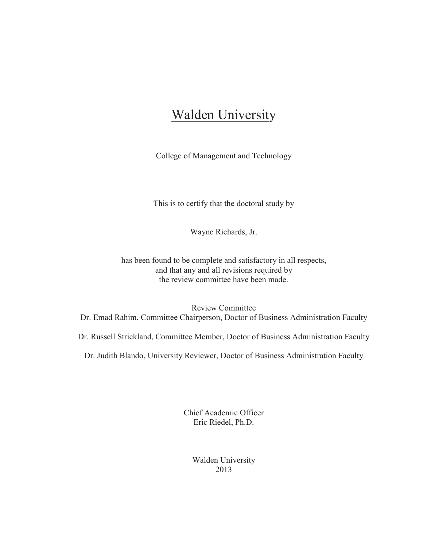## **Walden University**

College of Management and Technology

This is to certify that the doctoral study by

Wayne Richards, Jr.

has been found to be complete and satisfactory in all respects, and that any and all revisions required by the review committee have been made.

Review Committee Dr. Emad Rahim, Committee Chairperson, Doctor of Business Administration Faculty

Dr. Russell Strickland, Committee Member, Doctor of Business Administration Faculty

Dr. Judith Blando, University Reviewer, Doctor of Business Administration Faculty

Chief Academic Officer Eric Riedel, Ph.D.

> Walden University 2013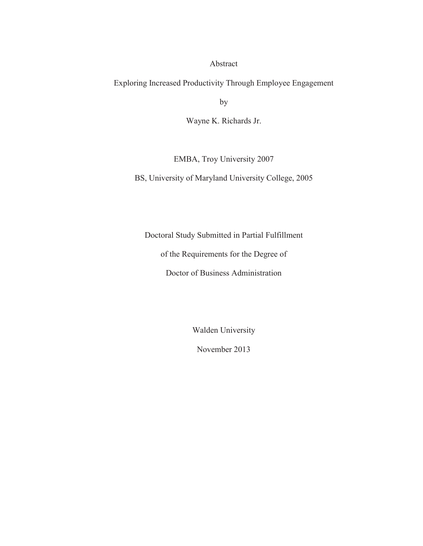#### Abstract

Exploring Increased Productivity Through Employee Engagement

by

Wayne K. Richards Jr.

EMBA, Troy University 2007

BS, University of Maryland University College, 2005

Doctoral Study Submitted in Partial Fulfillment

of the Requirements for the Degree of

Doctor of Business Administration

Walden University

November 2013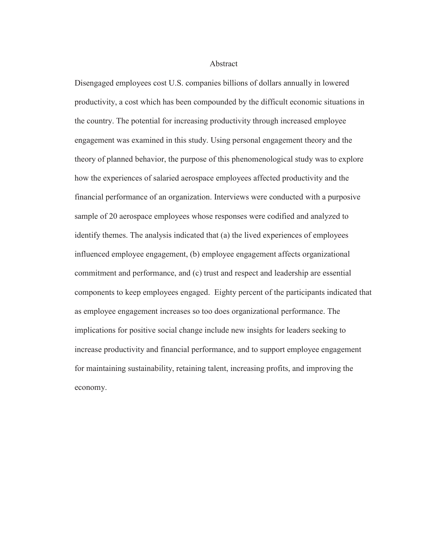Abstract

Disengaged employees cost U.S. companies billions of dollars annually in lowered productivity, a cost which has been compounded by the difficult economic situations in the country. The potential for increasing productivity through increased employee engagement was examined in this study. Using personal engagement theory and the theory of planned behavior, the purpose of this phenomenological study was to explore how the experiences of salaried aerospace employees affected productivity and the financial performance of an organization. Interviews were conducted with a purposive sample of 20 aerospace employees whose responses were codified and analyzed to identify themes. The analysis indicated that (a) the lived experiences of employees influenced employee engagement, (b) employee engagement affects organizational commitment and performance, and (c) trust and respect and leadership are essential components to keep employees engaged. Eighty percent of the participants indicated that as employee engagement increases so too does organizational performance. The implications for positive social change include new insights for leaders seeking to increase productivity and financial performance, and to support employee engagement for maintaining sustainability, retaining talent, increasing profits, and improving the economy.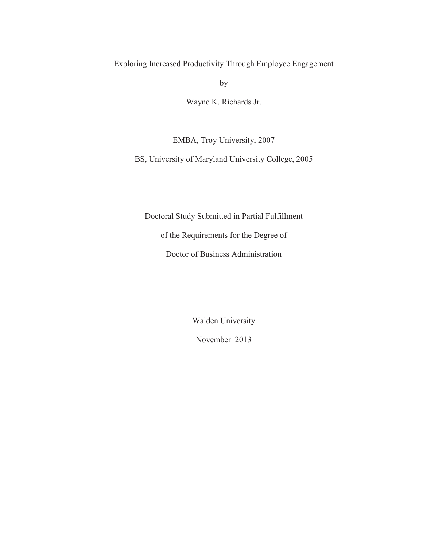Exploring Increased Productivity Through Employee Engagement

by

Wayne K. Richards Jr.

EMBA, Troy University, 2007

BS, University of Maryland University College, 2005

Doctoral Study Submitted in Partial Fulfillment

of the Requirements for the Degree of

Doctor of Business Administration

Walden University

November 2013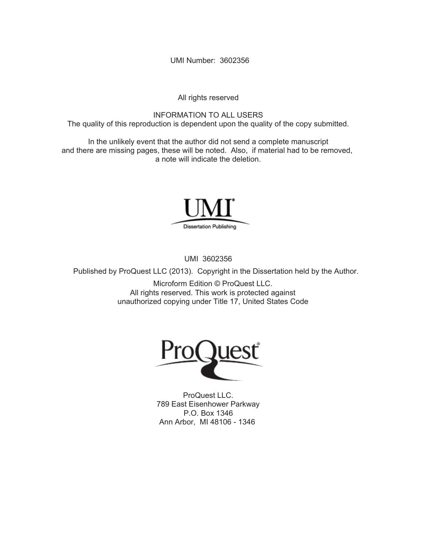UMI Number: 3602356

All rights reserved

INFORMATION TO ALL USERS The quality of this reproduction is dependent upon the quality of the copy submitted.

In the unlikely event that the author did not send a complete manuscript and there are missing pages, these will be noted. Also, if material had to be removed, a note will indicate the deletion.



UMI 3602356

Published by ProQuest LLC (2013). Copyright in the Dissertation held by the Author.

Microform Edition © ProQuest LLC. All rights reserved. This work is protected against unauthorized copying under Title 17, United States Code



ProQuest LLC. 789 East Eisenhower Parkway P.O. Box 1346 Ann Arbor, MI 48106 - 1346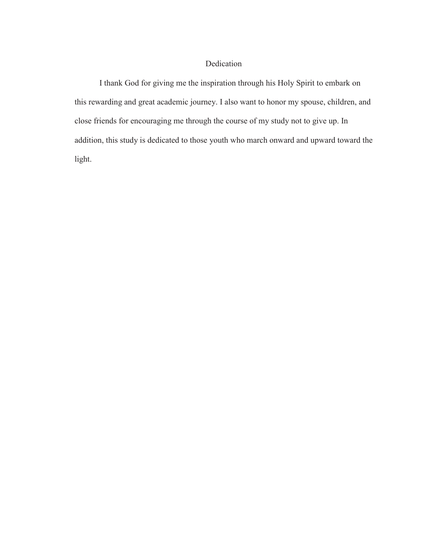### Dedication

I thank God for giving me the inspiration through his Holy Spirit to embark on this rewarding and great academic journey. I also want to honor my spouse, children, and close friends for encouraging me through the course of my study not to give up. In addition, this study is dedicated to those youth who march onward and upward toward the light.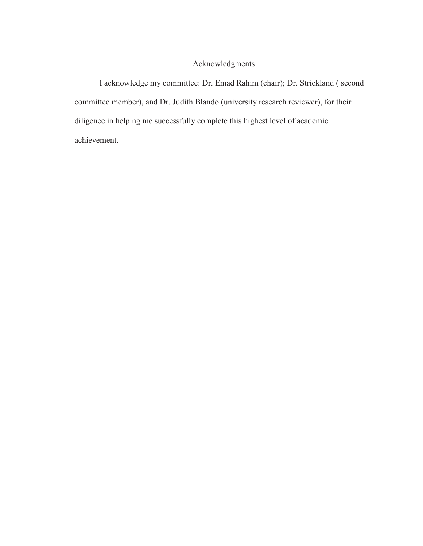## Acknowledgments

I acknowledge my committee: Dr. Emad Rahim (chair); Dr. Strickland ( second committee member), and Dr. Judith Blando (university research reviewer), for their diligence in helping me successfully complete this highest level of academic achievement.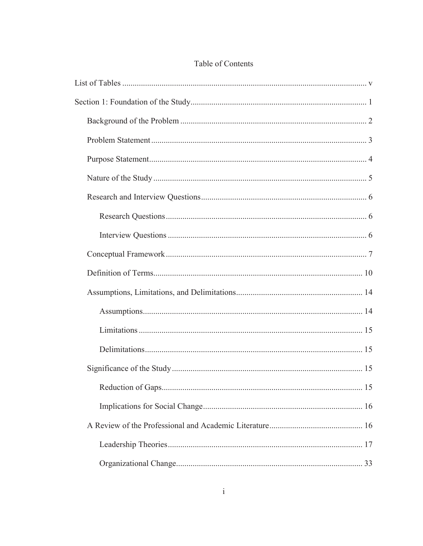## Table of Contents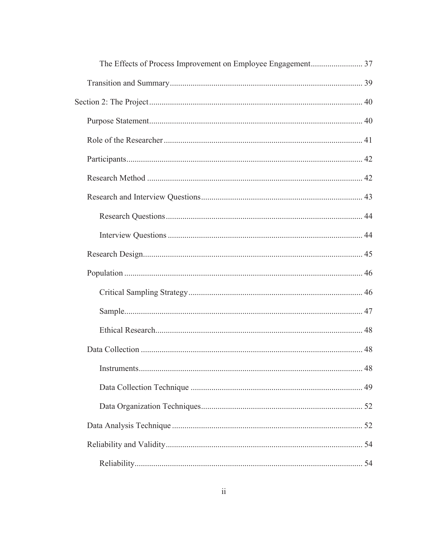| 48 |
|----|
|    |
|    |
|    |
|    |
|    |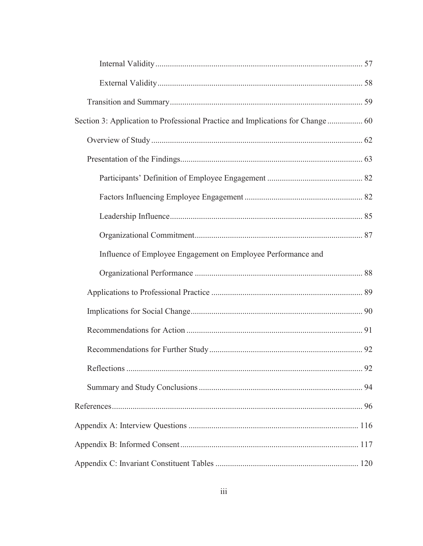| Influence of Employee Engagement on Employee Performance and |  |
|--------------------------------------------------------------|--|
|                                                              |  |
|                                                              |  |
|                                                              |  |
|                                                              |  |
|                                                              |  |
|                                                              |  |
|                                                              |  |
|                                                              |  |
|                                                              |  |
|                                                              |  |
|                                                              |  |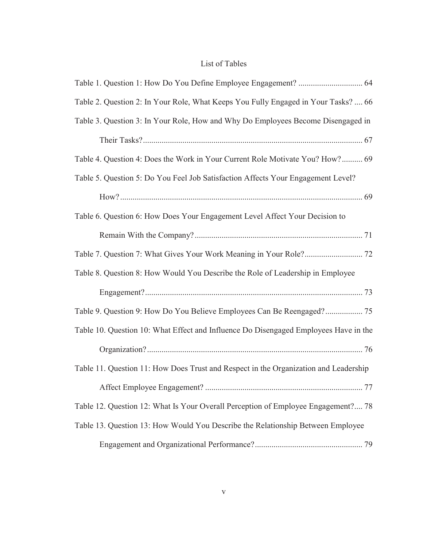## List of Tables

| Table 2. Question 2: In Your Role, What Keeps You Fully Engaged in Your Tasks?  66   |  |
|--------------------------------------------------------------------------------------|--|
| Table 3. Question 3: In Your Role, How and Why Do Employees Become Disengaged in     |  |
|                                                                                      |  |
| Table 4. Question 4: Does the Work in Your Current Role Motivate You? How? 69        |  |
| Table 5. Question 5: Do You Feel Job Satisfaction Affects Your Engagement Level?     |  |
|                                                                                      |  |
| Table 6. Question 6: How Does Your Engagement Level Affect Your Decision to          |  |
|                                                                                      |  |
|                                                                                      |  |
| Table 8. Question 8: How Would You Describe the Role of Leadership in Employee       |  |
|                                                                                      |  |
| Table 9. Question 9: How Do You Believe Employees Can Be Reengaged? 75               |  |
| Table 10. Question 10: What Effect and Influence Do Disengaged Employees Have in the |  |
|                                                                                      |  |
| Table 11. Question 11: How Does Trust and Respect in the Organization and Leadership |  |
|                                                                                      |  |
| Table 12. Question 12: What Is Your Overall Perception of Employee Engagement? 78    |  |
| Table 13. Question 13: How Would You Describe the Relationship Between Employee      |  |
|                                                                                      |  |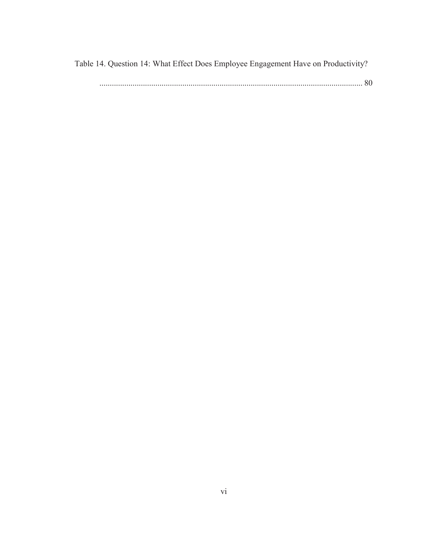Table 14. Question 14: What Effect Does Employee Engagement Have on Productivity?

|--|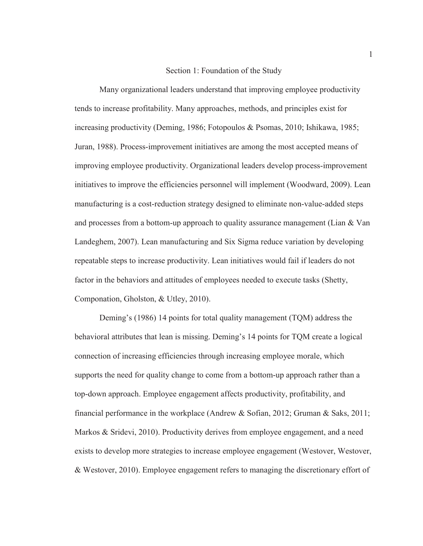#### Section 1: Foundation of the Study

Many organizational leaders understand that improving employee productivity tends to increase profitability. Many approaches, methods, and principles exist for increasing productivity (Deming, 1986; Fotopoulos & Psomas, 2010; Ishikawa, 1985; Juran, 1988). Process-improvement initiatives are among the most accepted means of improving employee productivity. Organizational leaders develop process-improvement initiatives to improve the efficiencies personnel will implement (Woodward, 2009). Lean manufacturing is a cost-reduction strategy designed to eliminate non-value-added steps and processes from a bottom-up approach to quality assurance management (Lian & Van Landeghem, 2007). Lean manufacturing and Six Sigma reduce variation by developing repeatable steps to increase productivity. Lean initiatives would fail if leaders do not factor in the behaviors and attitudes of employees needed to execute tasks (Shetty, Componation, Gholston, & Utley, 2010).

Deming's (1986) 14 points for total quality management (TQM) address the behavioral attributes that lean is missing. Deming's 14 points for TQM create a logical connection of increasing efficiencies through increasing employee morale, which supports the need for quality change to come from a bottom-up approach rather than a top-down approach. Employee engagement affects productivity, profitability, and financial performance in the workplace (Andrew & Sofian, 2012; Gruman & Saks, 2011; Markos & Sridevi, 2010). Productivity derives from employee engagement, and a need exists to develop more strategies to increase employee engagement (Westover, Westover, & Westover, 2010). Employee engagement refers to managing the discretionary effort of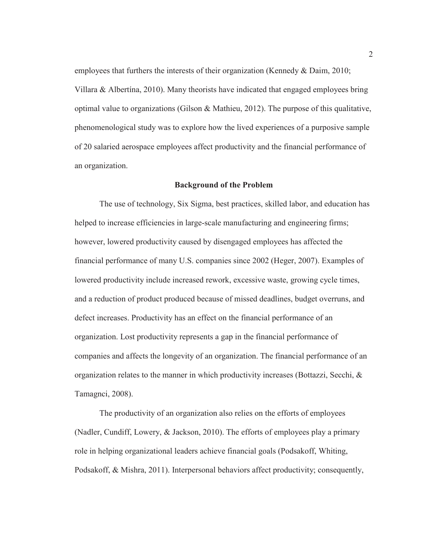employees that furthers the interests of their organization (Kennedy & Daim, 2010; Villara & Albertína, 2010). Many theorists have indicated that engaged employees bring optimal value to organizations (Gilson & Mathieu, 2012). The purpose of this qualitative, phenomenological study was to explore how the lived experiences of a purposive sample of 20 salaried aerospace employees affect productivity and the financial performance of an organization.

#### **Background of the Problem**

The use of technology, Six Sigma, best practices, skilled labor, and education has helped to increase efficiencies in large-scale manufacturing and engineering firms; however, lowered productivity caused by disengaged employees has affected the financial performance of many U.S. companies since 2002 (Heger, 2007). Examples of lowered productivity include increased rework, excessive waste, growing cycle times, and a reduction of product produced because of missed deadlines, budget overruns, and defect increases. Productivity has an effect on the financial performance of an organization. Lost productivity represents a gap in the financial performance of companies and affects the longevity of an organization. The financial performance of an organization relates to the manner in which productivity increases (Bottazzi, Secchi, & Tamagnci, 2008).

The productivity of an organization also relies on the efforts of employees (Nadler, Cundiff, Lowery, & Jackson, 2010). The efforts of employees play a primary role in helping organizational leaders achieve financial goals (Podsakoff, Whiting, Podsakoff, & Mishra, 2011). Interpersonal behaviors affect productivity; consequently,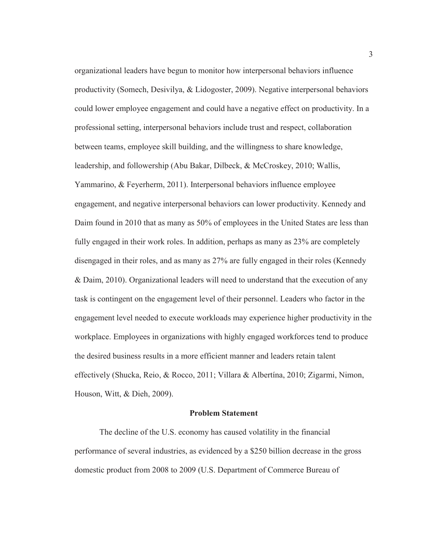organizational leaders have begun to monitor how interpersonal behaviors influence productivity (Somech, Desivilya, & Lidogoster, 2009). Negative interpersonal behaviors could lower employee engagement and could have a negative effect on productivity. In a professional setting, interpersonal behaviors include trust and respect, collaboration between teams, employee skill building, and the willingness to share knowledge, leadership, and followership (Abu Bakar, Dilbeck, & McCroskey, 2010; Wallis, Yammarino, & Feyerherm, 2011). Interpersonal behaviors influence employee engagement, and negative interpersonal behaviors can lower productivity. Kennedy and Daim found in 2010 that as many as 50% of employees in the United States are less than fully engaged in their work roles. In addition, perhaps as many as 23% are completely disengaged in their roles, and as many as 27% are fully engaged in their roles (Kennedy & Daim, 2010). Organizational leaders will need to understand that the execution of any task is contingent on the engagement level of their personnel. Leaders who factor in the engagement level needed to execute workloads may experience higher productivity in the workplace. Employees in organizations with highly engaged workforces tend to produce the desired business results in a more efficient manner and leaders retain talent effectively (Shucka, Reio, & Rocco, 2011; Villara & Albertína, 2010; Zigarmi, Nimon, Houson, Witt, & Dieh, 2009).

#### **Problem Statement**

The decline of the U.S. economy has caused volatility in the financial performance of several industries, as evidenced by a \$250 billion decrease in the gross domestic product from 2008 to 2009 (U.S. Department of Commerce Bureau of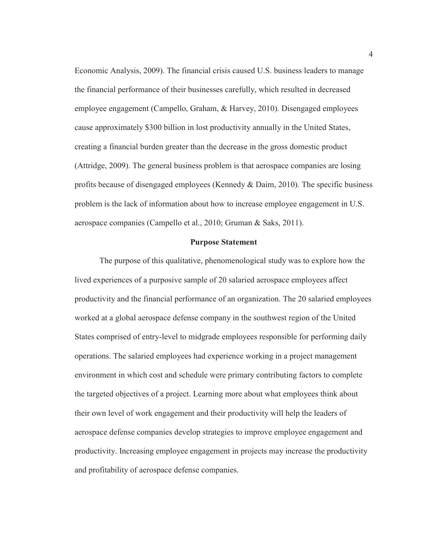Economic Analysis, 2009). The financial crisis caused U.S. business leaders to manage the financial performance of their businesses carefully, which resulted in decreased employee engagement (Campello, Graham, & Harvey, 2010). Disengaged employees cause approximately \$300 billion in lost productivity annually in the United States, creating a financial burden greater than the decrease in the gross domestic product (Attridge, 2009). The general business problem is that aerospace companies are losing profits because of disengaged employees (Kennedy  $\&$  Daim, 2010). The specific business problem is the lack of information about how to increase employee engagement in U.S. aerospace companies (Campello et al., 2010; Gruman & Saks, 2011).

#### **Purpose Statement**

The purpose of this qualitative, phenomenological study was to explore how the lived experiences of a purposive sample of 20 salaried aerospace employees affect productivity and the financial performance of an organization. The 20 salaried employees worked at a global aerospace defense company in the southwest region of the United States comprised of entry-level to midgrade employees responsible for performing daily operations. The salaried employees had experience working in a project management environment in which cost and schedule were primary contributing factors to complete the targeted objectives of a project. Learning more about what employees think about their own level of work engagement and their productivity will help the leaders of aerospace defense companies develop strategies to improve employee engagement and productivity. Increasing employee engagement in projects may increase the productivity and profitability of aerospace defense companies.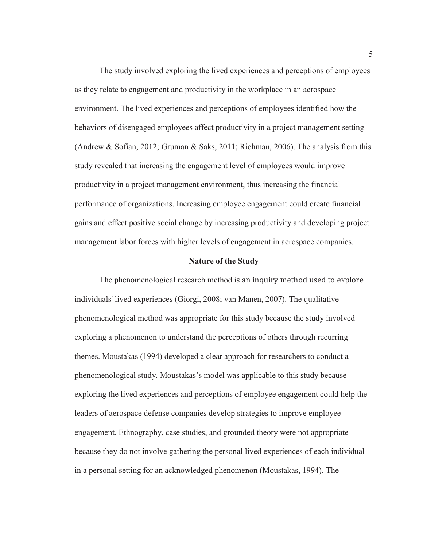The study involved exploring the lived experiences and perceptions of employees as they relate to engagement and productivity in the workplace in an aerospace environment. The lived experiences and perceptions of employees identified how the behaviors of disengaged employees affect productivity in a project management setting (Andrew & Sofian, 2012; Gruman & Saks, 2011; Richman, 2006). The analysis from this study revealed that increasing the engagement level of employees would improve productivity in a project management environment, thus increasing the financial performance of organizations. Increasing employee engagement could create financial gains and effect positive social change by increasing productivity and developing project management labor forces with higher levels of engagement in aerospace companies.

#### **Nature of the Study**

The phenomenological research method is an inquiry method used to explore individuals' lived experiences (Giorgi, 2008; van Manen, 2007). The qualitative phenomenological method was appropriate for this study because the study involved exploring a phenomenon to understand the perceptions of others through recurring themes. Moustakas (1994) developed a clear approach for researchers to conduct a phenomenological study. Moustakas's model was applicable to this study because exploring the lived experiences and perceptions of employee engagement could help the leaders of aerospace defense companies develop strategies to improve employee engagement. Ethnography, case studies, and grounded theory were not appropriate because they do not involve gathering the personal lived experiences of each individual in a personal setting for an acknowledged phenomenon (Moustakas, 1994). The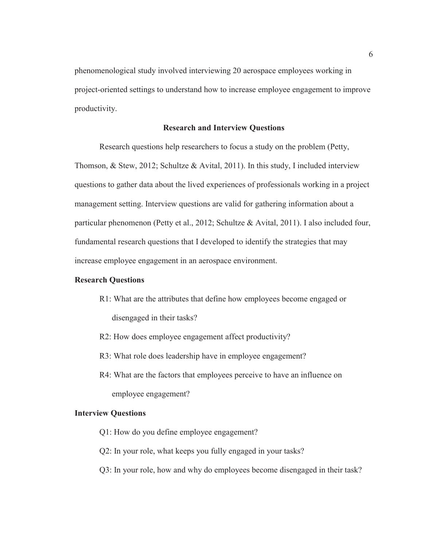phenomenological study involved interviewing 20 aerospace employees working in project-oriented settings to understand how to increase employee engagement to improve productivity.

#### **Research and Interview Questions**

Research questions help researchers to focus a study on the problem (Petty, Thomson, & Stew, 2012; Schultze & Avital, 2011). In this study, I included interview questions to gather data about the lived experiences of professionals working in a project management setting. Interview questions are valid for gathering information about a particular phenomenon (Petty et al., 2012; Schultze & Avital, 2011). I also included four, fundamental research questions that I developed to identify the strategies that may increase employee engagement in an aerospace environment.

#### **Research Questions**

- R1: What are the attributes that define how employees become engaged or disengaged in their tasks?
- R2: How does employee engagement affect productivity?
- R3: What role does leadership have in employee engagement?
- R4: What are the factors that employees perceive to have an influence on employee engagement?

#### **Interview Questions**

- Q1: How do you define employee engagement?
- Q2: In your role, what keeps you fully engaged in your tasks?
- Q3: In your role, how and why do employees become disengaged in their task?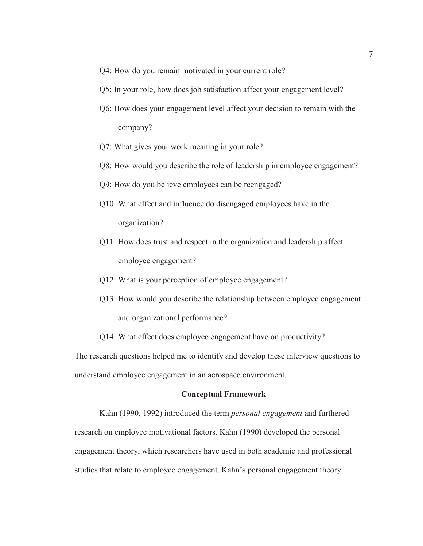- Q4: How do you remain motivated in your current role?
- Q5: In your role, how does job satisfaction affect your engagement level?
- Q6: How does your engagement level affect your decision to remain with the company?
- Q7: What gives your work meaning in your role?
- Q8: How would you describe the role of leadership in employee engagement?
- Q9: How do you believe employees can be reengaged?
- Q10: What effect and influence do disengaged employees have in the organization?
- Q11: How does trust and respect in the organization and leadership affect employee engagement?
- Q12: What is your perception of employee engagement?
- Q13: How would you describe the relationship between employee engagement and organizational performance?
- Q14: What effect does employee engagement have on productivity?

The research questions helped me to identify and develop these interview questions to understand employee engagement in an aerospace environment.

#### **Conceptual Framework**

Kahn (1990, 1992) introduced the term *personal engagement* and furthered research on employee motivational factors. Kahn (1990) developed the personal engagement theory, which researchers have used in both academic and professional studies that relate to employee engagement. Kahn's personal engagement theory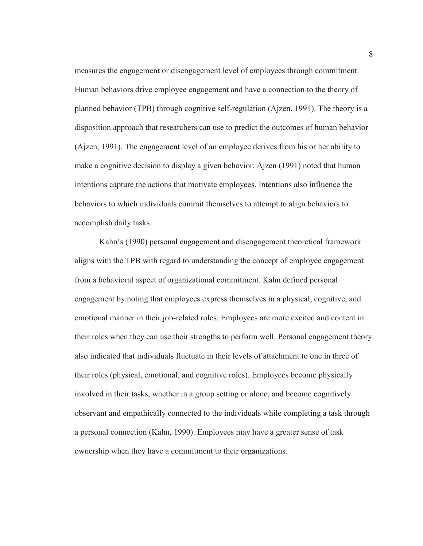measures the engagement or disengagement level of employees through commitment. Human behaviors drive employee engagement and have a connection to the theory of planned behavior (TPB) through cognitive self-regulation (Ajzen, 1991). The theory is a disposition approach that researchers can use to predict the outcomes of human behavior (Ajzen, 1991). The engagement level of an employee derives from his or her ability to make a cognitive decision to display a given behavior. Ajzen (1991) noted that human intentions capture the actions that motivate employees. Intentions also influence the behaviors to which individuals commit themselves to attempt to align behaviors to accomplish daily tasks.

Kahn's (1990) personal engagement and disengagement theoretical framework aligns with the TPB with regard to understanding the concept of employee engagement from a behavioral aspect of organizational commitment. Kahn defined personal engagement by noting that employees express themselves in a physical, cognitive, and emotional manner in their job-related roles. Employees are more excited and content in their roles when they can use their strengths to perform well. Personal engagement theory also indicated that individuals fluctuate in their levels of attachment to one in three of their roles (physical, emotional, and cognitive roles). Employees become physically involved in their tasks, whether in a group setting or alone, and become cognitively observant and empathically connected to the individuals while completing a task through a personal connection (Kahn, 1990). Employees may have a greater sense of task ownership when they have a commitment to their organizations.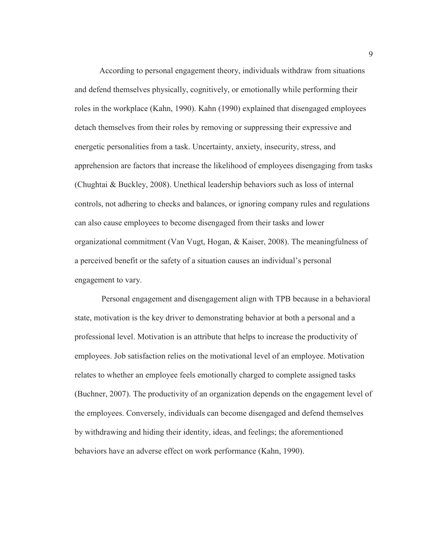According to personal engagement theory, individuals withdraw from situations and defend themselves physically, cognitively, or emotionally while performing their roles in the workplace (Kahn, 1990). Kahn (1990) explained that disengaged employees detach themselves from their roles by removing or suppressing their expressive and energetic personalities from a task. Uncertainty, anxiety, insecurity, stress, and apprehension are factors that increase the likelihood of employees disengaging from tasks (Chughtai & Buckley, 2008). Unethical leadership behaviors such as loss of internal controls, not adhering to checks and balances, or ignoring company rules and regulations can also cause employees to become disengaged from their tasks and lower organizational commitment (Van Vugt, Hogan, & Kaiser, 2008). The meaningfulness of a perceived benefit or the safety of a situation causes an individual's personal engagement to vary.

 Personal engagement and disengagement align with TPB because in a behavioral state, motivation is the key driver to demonstrating behavior at both a personal and a professional level. Motivation is an attribute that helps to increase the productivity of employees. Job satisfaction relies on the motivational level of an employee. Motivation relates to whether an employee feels emotionally charged to complete assigned tasks (Buchner, 2007). The productivity of an organization depends on the engagement level of the employees. Conversely, individuals can become disengaged and defend themselves by withdrawing and hiding their identity, ideas, and feelings; the aforementioned behaviors have an adverse effect on work performance (Kahn, 1990).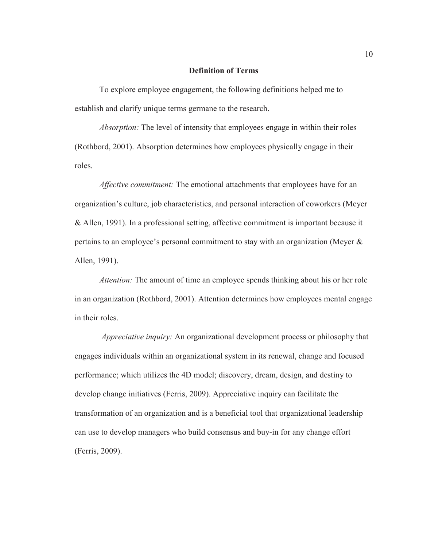#### **Definition of Terms**

To explore employee engagement, the following definitions helped me to establish and clarify unique terms germane to the research.

*Absorption:* The level of intensity that employees engage in within their roles (Rothbord, 2001). Absorption determines how employees physically engage in their roles.

*Affective commitment:* The emotional attachments that employees have for an organization's culture, job characteristics, and personal interaction of coworkers (Meyer & Allen, 1991). In a professional setting, affective commitment is important because it pertains to an employee's personal commitment to stay with an organization (Meyer & Allen, 1991).

*Attention:* The amount of time an employee spends thinking about his or her role in an organization (Rothbord, 2001). Attention determines how employees mental engage in their roles.

 *Appreciative inquiry:* An organizational development process or philosophy that engages individuals within an organizational system in its renewal, change and focused performance; which utilizes the 4D model; discovery, dream, design, and destiny to develop change initiatives (Ferris, 2009). Appreciative inquiry can facilitate the transformation of an organization and is a beneficial tool that organizational leadership can use to develop managers who build consensus and buy-in for any change effort (Ferris, 2009).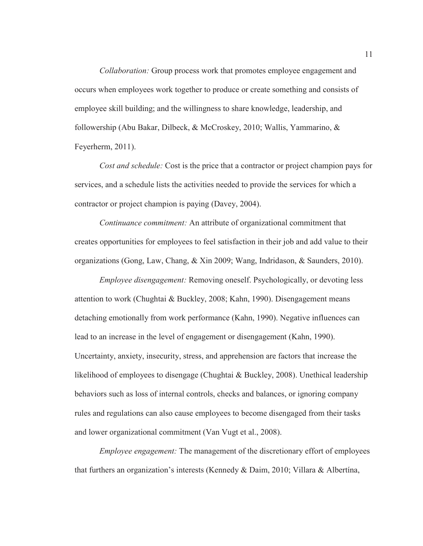*Collaboration:* Group process work that promotes employee engagement and occurs when employees work together to produce or create something and consists of employee skill building; and the willingness to share knowledge, leadership, and followership (Abu Bakar, Dilbeck, & McCroskey, 2010; Wallis, Yammarino, & Feyerherm, 2011).

*Cost and schedule:* Cost is the price that a contractor or project champion pays for services, and a schedule lists the activities needed to provide the services for which a contractor or project champion is paying (Davey, 2004).

*Continuance commitment:* An attribute of organizational commitment that creates opportunities for employees to feel satisfaction in their job and add value to their organizations (Gong, Law, Chang, & Xin 2009; Wang, Indridason, & Saunders, 2010).

*Employee disengagement:* Removing oneself. Psychologically, or devoting less attention to work (Chughtai & Buckley, 2008; Kahn, 1990). Disengagement means detaching emotionally from work performance (Kahn, 1990). Negative influences can lead to an increase in the level of engagement or disengagement (Kahn, 1990). Uncertainty, anxiety, insecurity, stress, and apprehension are factors that increase the likelihood of employees to disengage (Chughtai & Buckley, 2008). Unethical leadership behaviors such as loss of internal controls, checks and balances, or ignoring company rules and regulations can also cause employees to become disengaged from their tasks and lower organizational commitment (Van Vugt et al., 2008).

*Employee engagement:* The management of the discretionary effort of employees that furthers an organization's interests (Kennedy & Daim, 2010; Villara & Albertína,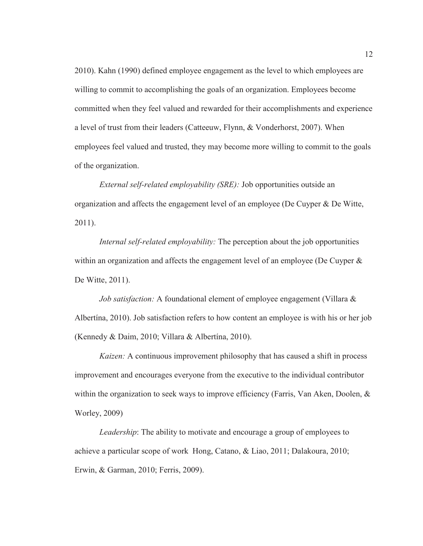2010). Kahn (1990) defined employee engagement as the level to which employees are willing to commit to accomplishing the goals of an organization. Employees become committed when they feel valued and rewarded for their accomplishments and experience a level of trust from their leaders (Catteeuw, Flynn, & Vonderhorst, 2007). When employees feel valued and trusted, they may become more willing to commit to the goals of the organization.

*External self-related employability (SRE):* Job opportunities outside an organization and affects the engagement level of an employee (De Cuyper & De Witte, 2011).

*Internal self-related employability:* The perception about the job opportunities within an organization and affects the engagement level of an employee (De Cuyper  $\&$ De Witte, 2011).

*Job satisfaction:* A foundational element of employee engagement (Villara & Albertína, 2010). Job satisfaction refers to how content an employee is with his or her job (Kennedy & Daim, 2010; Villara & Albertína, 2010).

*Kaizen:* A continuous improvement philosophy that has caused a shift in process improvement and encourages everyone from the executive to the individual contributor within the organization to seek ways to improve efficiency (Farris, Van Aken, Doolen, & Worley, 2009)

*Leadership*: The ability to motivate and encourage a group of employees to achieve a particular scope of workHong, Catano, & Liao, 2011; Dalakoura, 2010; Erwin, & Garman, 2010; Ferris, 2009).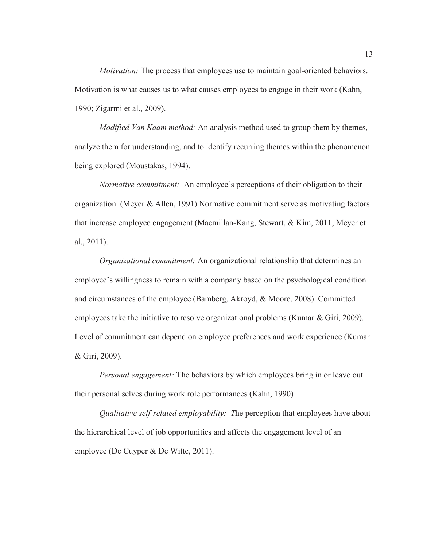*Motivation:* The process that employees use to maintain goal-oriented behaviors. Motivation is what causes us to what causes employees to engage in their work (Kahn, 1990; Zigarmi et al., 2009).

*Modified Van Kaam method:* An analysis method used to group them by themes, analyze them for understanding, and to identify recurring themes within the phenomenon being explored (Moustakas, 1994).

*Normative commitment:* An employee's perceptions of their obligation to their organization. (Meyer & Allen, 1991) Normative commitment serve as motivating factors that increase employee engagement (Macmillan-Kang, Stewart, & Kim, 2011; Meyer et al., 2011).

*Organizational commitment:* An organizational relationship that determines an employee's willingness to remain with a company based on the psychological condition and circumstances of the employee (Bamberg, Akroyd, & Moore, 2008). Committed employees take the initiative to resolve organizational problems (Kumar & Giri, 2009). Level of commitment can depend on employee preferences and work experience (Kumar & Giri, 2009).

*Personal engagement:* The behaviors by which employees bring in or leave out their personal selves during work role performances (Kahn, 1990)

*Qualitative self-related employability: T*he perception that employees have about the hierarchical level of job opportunities and affects the engagement level of an employee (De Cuyper & De Witte, 2011).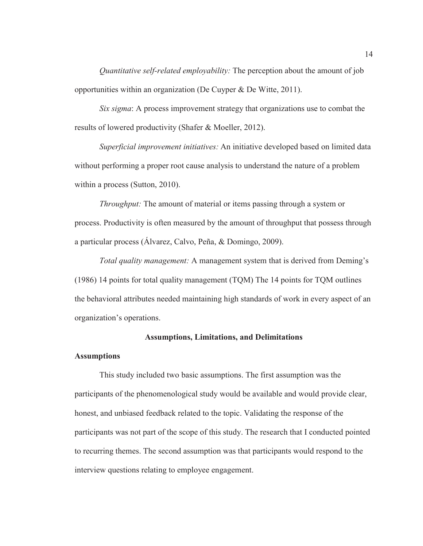*Quantitative self-related employability:* The perception about the amount of job opportunities within an organization (De Cuyper & De Witte, 2011).

*Six sigma*: A process improvement strategy that organizations use to combat the results of lowered productivity (Shafer & Moeller, 2012).

*Superficial improvement initiatives:* An initiative developed based on limited data without performing a proper root cause analysis to understand the nature of a problem within a process (Sutton, 2010).

*Throughput:* The amount of material or items passing through a system or process. Productivity is often measured by the amount of throughput that possess through a particular process (Álvarez, Calvo, Peña, & Domingo, 2009).

*Total quality management:* A management system that is derived from Deming's (1986) 14 points for total quality management (TQM) The 14 points for TQM outlines the behavioral attributes needed maintaining high standards of work in every aspect of an organization's operations.

#### **Assumptions, Limitations, and Delimitations**

#### **Assumptions**

 This study included two basic assumptions. The first assumption was the participants of the phenomenological study would be available and would provide clear, honest, and unbiased feedback related to the topic. Validating the response of the participants was not part of the scope of this study. The research that I conducted pointed to recurring themes. The second assumption was that participants would respond to the interview questions relating to employee engagement.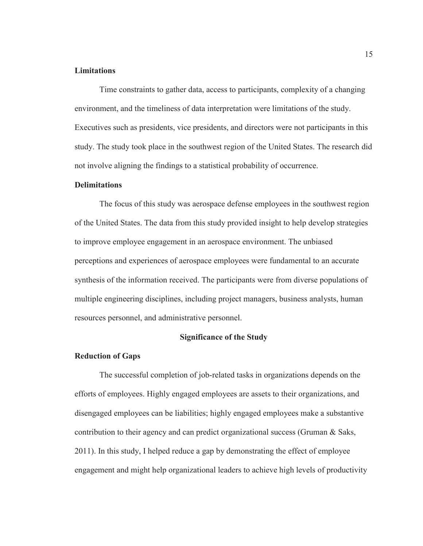#### **Limitations**

Time constraints to gather data, access to participants, complexity of a changing environment, and the timeliness of data interpretation were limitations of the study. Executives such as presidents, vice presidents, and directors were not participants in this study. The study took place in the southwest region of the United States. The research did not involve aligning the findings to a statistical probability of occurrence.

#### **Delimitations**

The focus of this study was aerospace defense employees in the southwest region of the United States. The data from this study provided insight to help develop strategies to improve employee engagement in an aerospace environment. The unbiased perceptions and experiences of aerospace employees were fundamental to an accurate synthesis of the information received. The participants were from diverse populations of multiple engineering disciplines, including project managers, business analysts, human resources personnel, and administrative personnel.

#### **Significance of the Study**

#### **Reduction of Gaps**

The successful completion of job-related tasks in organizations depends on the efforts of employees. Highly engaged employees are assets to their organizations, and disengaged employees can be liabilities; highly engaged employees make a substantive contribution to their agency and can predict organizational success (Gruman & Saks, 2011). In this study, I helped reduce a gap by demonstrating the effect of employee engagement and might help organizational leaders to achieve high levels of productivity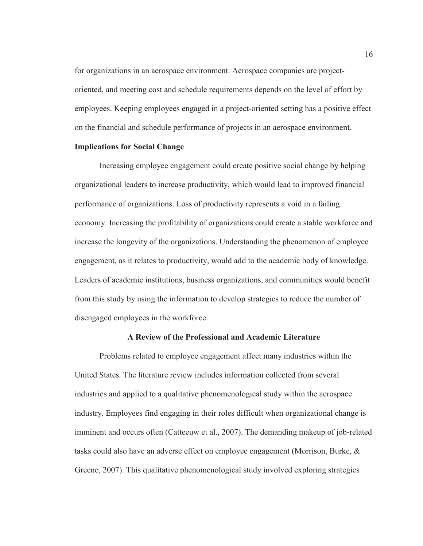for organizations in an aerospace environment. Aerospace companies are projectoriented, and meeting cost and schedule requirements depends on the level of effort by employees. Keeping employees engaged in a project-oriented setting has a positive effect on the financial and schedule performance of projects in an aerospace environment.

#### **Implications for Social Change**

Increasing employee engagement could create positive social change by helping organizational leaders to increase productivity, which would lead to improved financial performance of organizations. Loss of productivity represents a void in a failing economy. Increasing the profitability of organizations could create a stable workforce and increase the longevity of the organizations. Understanding the phenomenon of employee engagement, as it relates to productivity, would add to the academic body of knowledge. Leaders of academic institutions, business organizations, and communities would benefit from this study by using the information to develop strategies to reduce the number of disengaged employees in the workforce.

#### **A Review of the Professional and Academic Literature**

Problems related to employee engagement affect many industries within the United States. The literature review includes information collected from several industries and applied to a qualitative phenomenological study within the aerospace industry. Employees find engaging in their roles difficult when organizational change is imminent and occurs often (Catteeuw et al., 2007). The demanding makeup of job-related tasks could also have an adverse effect on employee engagement (Morrison, Burke, & Greene, 2007). This qualitative phenomenological study involved exploring strategies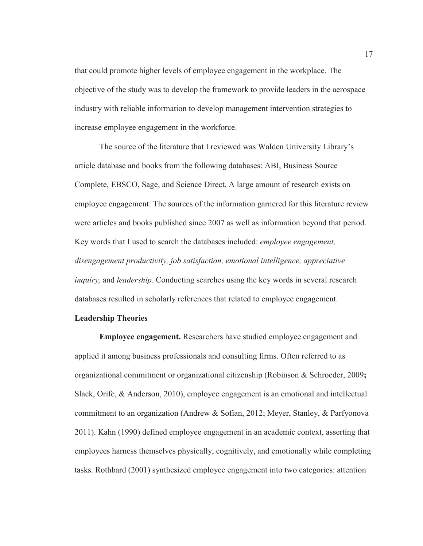that could promote higher levels of employee engagement in the workplace. The objective of the study was to develop the framework to provide leaders in the aerospace industry with reliable information to develop management intervention strategies to increase employee engagement in the workforce.

The source of the literature that I reviewed was Walden University Library's article database and books from the following databases: ABI, Business Source Complete, EBSCO, Sage, and Science Direct. A large amount of research exists on employee engagement. The sources of the information garnered for this literature review were articles and books published since 2007 as well as information beyond that period. Key words that I used to search the databases included: *employee engagement, disengagement productivity, job satisfaction, emotional intelligence, appreciative inquiry,* and *leadership.* Conducting searches using the key words in several research databases resulted in scholarly references that related to employee engagement.

#### **Leadership Theories**

**Employee engagement.** Researchers have studied employee engagement and applied it among business professionals and consulting firms. Often referred to as organizational commitment or organizational citizenship (Robinson & Schroeder, 2009**;** Slack, Orife, & Anderson, 2010), employee engagement is an emotional and intellectual commitment to an organization (Andrew & Sofian, 2012; Meyer, Stanley, & Parfyonova 2011). Kahn (1990) defined employee engagement in an academic context, asserting that employees harness themselves physically, cognitively, and emotionally while completing tasks. Rothbard (2001) synthesized employee engagement into two categories: attention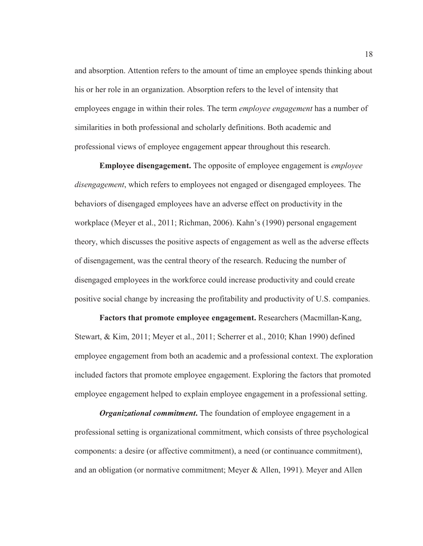and absorption. Attention refers to the amount of time an employee spends thinking about his or her role in an organization. Absorption refers to the level of intensity that employees engage in within their roles. The term *employee engagement* has a number of similarities in both professional and scholarly definitions. Both academic and professional views of employee engagement appear throughout this research.

**Employee disengagement.** The opposite of employee engagement is *employee disengagement*, which refers to employees not engaged or disengaged employees. The behaviors of disengaged employees have an adverse effect on productivity in the workplace (Meyer et al., 2011; Richman, 2006). Kahn's (1990) personal engagement theory, which discusses the positive aspects of engagement as well as the adverse effects of disengagement, was the central theory of the research. Reducing the number of disengaged employees in the workforce could increase productivity and could create positive social change by increasing the profitability and productivity of U.S. companies.

**Factors that promote employee engagement.** Researchers (Macmillan-Kang, Stewart, & Kim, 2011; Meyer et al., 2011; Scherrer et al., 2010; Khan 1990) defined employee engagement from both an academic and a professional context. The exploration included factors that promote employee engagement. Exploring the factors that promoted employee engagement helped to explain employee engagement in a professional setting.

*Organizational commitment*. The foundation of employee engagement in a professional setting is organizational commitment, which consists of three psychological components: a desire (or affective commitment), a need (or continuance commitment), and an obligation (or normative commitment; Meyer & Allen, 1991). Meyer and Allen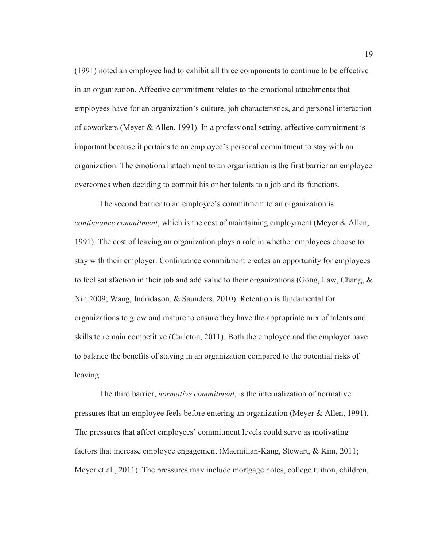(1991) noted an employee had to exhibit all three components to continue to be effective in an organization. Affective commitment relates to the emotional attachments that employees have for an organization's culture, job characteristics, and personal interaction of coworkers (Meyer & Allen, 1991). In a professional setting, affective commitment is important because it pertains to an employee's personal commitment to stay with an organization. The emotional attachment to an organization is the first barrier an employee overcomes when deciding to commit his or her talents to a job and its functions.

The second barrier to an employee's commitment to an organization is *continuance commitment*, which is the cost of maintaining employment (Meyer & Allen, 1991). The cost of leaving an organization plays a role in whether employees choose to stay with their employer. Continuance commitment creates an opportunity for employees to feel satisfaction in their job and add value to their organizations (Gong, Law, Chang, & Xin 2009; Wang, Indridason, & Saunders, 2010). Retention is fundamental for organizations to grow and mature to ensure they have the appropriate mix of talents and skills to remain competitive (Carleton, 2011). Both the employee and the employer have to balance the benefits of staying in an organization compared to the potential risks of leaving.

The third barrier, *normative commitment*, is the internalization of normative pressures that an employee feels before entering an organization (Meyer & Allen, 1991). The pressures that affect employees' commitment levels could serve as motivating factors that increase employee engagement (Macmillan-Kang, Stewart, & Kim, 2011; Meyer et al., 2011). The pressures may include mortgage notes, college tuition, children,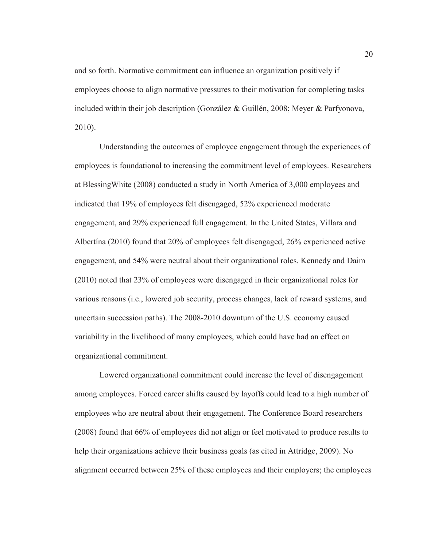and so forth. Normative commitment can influence an organization positively if employees choose to align normative pressures to their motivation for completing tasks included within their job description (González & Guillén, 2008; Meyer & Parfyonova, 2010).

Understanding the outcomes of employee engagement through the experiences of employees is foundational to increasing the commitment level of employees. Researchers at BlessingWhite (2008) conducted a study in North America of 3,000 employees and indicated that 19% of employees felt disengaged, 52% experienced moderate engagement, and 29% experienced full engagement. In the United States, Villara and Albertína (2010) found that 20% of employees felt disengaged, 26% experienced active engagement, and 54% were neutral about their organizational roles. Kennedy and Daim (2010) noted that 23% of employees were disengaged in their organizational roles for various reasons (i.e., lowered job security, process changes, lack of reward systems, and uncertain succession paths). The 2008-2010 downturn of the U.S. economy caused variability in the livelihood of many employees, which could have had an effect on organizational commitment.

Lowered organizational commitment could increase the level of disengagement among employees. Forced career shifts caused by layoffs could lead to a high number of employees who are neutral about their engagement. The Conference Board researchers (2008) found that 66% of employees did not align or feel motivated to produce results to help their organizations achieve their business goals (as cited in Attridge, 2009). No alignment occurred between 25% of these employees and their employers; the employees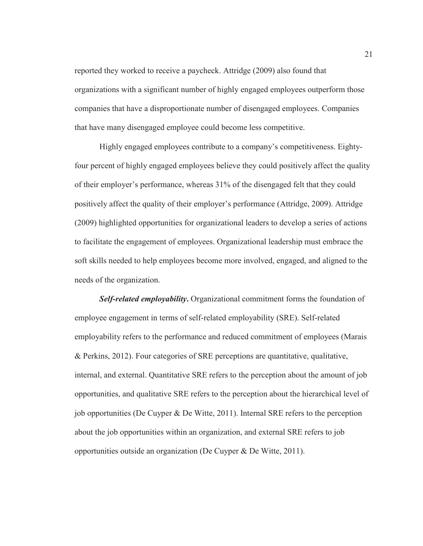reported they worked to receive a paycheck. Attridge (2009) also found that organizations with a significant number of highly engaged employees outperform those companies that have a disproportionate number of disengaged employees. Companies that have many disengaged employee could become less competitive.

Highly engaged employees contribute to a company's competitiveness. Eightyfour percent of highly engaged employees believe they could positively affect the quality of their employer's performance, whereas 31% of the disengaged felt that they could positively affect the quality of their employer's performance (Attridge, 2009). Attridge (2009) highlighted opportunities for organizational leaders to develop a series of actions to facilitate the engagement of employees. Organizational leadership must embrace the soft skills needed to help employees become more involved, engaged, and aligned to the needs of the organization.

**Self-related employability.** Organizational commitment forms the foundation of employee engagement in terms of self-related employability (SRE). Self-related employability refers to the performance and reduced commitment of employees (Marais & Perkins, 2012). Four categories of SRE perceptions are quantitative, qualitative, internal, and external. Quantitative SRE refers to the perception about the amount of job opportunities, and qualitative SRE refers to the perception about the hierarchical level of job opportunities (De Cuyper & De Witte, 2011). Internal SRE refers to the perception about the job opportunities within an organization, and external SRE refers to job opportunities outside an organization (De Cuyper & De Witte, 2011).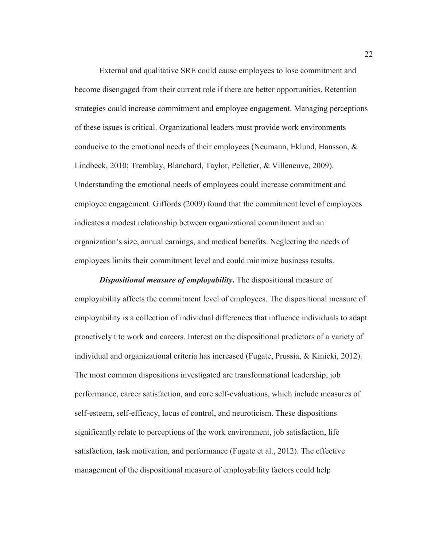External and qualitative SRE could cause employees to lose commitment and become disengaged from their current role if there are better opportunities. Retention strategies could increase commitment and employee engagement. Managing perceptions of these issues is critical. Organizational leaders must provide work environments conducive to the emotional needs of their employees (Neumann, Eklund, Hansson,  $\&$ Lindbeck, 2010; Tremblay, Blanchard, Taylor, Pelletier, & Villeneuve, 2009). Understanding the emotional needs of employees could increase commitment and employee engagement. Giffords (2009) found that the commitment level of employees indicates a modest relationship between organizational commitment and an organization's size, annual earnings, and medical benefits. Neglecting the needs of employees limits their commitment level and could minimize business results.

*Dispositional measure of employability***.** The dispositional measure of employability affects the commitment level of employees. The dispositional measure of employability is a collection of individual differences that influence individuals to adapt proactively t to work and careers. Interest on the dispositional predictors of a variety of individual and organizational criteria has increased (Fugate, Prussia, & Kinicki, 2012). The most common dispositions investigated are transformational leadership, job performance, career satisfaction, and core self-evaluations, which include measures of self-esteem, self-efficacy, locus of control, and neuroticism. These dispositions significantly relate to perceptions of the work environment, job satisfaction, life satisfaction, task motivation, and performance (Fugate et al., 2012). The effective management of the dispositional measure of employability factors could help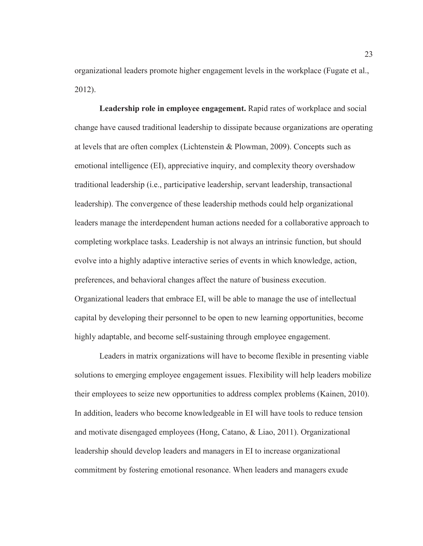organizational leaders promote higher engagement levels in the workplace (Fugate et al., 2012).

**Leadership role in employee engagement.** Rapid rates of workplace and social change have caused traditional leadership to dissipate because organizations are operating at levels that are often complex (Lichtenstein & Plowman, 2009). Concepts such as emotional intelligence (EI), appreciative inquiry, and complexity theory overshadow traditional leadership (i.e., participative leadership, servant leadership, transactional leadership). The convergence of these leadership methods could help organizational leaders manage the interdependent human actions needed for a collaborative approach to completing workplace tasks. Leadership is not always an intrinsic function, but should evolve into a highly adaptive interactive series of events in which knowledge, action, preferences, and behavioral changes affect the nature of business execution. Organizational leaders that embrace EI, will be able to manage the use of intellectual capital by developing their personnel to be open to new learning opportunities, become highly adaptable, and become self-sustaining through employee engagement.

Leaders in matrix organizations will have to become flexible in presenting viable solutions to emerging employee engagement issues. Flexibility will help leaders mobilize their employees to seize new opportunities to address complex problems (Kainen, 2010). In addition, leaders who become knowledgeable in EI will have tools to reduce tension and motivate disengaged employees (Hong, Catano, & Liao, 2011). Organizational leadership should develop leaders and managers in EI to increase organizational commitment by fostering emotional resonance. When leaders and managers exude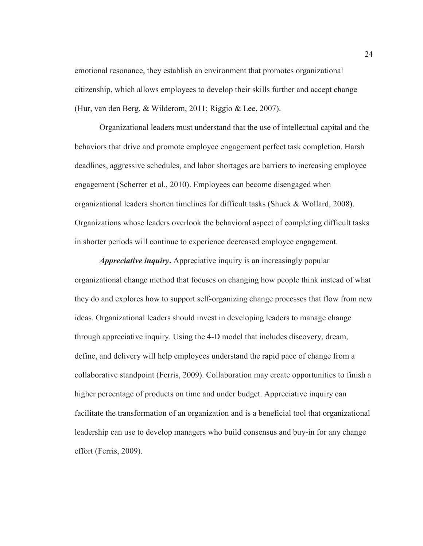emotional resonance, they establish an environment that promotes organizational citizenship, which allows employees to develop their skills further and accept change (Hur, van den Berg, & Wilderom, 2011; Riggio & Lee, 2007).

Organizational leaders must understand that the use of intellectual capital and the behaviors that drive and promote employee engagement perfect task completion. Harsh deadlines, aggressive schedules, and labor shortages are barriers to increasing employee engagement (Scherrer et al., 2010). Employees can become disengaged when organizational leaders shorten timelines for difficult tasks (Shuck & Wollard, 2008). Organizations whose leaders overlook the behavioral aspect of completing difficult tasks in shorter periods will continue to experience decreased employee engagement.

*Appreciative inquiry***.** Appreciative inquiry is an increasingly popular organizational change method that focuses on changing how people think instead of what they do and explores how to support self-organizing change processes that flow from new ideas. Organizational leaders should invest in developing leaders to manage change through appreciative inquiry. Using the 4-D model that includes discovery, dream, define, and delivery will help employees understand the rapid pace of change from a collaborative standpoint (Ferris, 2009). Collaboration may create opportunities to finish a higher percentage of products on time and under budget. Appreciative inquiry can facilitate the transformation of an organization and is a beneficial tool that organizational leadership can use to develop managers who build consensus and buy-in for any change effort (Ferris, 2009).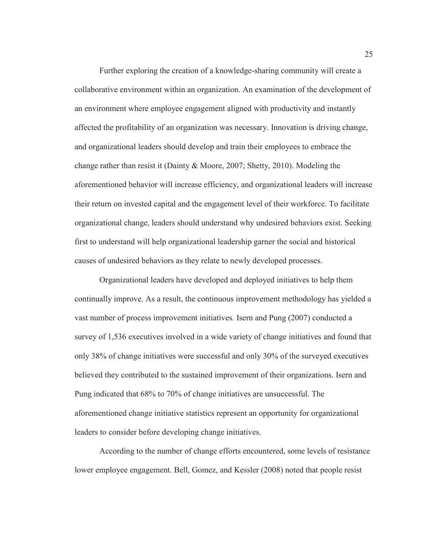Further exploring the creation of a knowledge-sharing community will create a collaborative environment within an organization. An examination of the development of an environment where employee engagement aligned with productivity and instantly affected the profitability of an organization was necessary. Innovation is driving change, and organizational leaders should develop and train their employees to embrace the change rather than resist it (Dainty & Moore, 2007; Shetty, 2010). Modeling the aforementioned behavior will increase efficiency, and organizational leaders will increase their return on invested capital and the engagement level of their workforce. To facilitate organizational change, leaders should understand why undesired behaviors exist. Seeking first to understand will help organizational leadership garner the social and historical causes of undesired behaviors as they relate to newly developed processes.

Organizational leaders have developed and deployed initiatives to help them continually improve. As a result, the continuous improvement methodology has yielded a vast number of process improvement initiatives. Isern and Pung (2007) conducted a survey of 1,536 executives involved in a wide variety of change initiatives and found that only 38% of change initiatives were successful and only 30% of the surveyed executives believed they contributed to the sustained improvement of their organizations. Isern and Pung indicated that 68% to 70% of change initiatives are unsuccessful. The aforementioned change initiative statistics represent an opportunity for organizational leaders to consider before developing change initiatives.

According to the number of change efforts encountered, some levels of resistance lower employee engagement. Bell, Gomez, and Kessler (2008) noted that people resist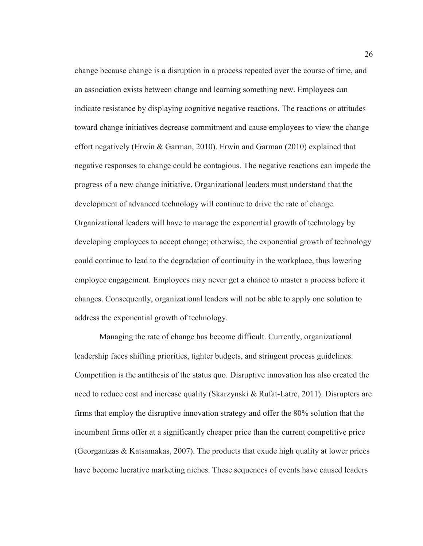change because change is a disruption in a process repeated over the course of time, and an association exists between change and learning something new. Employees can indicate resistance by displaying cognitive negative reactions. The reactions or attitudes toward change initiatives decrease commitment and cause employees to view the change effort negatively (Erwin & Garman, 2010). Erwin and Garman (2010) explained that negative responses to change could be contagious. The negative reactions can impede the progress of a new change initiative. Organizational leaders must understand that the development of advanced technology will continue to drive the rate of change. Organizational leaders will have to manage the exponential growth of technology by developing employees to accept change; otherwise, the exponential growth of technology could continue to lead to the degradation of continuity in the workplace, thus lowering employee engagement. Employees may never get a chance to master a process before it changes. Consequently, organizational leaders will not be able to apply one solution to address the exponential growth of technology.

Managing the rate of change has become difficult. Currently, organizational leadership faces shifting priorities, tighter budgets, and stringent process guidelines. Competition is the antithesis of the status quo. Disruptive innovation has also created the need to reduce cost and increase quality (Skarzynski & Rufat-Latre, 2011). Disrupters are firms that employ the disruptive innovation strategy and offer the 80% solution that the incumbent firms offer at a significantly cheaper price than the current competitive price (Georgantzas & Katsamakas, 2007). The products that exude high quality at lower prices have become lucrative marketing niches. These sequences of events have caused leaders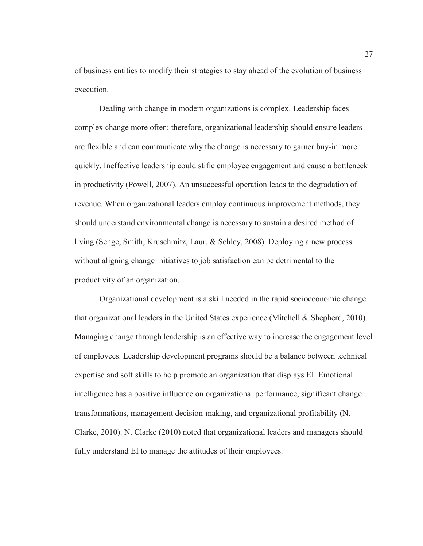of business entities to modify their strategies to stay ahead of the evolution of business execution.

Dealing with change in modern organizations is complex. Leadership faces complex change more often; therefore, organizational leadership should ensure leaders are flexible and can communicate why the change is necessary to garner buy-in more quickly. Ineffective leadership could stifle employee engagement and cause a bottleneck in productivity (Powell, 2007). An unsuccessful operation leads to the degradation of revenue. When organizational leaders employ continuous improvement methods, they should understand environmental change is necessary to sustain a desired method of living (Senge, Smith, Kruschmitz, Laur, & Schley, 2008). Deploying a new process without aligning change initiatives to job satisfaction can be detrimental to the productivity of an organization.

Organizational development is a skill needed in the rapid socioeconomic change that organizational leaders in the United States experience (Mitchell & Shepherd, 2010). Managing change through leadership is an effective way to increase the engagement level of employees. Leadership development programs should be a balance between technical expertise and soft skills to help promote an organization that displays EI. Emotional intelligence has a positive influence on organizational performance, significant change transformations, management decision-making, and organizational profitability (N. Clarke, 2010). N. Clarke (2010) noted that organizational leaders and managers should fully understand EI to manage the attitudes of their employees.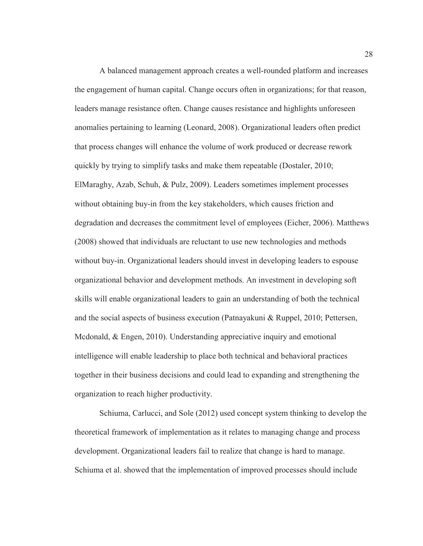A balanced management approach creates a well-rounded platform and increases the engagement of human capital. Change occurs often in organizations; for that reason, leaders manage resistance often. Change causes resistance and highlights unforeseen anomalies pertaining to learning (Leonard, 2008). Organizational leaders often predict that process changes will enhance the volume of work produced or decrease rework quickly by trying to simplify tasks and make them repeatable (Dostaler, 2010; ElMaraghy, Azab, Schuh, & Pulz, 2009). Leaders sometimes implement processes without obtaining buy-in from the key stakeholders, which causes friction and degradation and decreases the commitment level of employees (Eicher, 2006). Matthews (2008) showed that individuals are reluctant to use new technologies and methods without buy-in. Organizational leaders should invest in developing leaders to espouse organizational behavior and development methods. An investment in developing soft skills will enable organizational leaders to gain an understanding of both the technical and the social aspects of business execution (Patnayakuni & Ruppel, 2010; Pettersen, Mcdonald, & Engen, 2010). Understanding appreciative inquiry and emotional intelligence will enable leadership to place both technical and behavioral practices together in their business decisions and could lead to expanding and strengthening the organization to reach higher productivity.

Schiuma, Carlucci, and Sole (2012) used concept system thinking to develop the theoretical framework of implementation as it relates to managing change and process development. Organizational leaders fail to realize that change is hard to manage. Schiuma et al. showed that the implementation of improved processes should include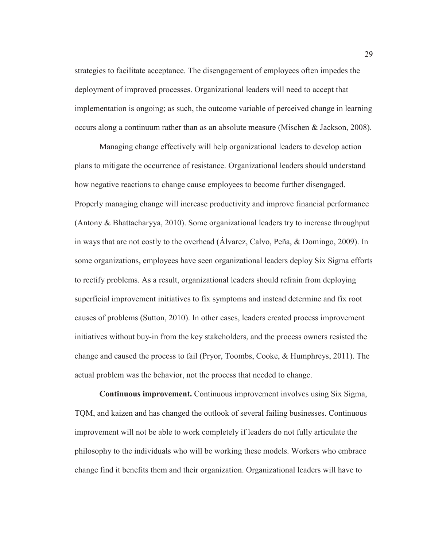strategies to facilitate acceptance. The disengagement of employees often impedes the deployment of improved processes. Organizational leaders will need to accept that implementation is ongoing; as such, the outcome variable of perceived change in learning occurs along a continuum rather than as an absolute measure (Mischen & Jackson, 2008).

Managing change effectively will help organizational leaders to develop action plans to mitigate the occurrence of resistance. Organizational leaders should understand how negative reactions to change cause employees to become further disengaged. Properly managing change will increase productivity and improve financial performance (Antony & Bhattacharyya, 2010). Some organizational leaders try to increase throughput in ways that are not costly to the overhead (Álvarez, Calvo, Peña, & Domingo, 2009). In some organizations, employees have seen organizational leaders deploy Six Sigma efforts to rectify problems. As a result, organizational leaders should refrain from deploying superficial improvement initiatives to fix symptoms and instead determine and fix root causes of problems (Sutton, 2010). In other cases, leaders created process improvement initiatives without buy-in from the key stakeholders, and the process owners resisted the change and caused the process to fail (Pryor, Toombs, Cooke, & Humphreys, 2011). The actual problem was the behavior, not the process that needed to change.

**Continuous improvement.** Continuous improvement involves using Six Sigma, TQM, and kaizen and has changed the outlook of several failing businesses. Continuous improvement will not be able to work completely if leaders do not fully articulate the philosophy to the individuals who will be working these models. Workers who embrace change find it benefits them and their organization. Organizational leaders will have to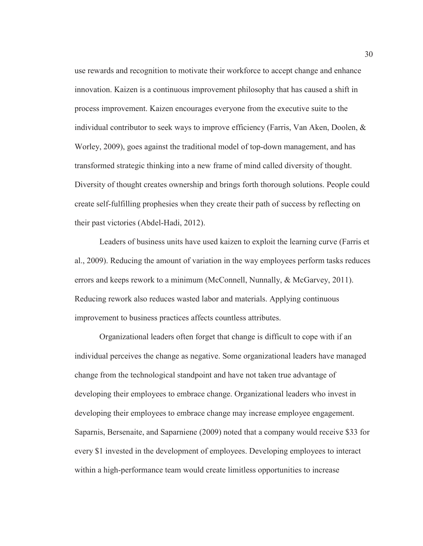use rewards and recognition to motivate their workforce to accept change and enhance innovation. Kaizen is a continuous improvement philosophy that has caused a shift in process improvement. Kaizen encourages everyone from the executive suite to the individual contributor to seek ways to improve efficiency (Farris, Van Aken, Doolen, & Worley, 2009), goes against the traditional model of top-down management, and has transformed strategic thinking into a new frame of mind called diversity of thought. Diversity of thought creates ownership and brings forth thorough solutions. People could create self-fulfilling prophesies when they create their path of success by reflecting on their past victories (Abdel-Hadi, 2012).

Leaders of business units have used kaizen to exploit the learning curve (Farris et al., 2009). Reducing the amount of variation in the way employees perform tasks reduces errors and keeps rework to a minimum (McConnell, Nunnally, & McGarvey, 2011). Reducing rework also reduces wasted labor and materials. Applying continuous improvement to business practices affects countless attributes.

Organizational leaders often forget that change is difficult to cope with if an individual perceives the change as negative. Some organizational leaders have managed change from the technological standpoint and have not taken true advantage of developing their employees to embrace change. Organizational leaders who invest in developing their employees to embrace change may increase employee engagement. Saparnis, Bersenaite, and Saparniene (2009) noted that a company would receive \$33 for every \$1 invested in the development of employees. Developing employees to interact within a high-performance team would create limitless opportunities to increase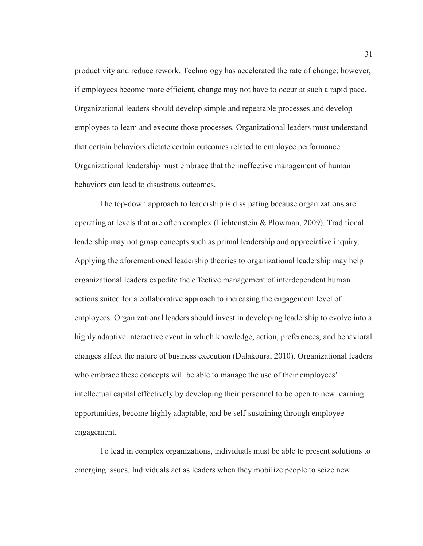productivity and reduce rework. Technology has accelerated the rate of change; however, if employees become more efficient, change may not have to occur at such a rapid pace. Organizational leaders should develop simple and repeatable processes and develop employees to learn and execute those processes. Organizational leaders must understand that certain behaviors dictate certain outcomes related to employee performance. Organizational leadership must embrace that the ineffective management of human behaviors can lead to disastrous outcomes.

The top-down approach to leadership is dissipating because organizations are operating at levels that are often complex (Lichtenstein & Plowman, 2009). Traditional leadership may not grasp concepts such as primal leadership and appreciative inquiry. Applying the aforementioned leadership theories to organizational leadership may help organizational leaders expedite the effective management of interdependent human actions suited for a collaborative approach to increasing the engagement level of employees. Organizational leaders should invest in developing leadership to evolve into a highly adaptive interactive event in which knowledge, action, preferences, and behavioral changes affect the nature of business execution (Dalakoura, 2010). Organizational leaders who embrace these concepts will be able to manage the use of their employees' intellectual capital effectively by developing their personnel to be open to new learning opportunities, become highly adaptable, and be self-sustaining through employee engagement.

To lead in complex organizations, individuals must be able to present solutions to emerging issues. Individuals act as leaders when they mobilize people to seize new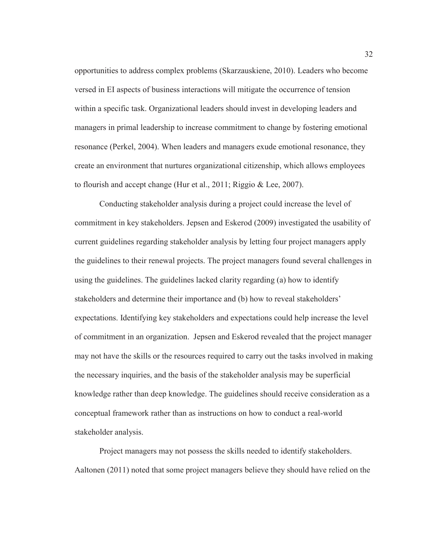opportunities to address complex problems (Skarzauskiene, 2010). Leaders who become versed in EI aspects of business interactions will mitigate the occurrence of tension within a specific task. Organizational leaders should invest in developing leaders and managers in primal leadership to increase commitment to change by fostering emotional resonance (Perkel, 2004). When leaders and managers exude emotional resonance, they create an environment that nurtures organizational citizenship, which allows employees to flourish and accept change (Hur et al., 2011; Riggio & Lee, 2007).

Conducting stakeholder analysis during a project could increase the level of commitment in key stakeholders. Jepsen and Eskerod (2009) investigated the usability of current guidelines regarding stakeholder analysis by letting four project managers apply the guidelines to their renewal projects. The project managers found several challenges in using the guidelines. The guidelines lacked clarity regarding (a) how to identify stakeholders and determine their importance and (b) how to reveal stakeholders' expectations. Identifying key stakeholders and expectations could help increase the level of commitment in an organization. Jepsen and Eskerod revealed that the project manager may not have the skills or the resources required to carry out the tasks involved in making the necessary inquiries, and the basis of the stakeholder analysis may be superficial knowledge rather than deep knowledge. The guidelines should receive consideration as a conceptual framework rather than as instructions on how to conduct a real-world stakeholder analysis.

Project managers may not possess the skills needed to identify stakeholders. Aaltonen (2011) noted that some project managers believe they should have relied on the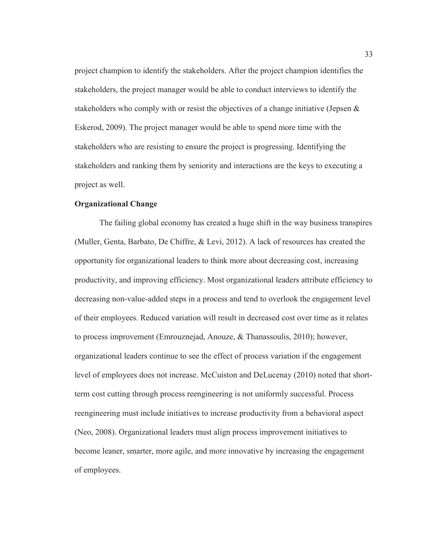project champion to identify the stakeholders. After the project champion identifies the stakeholders, the project manager would be able to conduct interviews to identify the stakeholders who comply with or resist the objectives of a change initiative (Jepsen  $\&$ Eskerod, 2009). The project manager would be able to spend more time with the stakeholders who are resisting to ensure the project is progressing. Identifying the stakeholders and ranking them by seniority and interactions are the keys to executing a project as well.

# **Organizational Change**

The failing global economy has created a huge shift in the way business transpires (Muller, Genta, Barbato, De Chiffre, & Levi, 2012). A lack of resources has created the opportunity for organizational leaders to think more about decreasing cost, increasing productivity, and improving efficiency. Most organizational leaders attribute efficiency to decreasing non-value-added steps in a process and tend to overlook the engagement level of their employees. Reduced variation will result in decreased cost over time as it relates to process improvement (Emrouznejad, Anouze, & Thanassoulis, 2010); however, organizational leaders continue to see the effect of process variation if the engagement level of employees does not increase. McCuiston and DeLucenay (2010) noted that shortterm cost cutting through process reengineering is not uniformly successful. Process reengineering must include initiatives to increase productivity from a behavioral aspect (Neo, 2008). Organizational leaders must align process improvement initiatives to become leaner, smarter, more agile, and more innovative by increasing the engagement of employees.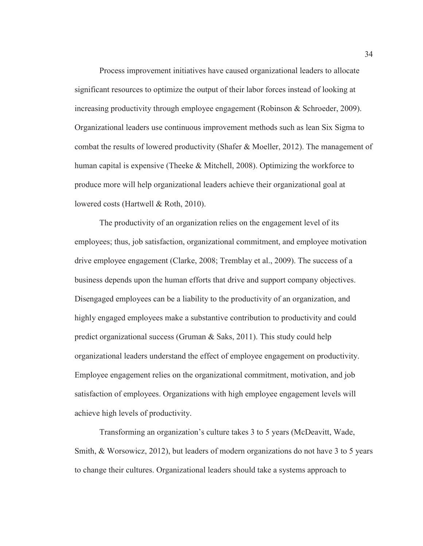Process improvement initiatives have caused organizational leaders to allocate significant resources to optimize the output of their labor forces instead of looking at increasing productivity through employee engagement (Robinson & Schroeder, 2009). Organizational leaders use continuous improvement methods such as lean Six Sigma to combat the results of lowered productivity (Shafer & Moeller, 2012). The management of human capital is expensive (Theeke & Mitchell, 2008). Optimizing the workforce to produce more will help organizational leaders achieve their organizational goal at lowered costs (Hartwell & Roth, 2010).

The productivity of an organization relies on the engagement level of its employees; thus, job satisfaction, organizational commitment, and employee motivation drive employee engagement (Clarke, 2008; Tremblay et al., 2009). The success of a business depends upon the human efforts that drive and support company objectives. Disengaged employees can be a liability to the productivity of an organization, and highly engaged employees make a substantive contribution to productivity and could predict organizational success (Gruman & Saks, 2011). This study could help organizational leaders understand the effect of employee engagement on productivity. Employee engagement relies on the organizational commitment, motivation, and job satisfaction of employees. Organizations with high employee engagement levels will achieve high levels of productivity.

Transforming an organization's culture takes 3 to 5 years (McDeavitt, Wade, Smith, & Worsowicz, 2012), but leaders of modern organizations do not have 3 to 5 years to change their cultures. Organizational leaders should take a systems approach to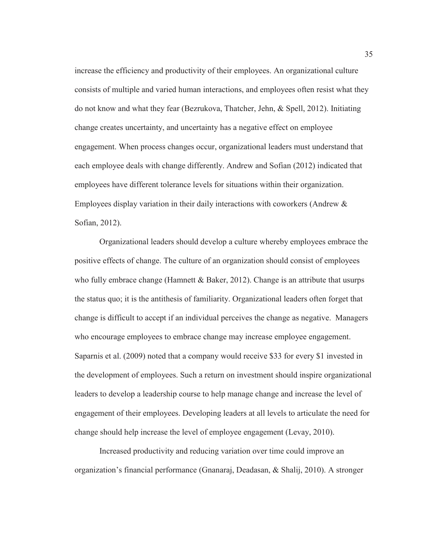increase the efficiency and productivity of their employees. An organizational culture consists of multiple and varied human interactions, and employees often resist what they do not know and what they fear (Bezrukova, Thatcher, Jehn, & Spell, 2012). Initiating change creates uncertainty, and uncertainty has a negative effect on employee engagement. When process changes occur, organizational leaders must understand that each employee deals with change differently. Andrew and Sofian (2012) indicated that employees have different tolerance levels for situations within their organization. Employees display variation in their daily interactions with coworkers (Andrew & Sofian, 2012).

Organizational leaders should develop a culture whereby employees embrace the positive effects of change. The culture of an organization should consist of employees who fully embrace change (Hamnett  $\&$  Baker, 2012). Change is an attribute that usurps the status quo; it is the antithesis of familiarity. Organizational leaders often forget that change is difficult to accept if an individual perceives the change as negative. Managers who encourage employees to embrace change may increase employee engagement. Saparnis et al. (2009) noted that a company would receive \$33 for every \$1 invested in the development of employees. Such a return on investment should inspire organizational leaders to develop a leadership course to help manage change and increase the level of engagement of their employees. Developing leaders at all levels to articulate the need for change should help increase the level of employee engagement (Levay, 2010).

Increased productivity and reducing variation over time could improve an organization's financial performance (Gnanaraj, Deadasan, & Shalij, 2010). A stronger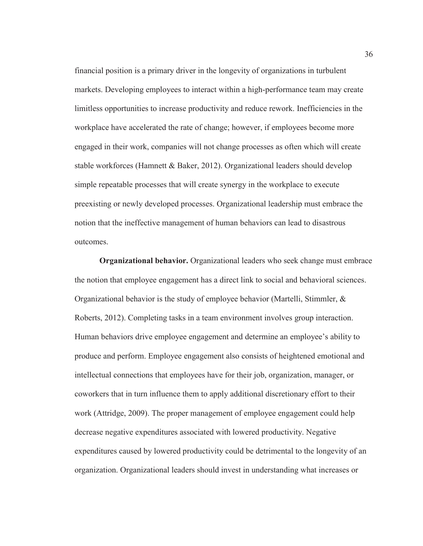financial position is a primary driver in the longevity of organizations in turbulent markets. Developing employees to interact within a high-performance team may create limitless opportunities to increase productivity and reduce rework. Inefficiencies in the workplace have accelerated the rate of change; however, if employees become more engaged in their work, companies will not change processes as often which will create stable workforces (Hamnett & Baker, 2012). Organizational leaders should develop simple repeatable processes that will create synergy in the workplace to execute preexisting or newly developed processes. Organizational leadership must embrace the notion that the ineffective management of human behaviors can lead to disastrous outcomes.

**Organizational behavior.** Organizational leaders who seek change must embrace the notion that employee engagement has a direct link to social and behavioral sciences. Organizational behavior is the study of employee behavior (Martelli, Stimmler, & Roberts, 2012). Completing tasks in a team environment involves group interaction. Human behaviors drive employee engagement and determine an employee's ability to produce and perform. Employee engagement also consists of heightened emotional and intellectual connections that employees have for their job, organization, manager, or coworkers that in turn influence them to apply additional discretionary effort to their work (Attridge, 2009). The proper management of employee engagement could help decrease negative expenditures associated with lowered productivity. Negative expenditures caused by lowered productivity could be detrimental to the longevity of an organization. Organizational leaders should invest in understanding what increases or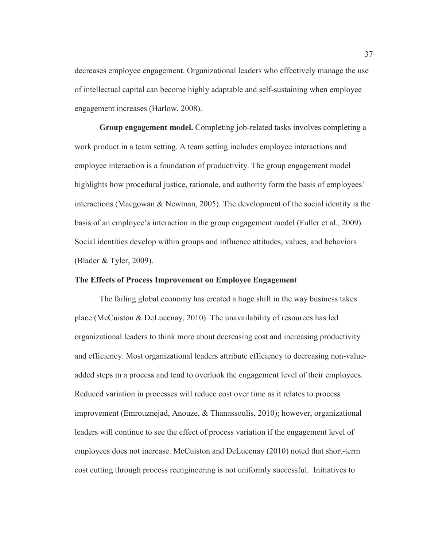decreases employee engagement. Organizational leaders who effectively manage the use of intellectual capital can become highly adaptable and self-sustaining when employee engagement increases (Harlow, 2008).

**Group engagement model.** Completing job-related tasks involves completing a work product in a team setting. A team setting includes employee interactions and employee interaction is a foundation of productivity. The group engagement model highlights how procedural justice, rationale, and authority form the basis of employees' interactions (Macgowan & Newman, 2005). The development of the social identity is the basis of an employee's interaction in the group engagement model (Fuller et al., 2009). Social identities develop within groups and influence attitudes, values, and behaviors (Blader & Tyler, 2009).

# **The Effects of Process Improvement on Employee Engagement**

The failing global economy has created a huge shift in the way business takes place (McCuiston & DeLucenay, 2010). The unavailability of resources has led organizational leaders to think more about decreasing cost and increasing productivity and efficiency. Most organizational leaders attribute efficiency to decreasing non-valueadded steps in a process and tend to overlook the engagement level of their employees. Reduced variation in processes will reduce cost over time as it relates to process improvement (Emrouznejad, Anouze, & Thanassoulis, 2010); however, organizational leaders will continue to see the effect of process variation if the engagement level of employees does not increase. McCuiston and DeLucenay (2010) noted that short-term cost cutting through process reengineering is not uniformly successful. Initiatives to

37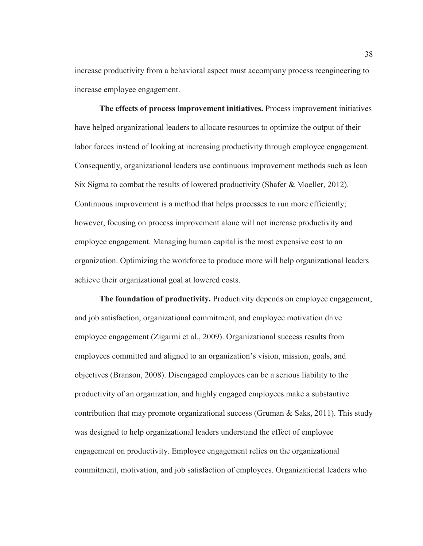increase productivity from a behavioral aspect must accompany process reengineering to increase employee engagement.

**The effects of process improvement initiatives.** Process improvement initiatives have helped organizational leaders to allocate resources to optimize the output of their labor forces instead of looking at increasing productivity through employee engagement. Consequently, organizational leaders use continuous improvement methods such as lean Six Sigma to combat the results of lowered productivity (Shafer & Moeller, 2012). Continuous improvement is a method that helps processes to run more efficiently; however, focusing on process improvement alone will not increase productivity and employee engagement. Managing human capital is the most expensive cost to an organization. Optimizing the workforce to produce more will help organizational leaders achieve their organizational goal at lowered costs.

**The foundation of productivity.** Productivity depends on employee engagement, and job satisfaction, organizational commitment, and employee motivation drive employee engagement (Zigarmi et al., 2009). Organizational success results from employees committed and aligned to an organization's vision, mission, goals, and objectives (Branson, 2008). Disengaged employees can be a serious liability to the productivity of an organization, and highly engaged employees make a substantive contribution that may promote organizational success (Gruman  $\&$  Saks, 2011). This study was designed to help organizational leaders understand the effect of employee engagement on productivity. Employee engagement relies on the organizational commitment, motivation, and job satisfaction of employees. Organizational leaders who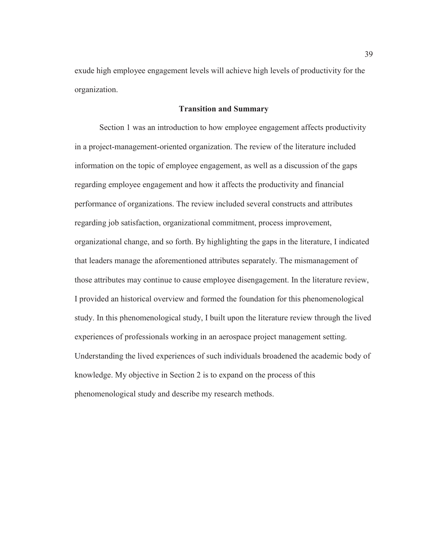exude high employee engagement levels will achieve high levels of productivity for the organization.

## **Transition and Summary**

Section 1 was an introduction to how employee engagement affects productivity in a project-management-oriented organization. The review of the literature included information on the topic of employee engagement, as well as a discussion of the gaps regarding employee engagement and how it affects the productivity and financial performance of organizations. The review included several constructs and attributes regarding job satisfaction, organizational commitment, process improvement, organizational change, and so forth. By highlighting the gaps in the literature, I indicated that leaders manage the aforementioned attributes separately. The mismanagement of those attributes may continue to cause employee disengagement. In the literature review, I provided an historical overview and formed the foundation for this phenomenological study. In this phenomenological study, I built upon the literature review through the lived experiences of professionals working in an aerospace project management setting. Understanding the lived experiences of such individuals broadened the academic body of knowledge. My objective in Section 2 is to expand on the process of this phenomenological study and describe my research methods.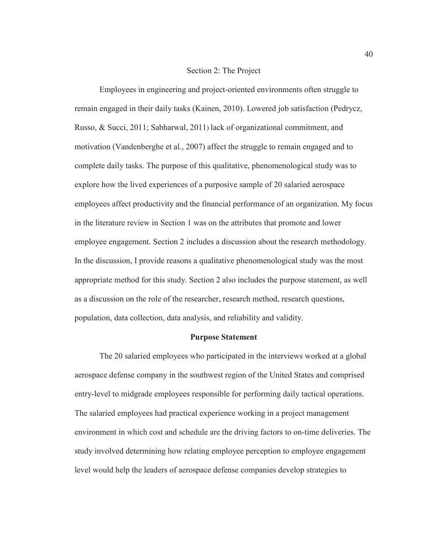## Section 2: The Project

Employees in engineering and project-oriented environments often struggle to remain engaged in their daily tasks (Kainen, 2010). Lowered job satisfaction (Pedrycz, Russo, & Succi, 2011; Sabharwal, 2011) lack of organizational commitment, and motivation (Vandenberghe et al., 2007) affect the struggle to remain engaged and to complete daily tasks. The purpose of this qualitative, phenomenological study was to explore how the lived experiences of a purposive sample of 20 salaried aerospace employees affect productivity and the financial performance of an organization. My focus in the literature review in Section 1 was on the attributes that promote and lower employee engagement. Section 2 includes a discussion about the research methodology. In the discussion, I provide reasons a qualitative phenomenological study was the most appropriate method for this study. Section 2 also includes the purpose statement, as well as a discussion on the role of the researcher, research method, research questions, population, data collection, data analysis, and reliability and validity.

## **Purpose Statement**

The 20 salaried employees who participated in the interviews worked at a global aerospace defense company in the southwest region of the United States and comprised entry-level to midgrade employees responsible for performing daily tactical operations. The salaried employees had practical experience working in a project management environment in which cost and schedule are the driving factors to on-time deliveries. The study involved determining how relating employee perception to employee engagement level would help the leaders of aerospace defense companies develop strategies to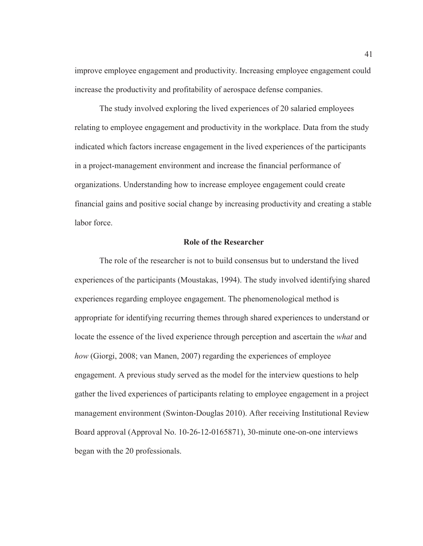improve employee engagement and productivity. Increasing employee engagement could increase the productivity and profitability of aerospace defense companies.

The study involved exploring the lived experiences of 20 salaried employees relating to employee engagement and productivity in the workplace. Data from the study indicated which factors increase engagement in the lived experiences of the participants in a project-management environment and increase the financial performance of organizations. Understanding how to increase employee engagement could create financial gains and positive social change by increasing productivity and creating a stable labor force.

## **Role of the Researcher**

The role of the researcher is not to build consensus but to understand the lived experiences of the participants (Moustakas, 1994). The study involved identifying shared experiences regarding employee engagement. The phenomenological method is appropriate for identifying recurring themes through shared experiences to understand or locate the essence of the lived experience through perception and ascertain the *what* and *how* (Giorgi, 2008; van Manen, 2007) regarding the experiences of employee engagement. A previous study served as the model for the interview questions to help gather the lived experiences of participants relating to employee engagement in a project management environment (Swinton-Douglas 2010). After receiving Institutional Review Board approval (Approval No. 10-26-12-0165871), 30-minute one-on-one interviews began with the 20 professionals.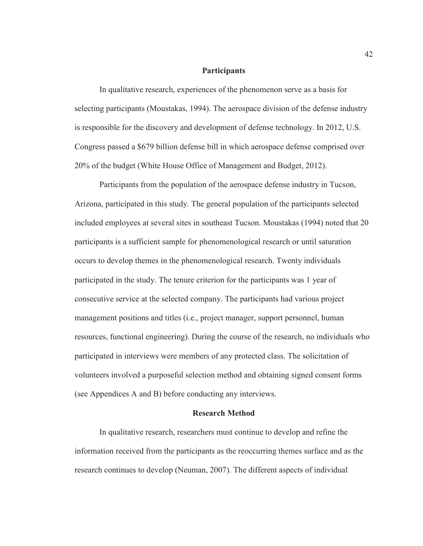## **Participants**

In qualitative research, experiences of the phenomenon serve as a basis for selecting participants (Moustakas, 1994). The aerospace division of the defense industry is responsible for the discovery and development of defense technology. In 2012, U.S. Congress passed a \$679 billion defense bill in which aerospace defense comprised over 20% of the budget (White House Office of Management and Budget, 2012).

Participants from the population of the aerospace defense industry in Tucson, Arizona, participated in this study. The general population of the participants selected included employees at several sites in southeast Tucson. Moustakas (1994) noted that 20 participants is a sufficient sample for phenomenological research or until saturation occurs to develop themes in the phenomenological research. Twenty individuals participated in the study. The tenure criterion for the participants was 1 year of consecutive service at the selected company. The participants had various project management positions and titles (i.e., project manager, support personnel, human resources, functional engineering). During the course of the research, no individuals who participated in interviews were members of any protected class. The solicitation of volunteers involved a purposeful selection method and obtaining signed consent forms (see Appendices A and B) before conducting any interviews.

## **Research Method**

In qualitative research, researchers must continue to develop and refine the information received from the participants as the reoccurring themes surface and as the research continues to develop (Neuman, 2007). The different aspects of individual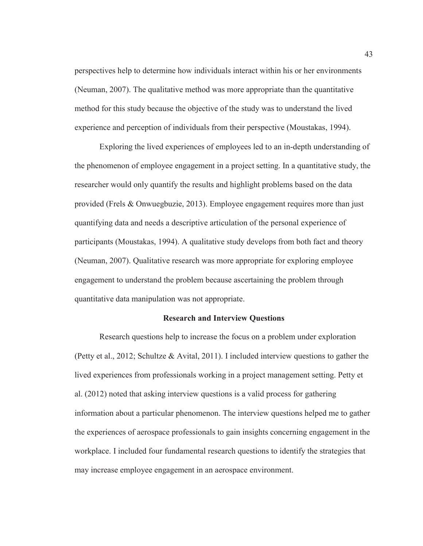perspectives help to determine how individuals interact within his or her environments (Neuman, 2007). The qualitative method was more appropriate than the quantitative method for this study because the objective of the study was to understand the lived experience and perception of individuals from their perspective (Moustakas, 1994).

Exploring the lived experiences of employees led to an in-depth understanding of the phenomenon of employee engagement in a project setting. In a quantitative study, the researcher would only quantify the results and highlight problems based on the data provided (Frels & Onwuegbuzie, 2013). Employee engagement requires more than just quantifying data and needs a descriptive articulation of the personal experience of participants (Moustakas, 1994). A qualitative study develops from both fact and theory (Neuman, 2007). Qualitative research was more appropriate for exploring employee engagement to understand the problem because ascertaining the problem through quantitative data manipulation was not appropriate.

# **Research and Interview Questions**

Research questions help to increase the focus on a problem under exploration (Petty et al., 2012; Schultze & Avital, 2011). I included interview questions to gather the lived experiences from professionals working in a project management setting. Petty et al. (2012) noted that asking interview questions is a valid process for gathering information about a particular phenomenon. The interview questions helped me to gather the experiences of aerospace professionals to gain insights concerning engagement in the workplace. I included four fundamental research questions to identify the strategies that may increase employee engagement in an aerospace environment.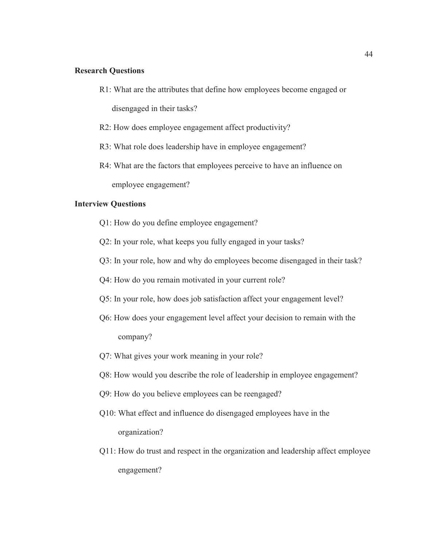# **Research Questions**

R1: What are the attributes that define how employees become engaged or

disengaged in their tasks?

- R2: How does employee engagement affect productivity?
- R3: What role does leadership have in employee engagement?
- R4: What are the factors that employees perceive to have an influence on employee engagement?

# **Interview Questions**

- Q1: How do you define employee engagement?
- Q2: In your role, what keeps you fully engaged in your tasks?
- Q3: In your role, how and why do employees become disengaged in their task?
- Q4: How do you remain motivated in your current role?
- Q5: In your role, how does job satisfaction affect your engagement level?
- Q6: How does your engagement level affect your decision to remain with the company?
- Q7: What gives your work meaning in your role?
- Q8: How would you describe the role of leadership in employee engagement?
- Q9: How do you believe employees can be reengaged?
- Q10: What effect and influence do disengaged employees have in the organization?
- Q11: How do trust and respect in the organization and leadership affect employee engagement?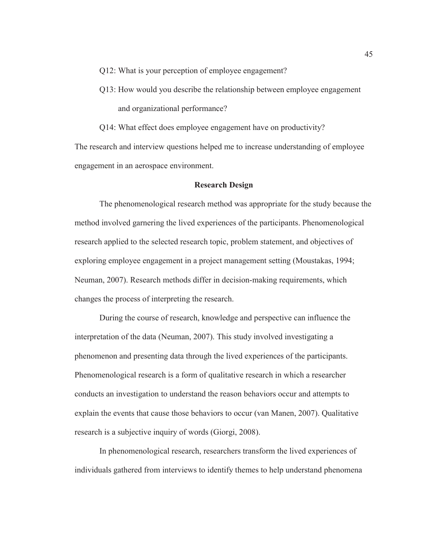Q12: What is your perception of employee engagement?

Q13: How would you describe the relationship between employee engagement and organizational performance?

Q14: What effect does employee engagement have on productivity?

The research and interview questions helped me to increase understanding of employee engagement in an aerospace environment.

## **Research Design**

The phenomenological research method was appropriate for the study because the method involved garnering the lived experiences of the participants. Phenomenological research applied to the selected research topic, problem statement, and objectives of exploring employee engagement in a project management setting (Moustakas, 1994; Neuman, 2007). Research methods differ in decision-making requirements, which changes the process of interpreting the research.

 During the course of research, knowledge and perspective can influence the interpretation of the data (Neuman, 2007). This study involved investigating a phenomenon and presenting data through the lived experiences of the participants. Phenomenological research is a form of qualitative research in which a researcher conducts an investigation to understand the reason behaviors occur and attempts to explain the events that cause those behaviors to occur (van Manen, 2007). Qualitative research is a subjective inquiry of words (Giorgi, 2008).

In phenomenological research, researchers transform the lived experiences of individuals gathered from interviews to identify themes to help understand phenomena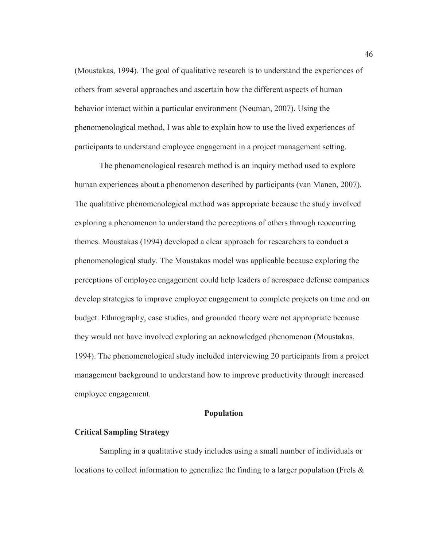(Moustakas, 1994). The goal of qualitative research is to understand the experiences of others from several approaches and ascertain how the different aspects of human behavior interact within a particular environment (Neuman, 2007). Using the phenomenological method, I was able to explain how to use the lived experiences of participants to understand employee engagement in a project management setting.

The phenomenological research method is an inquiry method used to explore human experiences about a phenomenon described by participants (van Manen, 2007). The qualitative phenomenological method was appropriate because the study involved exploring a phenomenon to understand the perceptions of others through reoccurring themes. Moustakas (1994) developed a clear approach for researchers to conduct a phenomenological study. The Moustakas model was applicable because exploring the perceptions of employee engagement could help leaders of aerospace defense companies develop strategies to improve employee engagement to complete projects on time and on budget. Ethnography, case studies, and grounded theory were not appropriate because they would not have involved exploring an acknowledged phenomenon (Moustakas, 1994). The phenomenological study included interviewing 20 participants from a project management background to understand how to improve productivity through increased employee engagement.

#### **Population**

# **Critical Sampling Strategy**

Sampling in a qualitative study includes using a small number of individuals or locations to collect information to generalize the finding to a larger population (Frels &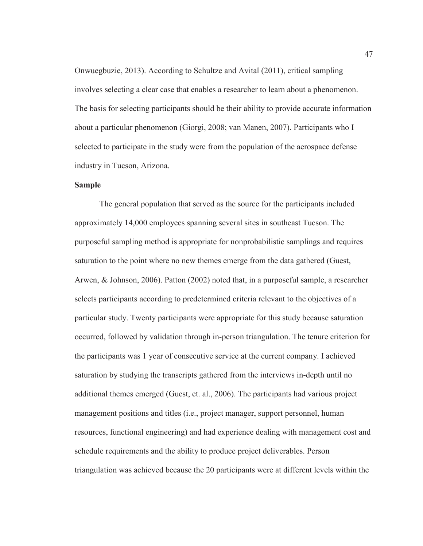Onwuegbuzie, 2013). According to Schultze and Avital (2011), critical sampling involves selecting a clear case that enables a researcher to learn about a phenomenon. The basis for selecting participants should be their ability to provide accurate information about a particular phenomenon (Giorgi, 2008; van Manen, 2007). Participants who I selected to participate in the study were from the population of the aerospace defense industry in Tucson, Arizona.

# **Sample**

The general population that served as the source for the participants included approximately 14,000 employees spanning several sites in southeast Tucson. The purposeful sampling method is appropriate for nonprobabilistic samplings and requires saturation to the point where no new themes emerge from the data gathered (Guest, Arwen, & Johnson, 2006). Patton (2002) noted that, in a purposeful sample, a researcher selects participants according to predetermined criteria relevant to the objectives of a particular study. Twenty participants were appropriate for this study because saturation occurred, followed by validation through in-person triangulation. The tenure criterion for the participants was 1 year of consecutive service at the current company. I achieved saturation by studying the transcripts gathered from the interviews in-depth until no additional themes emerged (Guest, et. al., 2006). The participants had various project management positions and titles (i.e., project manager, support personnel, human resources, functional engineering) and had experience dealing with management cost and schedule requirements and the ability to produce project deliverables. Person triangulation was achieved because the 20 participants were at different levels within the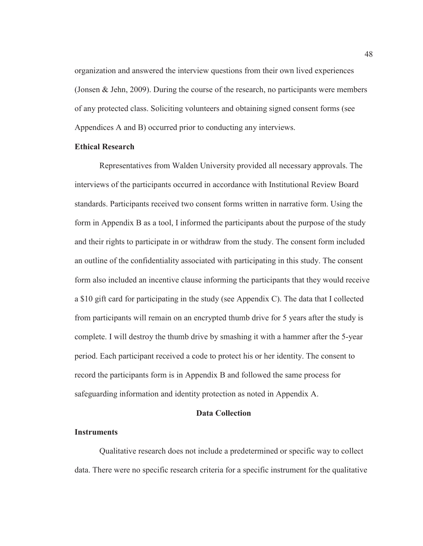organization and answered the interview questions from their own lived experiences (Jonsen & Jehn, 2009). During the course of the research, no participants were members of any protected class. Soliciting volunteers and obtaining signed consent forms (see Appendices A and B) occurred prior to conducting any interviews.

#### **Ethical Research**

Representatives from Walden University provided all necessary approvals. The interviews of the participants occurred in accordance with Institutional Review Board standards. Participants received two consent forms written in narrative form. Using the form in Appendix B as a tool, I informed the participants about the purpose of the study and their rights to participate in or withdraw from the study. The consent form included an outline of the confidentiality associated with participating in this study. The consent form also included an incentive clause informing the participants that they would receive a \$10 gift card for participating in the study (see Appendix C). The data that I collected from participants will remain on an encrypted thumb drive for 5 years after the study is complete. I will destroy the thumb drive by smashing it with a hammer after the 5-year period. Each participant received a code to protect his or her identity. The consent to record the participants form is in Appendix B and followed the same process for safeguarding information and identity protection as noted in Appendix A.

# **Data Collection**

## **Instruments**

Qualitative research does not include a predetermined or specific way to collect data. There were no specific research criteria for a specific instrument for the qualitative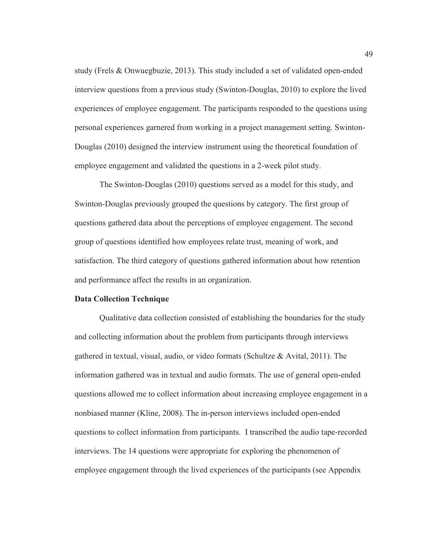study (Frels & Onwuegbuzie, 2013). This study included a set of validated open-ended interview questions from a previous study (Swinton-Douglas, 2010) to explore the lived experiences of employee engagement. The participants responded to the questions using personal experiences garnered from working in a project management setting. Swinton-Douglas (2010) designed the interview instrument using the theoretical foundation of employee engagement and validated the questions in a 2-week pilot study.

 The Swinton-Douglas (2010) questions served as a model for this study, and Swinton-Douglas previously grouped the questions by category. The first group of questions gathered data about the perceptions of employee engagement. The second group of questions identified how employees relate trust, meaning of work, and satisfaction. The third category of questions gathered information about how retention and performance affect the results in an organization.

# **Data Collection Technique**

Qualitative data collection consisted of establishing the boundaries for the study and collecting information about the problem from participants through interviews gathered in textual, visual, audio, or video formats (Schultze & Avital, 2011). The information gathered was in textual and audio formats. The use of general open-ended questions allowed me to collect information about increasing employee engagement in a nonbiased manner (Kline, 2008). The in-person interviews included open-ended questions to collect information from participants. I transcribed the audio tape-recorded interviews. The 14 questions were appropriate for exploring the phenomenon of employee engagement through the lived experiences of the participants (see Appendix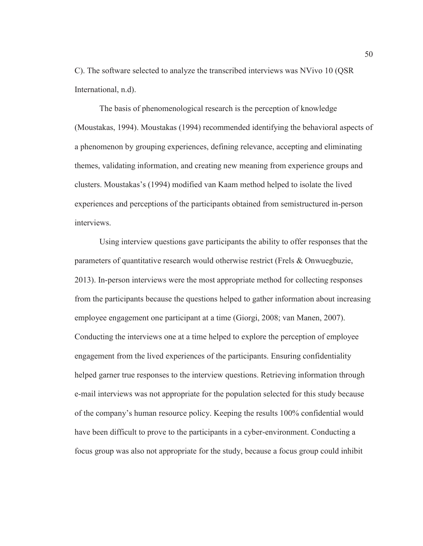C). The software selected to analyze the transcribed interviews was NVivo 10 (QSR International, n.d).

The basis of phenomenological research is the perception of knowledge (Moustakas, 1994). Moustakas (1994) recommended identifying the behavioral aspects of a phenomenon by grouping experiences, defining relevance, accepting and eliminating themes, validating information, and creating new meaning from experience groups and clusters. Moustakas's (1994) modified van Kaam method helped to isolate the lived experiences and perceptions of the participants obtained from semistructured in-person interviews.

Using interview questions gave participants the ability to offer responses that the parameters of quantitative research would otherwise restrict (Frels & Onwuegbuzie, 2013). In-person interviews were the most appropriate method for collecting responses from the participants because the questions helped to gather information about increasing employee engagement one participant at a time (Giorgi, 2008; van Manen, 2007). Conducting the interviews one at a time helped to explore the perception of employee engagement from the lived experiences of the participants. Ensuring confidentiality helped garner true responses to the interview questions. Retrieving information through e-mail interviews was not appropriate for the population selected for this study because of the company's human resource policy. Keeping the results 100% confidential would have been difficult to prove to the participants in a cyber-environment. Conducting a focus group was also not appropriate for the study, because a focus group could inhibit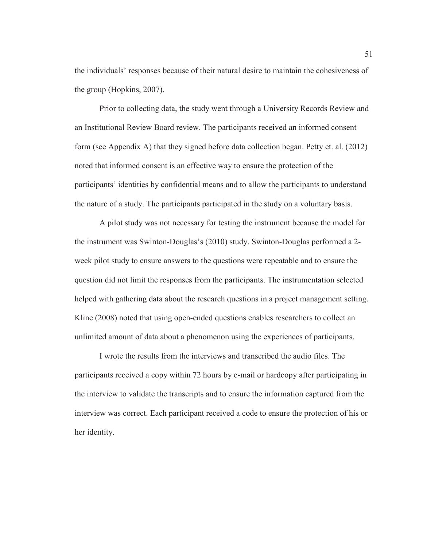the individuals' responses because of their natural desire to maintain the cohesiveness of the group (Hopkins, 2007).

Prior to collecting data, the study went through a University Records Review and an Institutional Review Board review. The participants received an informed consent form (see Appendix A) that they signed before data collection began. Petty et. al. (2012) noted that informed consent is an effective way to ensure the protection of the participants' identities by confidential means and to allow the participants to understand the nature of a study. The participants participated in the study on a voluntary basis.

A pilot study was not necessary for testing the instrument because the model for the instrument was Swinton-Douglas's (2010) study. Swinton-Douglas performed a 2 week pilot study to ensure answers to the questions were repeatable and to ensure the question did not limit the responses from the participants. The instrumentation selected helped with gathering data about the research questions in a project management setting. Kline (2008) noted that using open-ended questions enables researchers to collect an unlimited amount of data about a phenomenon using the experiences of participants.

I wrote the results from the interviews and transcribed the audio files. The participants received a copy within 72 hours by e-mail or hardcopy after participating in the interview to validate the transcripts and to ensure the information captured from the interview was correct. Each participant received a code to ensure the protection of his or her identity.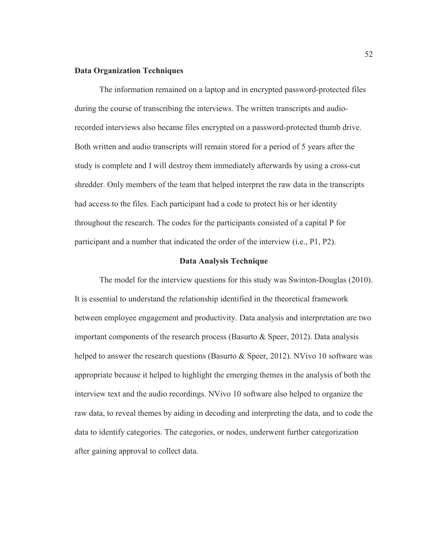# **Data Organization Techniques**

The information remained on a laptop and in encrypted password-protected files during the course of transcribing the interviews. The written transcripts and audiorecorded interviews also became files encrypted on a password-protected thumb drive. Both written and audio transcripts will remain stored for a period of 5 years after the study is complete and I will destroy them immediately afterwards by using a cross-cut shredder. Only members of the team that helped interpret the raw data in the transcripts had access to the files. Each participant had a code to protect his or her identity throughout the research. The codes for the participants consisted of a capital P for participant and a number that indicated the order of the interview (i.e., P1, P2).

# **Data Analysis Technique**

The model for the interview questions for this study was Swinton-Douglas (2010). It is essential to understand the relationship identified in the theoretical framework between employee engagement and productivity. Data analysis and interpretation are two important components of the research process (Basurto & Speer, 2012). Data analysis helped to answer the research questions (Basurto & Speer, 2012). NVivo 10 software was appropriate because it helped to highlight the emerging themes in the analysis of both the interview text and the audio recordings. NVivo 10 software also helped to organize the raw data, to reveal themes by aiding in decoding and interpreting the data, and to code the data to identify categories. The categories, or nodes, underwent further categorization after gaining approval to collect data.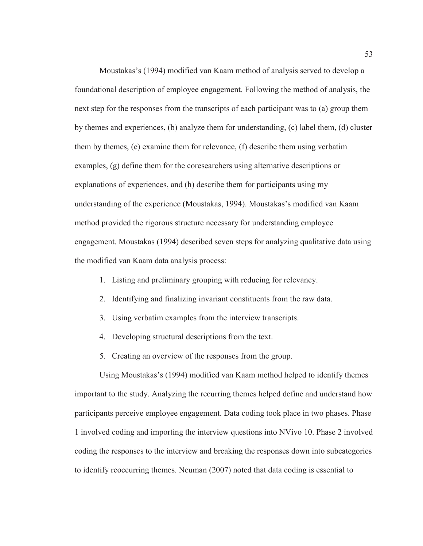Moustakas's (1994) modified van Kaam method of analysis served to develop a foundational description of employee engagement. Following the method of analysis, the next step for the responses from the transcripts of each participant was to (a) group them by themes and experiences, (b) analyze them for understanding, (c) label them, (d) cluster them by themes, (e) examine them for relevance, (f) describe them using verbatim examples, (g) define them for the coresearchers using alternative descriptions or explanations of experiences, and (h) describe them for participants using my understanding of the experience (Moustakas, 1994). Moustakas's modified van Kaam method provided the rigorous structure necessary for understanding employee engagement. Moustakas (1994) described seven steps for analyzing qualitative data using the modified van Kaam data analysis process:

- 1. Listing and preliminary grouping with reducing for relevancy.
- 2. Identifying and finalizing invariant constituents from the raw data.
- 3. Using verbatim examples from the interview transcripts.
- 4. Developing structural descriptions from the text.
- 5. Creating an overview of the responses from the group.

Using Moustakas's (1994) modified van Kaam method helped to identify themes important to the study. Analyzing the recurring themes helped define and understand how participants perceive employee engagement. Data coding took place in two phases. Phase 1 involved coding and importing the interview questions into NVivo 10. Phase 2 involved coding the responses to the interview and breaking the responses down into subcategories to identify reoccurring themes. Neuman (2007) noted that data coding is essential to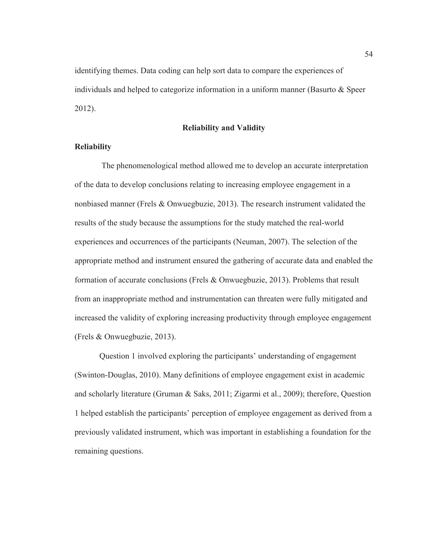identifying themes. Data coding can help sort data to compare the experiences of individuals and helped to categorize information in a uniform manner (Basurto & Speer 2012).

## **Reliability and Validity**

# **Reliability**

 The phenomenological method allowed me to develop an accurate interpretation of the data to develop conclusions relating to increasing employee engagement in a nonbiased manner (Frels & Onwuegbuzie, 2013). The research instrument validated the results of the study because the assumptions for the study matched the real-world experiences and occurrences of the participants (Neuman, 2007). The selection of the appropriate method and instrument ensured the gathering of accurate data and enabled the formation of accurate conclusions (Frels & Onwuegbuzie, 2013). Problems that result from an inappropriate method and instrumentation can threaten were fully mitigated and increased the validity of exploring increasing productivity through employee engagement (Frels & Onwuegbuzie, 2013).

 Question 1 involved exploring the participants' understanding of engagement (Swinton-Douglas, 2010). Many definitions of employee engagement exist in academic and scholarly literature (Gruman & Saks, 2011; Zigarmi et al., 2009); therefore, Question 1 helped establish the participants' perception of employee engagement as derived from a previously validated instrument, which was important in establishing a foundation for the remaining questions.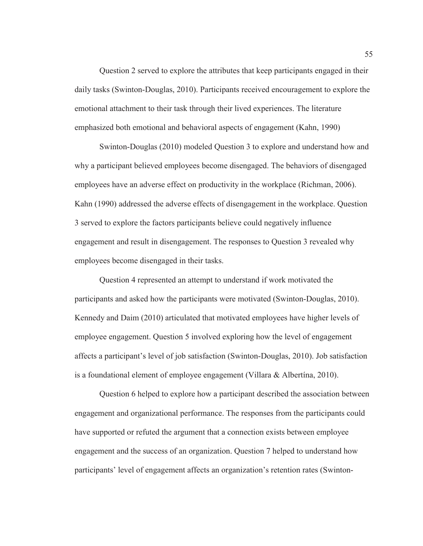Question 2 served to explore the attributes that keep participants engaged in their daily tasks (Swinton-Douglas, 2010). Participants received encouragement to explore the emotional attachment to their task through their lived experiences. The literature emphasized both emotional and behavioral aspects of engagement (Kahn, 1990)

 Swinton-Douglas (2010) modeled Question 3 to explore and understand how and why a participant believed employees become disengaged. The behaviors of disengaged employees have an adverse effect on productivity in the workplace (Richman, 2006). Kahn (1990) addressed the adverse effects of disengagement in the workplace. Question 3 served to explore the factors participants believe could negatively influence engagement and result in disengagement. The responses to Question 3 revealed why employees become disengaged in their tasks.

 Question 4 represented an attempt to understand if work motivated the participants and asked how the participants were motivated (Swinton-Douglas, 2010). Kennedy and Daim (2010) articulated that motivated employees have higher levels of employee engagement. Question 5 involved exploring how the level of engagement affects a participant's level of job satisfaction (Swinton-Douglas, 2010). Job satisfaction is a foundational element of employee engagement (Villara & Albertína, 2010).

 Question 6 helped to explore how a participant described the association between engagement and organizational performance. The responses from the participants could have supported or refuted the argument that a connection exists between employee engagement and the success of an organization. Question 7 helped to understand how participants' level of engagement affects an organization's retention rates (Swinton-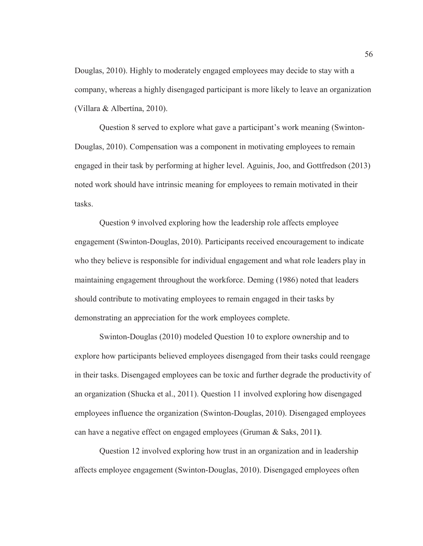Douglas, 2010). Highly to moderately engaged employees may decide to stay with a company, whereas a highly disengaged participant is more likely to leave an organization (Villara & Albertína, 2010).

 Question 8 served to explore what gave a participant's work meaning (Swinton-Douglas, 2010). Compensation was a component in motivating employees to remain engaged in their task by performing at higher level. Aguinis, Joo, and Gottfredson (2013) noted work should have intrinsic meaning for employees to remain motivated in their tasks.

 Question 9 involved exploring how the leadership role affects employee engagement (Swinton-Douglas, 2010). Participants received encouragement to indicate who they believe is responsible for individual engagement and what role leaders play in maintaining engagement throughout the workforce. Deming (1986) noted that leaders should contribute to motivating employees to remain engaged in their tasks by demonstrating an appreciation for the work employees complete.

 Swinton-Douglas (2010) modeled Question 10 to explore ownership and to explore how participants believed employees disengaged from their tasks could reengage in their tasks. Disengaged employees can be toxic and further degrade the productivity of an organization (Shucka et al., 2011). Question 11 involved exploring how disengaged employees influence the organization (Swinton-Douglas, 2010). Disengaged employees can have a negative effect on engaged employees (Gruman & Saks, 2011**)**.

 Question 12 involved exploring how trust in an organization and in leadership affects employee engagement (Swinton-Douglas, 2010). Disengaged employees often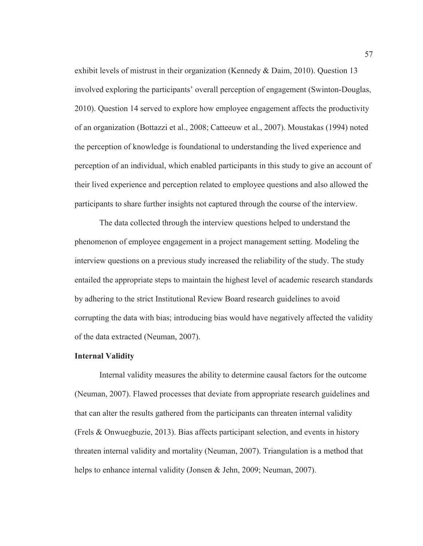exhibit levels of mistrust in their organization (Kennedy & Daim, 2010). Question 13 involved exploring the participants' overall perception of engagement (Swinton-Douglas, 2010). Question 14 served to explore how employee engagement affects the productivity of an organization (Bottazzi et al., 2008; Catteeuw et al., 2007). Moustakas (1994) noted the perception of knowledge is foundational to understanding the lived experience and perception of an individual, which enabled participants in this study to give an account of their lived experience and perception related to employee questions and also allowed the participants to share further insights not captured through the course of the interview.

 The data collected through the interview questions helped to understand the phenomenon of employee engagement in a project management setting. Modeling the interview questions on a previous study increased the reliability of the study. The study entailed the appropriate steps to maintain the highest level of academic research standards by adhering to the strict Institutional Review Board research guidelines to avoid corrupting the data with bias; introducing bias would have negatively affected the validity of the data extracted (Neuman, 2007).

## **Internal Validity**

Internal validity measures the ability to determine causal factors for the outcome (Neuman, 2007). Flawed processes that deviate from appropriate research guidelines and that can alter the results gathered from the participants can threaten internal validity (Frels & Onwuegbuzie, 2013). Bias affects participant selection, and events in history threaten internal validity and mortality (Neuman, 2007). Triangulation is a method that helps to enhance internal validity (Jonsen & Jehn, 2009; Neuman, 2007).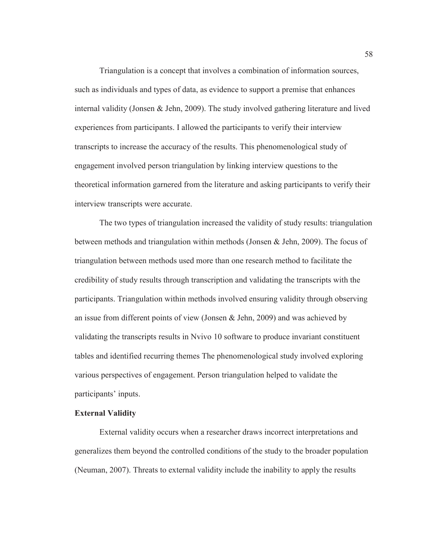Triangulation is a concept that involves a combination of information sources, such as individuals and types of data, as evidence to support a premise that enhances internal validity (Jonsen & Jehn, 2009). The study involved gathering literature and lived experiences from participants. I allowed the participants to verify their interview transcripts to increase the accuracy of the results. This phenomenological study of engagement involved person triangulation by linking interview questions to the theoretical information garnered from the literature and asking participants to verify their interview transcripts were accurate.

The two types of triangulation increased the validity of study results: triangulation between methods and triangulation within methods (Jonsen & Jehn, 2009). The focus of triangulation between methods used more than one research method to facilitate the credibility of study results through transcription and validating the transcripts with the participants. Triangulation within methods involved ensuring validity through observing an issue from different points of view (Jonsen & Jehn, 2009) and was achieved by validating the transcripts results in Nvivo 10 software to produce invariant constituent tables and identified recurring themes The phenomenological study involved exploring various perspectives of engagement. Person triangulation helped to validate the participants' inputs.

# **External Validity**

External validity occurs when a researcher draws incorrect interpretations and generalizes them beyond the controlled conditions of the study to the broader population (Neuman, 2007). Threats to external validity include the inability to apply the results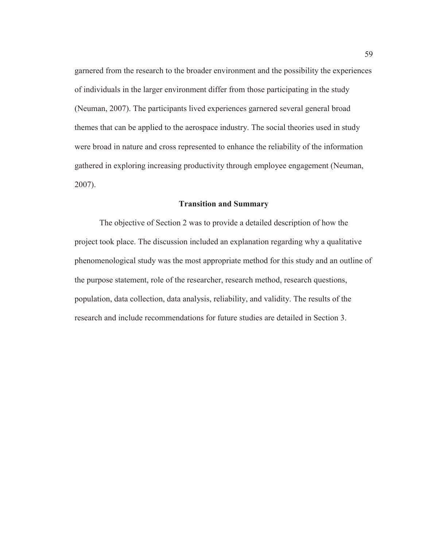garnered from the research to the broader environment and the possibility the experiences of individuals in the larger environment differ from those participating in the study (Neuman, 2007). The participants lived experiences garnered several general broad themes that can be applied to the aerospace industry. The social theories used in study were broad in nature and cross represented to enhance the reliability of the information gathered in exploring increasing productivity through employee engagement (Neuman, 2007).

# **Transition and Summary**

The objective of Section 2 was to provide a detailed description of how the project took place. The discussion included an explanation regarding why a qualitative phenomenological study was the most appropriate method for this study and an outline of the purpose statement, role of the researcher, research method, research questions, population, data collection, data analysis, reliability, and validity. The results of the research and include recommendations for future studies are detailed in Section 3.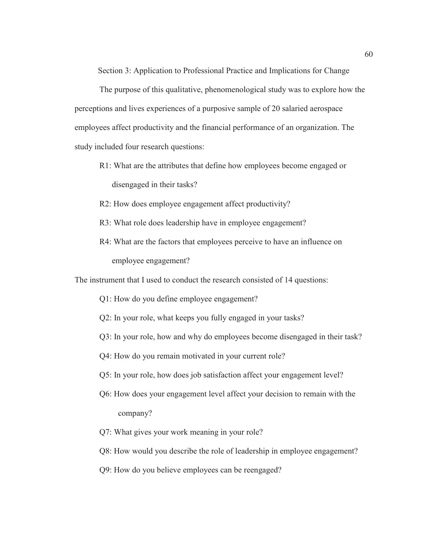Section 3: Application to Professional Practice and Implications for Change

The purpose of this qualitative, phenomenological study was to explore how the perceptions and lives experiences of a purposive sample of 20 salaried aerospace employees affect productivity and the financial performance of an organization. The study included four research questions:

- R1: What are the attributes that define how employees become engaged or disengaged in their tasks?
- R2: How does employee engagement affect productivity?
- R3: What role does leadership have in employee engagement?
- R4: What are the factors that employees perceive to have an influence on employee engagement?

The instrument that I used to conduct the research consisted of 14 questions:

- Q1: How do you define employee engagement?
- Q2: In your role, what keeps you fully engaged in your tasks?
- Q3: In your role, how and why do employees become disengaged in their task?
- Q4: How do you remain motivated in your current role?
- Q5: In your role, how does job satisfaction affect your engagement level?
- Q6: How does your engagement level affect your decision to remain with the company?
- Q7: What gives your work meaning in your role?
- Q8: How would you describe the role of leadership in employee engagement?
- Q9: How do you believe employees can be reengaged?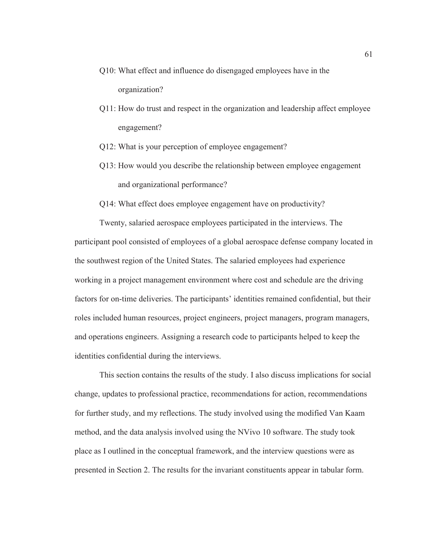- Q10: What effect and influence do disengaged employees have in the organization?
- Q11: How do trust and respect in the organization and leadership affect employee engagement?
- Q12: What is your perception of employee engagement?
- Q13: How would you describe the relationship between employee engagement and organizational performance?
- Q14: What effect does employee engagement have on productivity?

Twenty, salaried aerospace employees participated in the interviews. The participant pool consisted of employees of a global aerospace defense company located in the southwest region of the United States. The salaried employees had experience working in a project management environment where cost and schedule are the driving factors for on-time deliveries. The participants' identities remained confidential, but their roles included human resources, project engineers, project managers, program managers, and operations engineers. Assigning a research code to participants helped to keep the identities confidential during the interviews.

This section contains the results of the study. I also discuss implications for social change, updates to professional practice, recommendations for action, recommendations for further study, and my reflections. The study involved using the modified Van Kaam method, and the data analysis involved using the NVivo 10 software. The study took place as I outlined in the conceptual framework, and the interview questions were as presented in Section 2. The results for the invariant constituents appear in tabular form.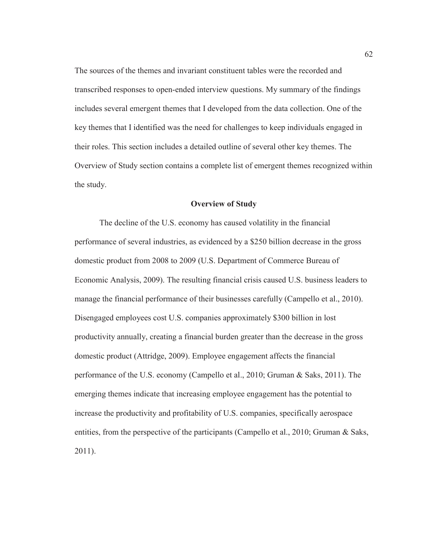The sources of the themes and invariant constituent tables were the recorded and transcribed responses to open-ended interview questions. My summary of the findings includes several emergent themes that I developed from the data collection. One of the key themes that I identified was the need for challenges to keep individuals engaged in their roles. This section includes a detailed outline of several other key themes. The Overview of Study section contains a complete list of emergent themes recognized within the study.

#### **Overview of Study**

The decline of the U.S. economy has caused volatility in the financial performance of several industries, as evidenced by a \$250 billion decrease in the gross domestic product from 2008 to 2009 (U.S. Department of Commerce Bureau of Economic Analysis, 2009). The resulting financial crisis caused U.S. business leaders to manage the financial performance of their businesses carefully (Campello et al., 2010). Disengaged employees cost U.S. companies approximately \$300 billion in lost productivity annually, creating a financial burden greater than the decrease in the gross domestic product (Attridge, 2009). Employee engagement affects the financial performance of the U.S. economy (Campello et al., 2010; Gruman & Saks, 2011). The emerging themes indicate that increasing employee engagement has the potential to increase the productivity and profitability of U.S. companies, specifically aerospace entities, from the perspective of the participants (Campello et al., 2010; Gruman & Saks, 2011).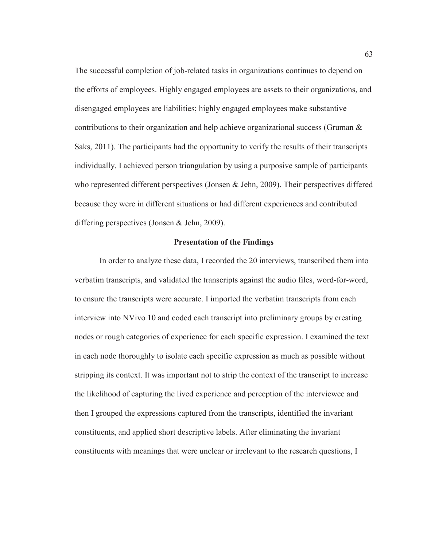The successful completion of job-related tasks in organizations continues to depend on the efforts of employees. Highly engaged employees are assets to their organizations, and disengaged employees are liabilities; highly engaged employees make substantive contributions to their organization and help achieve organizational success (Gruman & Saks, 2011). The participants had the opportunity to verify the results of their transcripts individually. I achieved person triangulation by using a purposive sample of participants who represented different perspectives (Jonsen & Jehn, 2009). Their perspectives differed because they were in different situations or had different experiences and contributed differing perspectives (Jonsen & Jehn, 2009).

#### **Presentation of the Findings**

In order to analyze these data, I recorded the 20 interviews, transcribed them into verbatim transcripts, and validated the transcripts against the audio files, word-for-word, to ensure the transcripts were accurate. I imported the verbatim transcripts from each interview into NVivo 10 and coded each transcript into preliminary groups by creating nodes or rough categories of experience for each specific expression. I examined the text in each node thoroughly to isolate each specific expression as much as possible without stripping its context. It was important not to strip the context of the transcript to increase the likelihood of capturing the lived experience and perception of the interviewee and then I grouped the expressions captured from the transcripts, identified the invariant constituents, and applied short descriptive labels. After eliminating the invariant constituents with meanings that were unclear or irrelevant to the research questions, I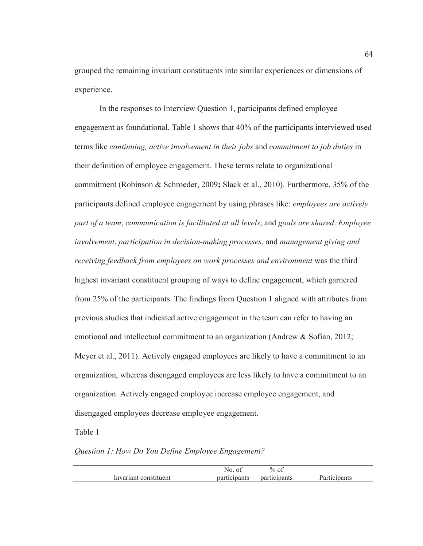grouped the remaining invariant constituents into similar experiences or dimensions of experience.

In the responses to Interview Question 1, participants defined employee engagement as foundational. Table 1 shows that 40% of the participants interviewed used terms like *continuing, active involvement in their jobs* and *commitment to job duties* in their definition of employee engagement. These terms relate to organizational commitment (Robinson & Schroeder, 2009**;** Slack et al., 2010). Furthermore, 35% of the participants defined employee engagement by using phrases like: *employees are actively part of a team*, *communication is facilitated at all levels*, and *goals are shared*. *Employee involvement*, *participation in decision-making processes*, and *management giving and receiving feedback from employees on work processes and environment* was the third highest invariant constituent grouping of ways to define engagement, which garnered from 25% of the participants. The findings from Question 1 aligned with attributes from previous studies that indicated active engagement in the team can refer to having an emotional and intellectual commitment to an organization (Andrew & Sofian, 2012; Meyer et al., 2011). Actively engaged employees are likely to have a commitment to an organization, whereas disengaged employees are less likely to have a commitment to an organization. Actively engaged employee increase employee engagement, and disengaged employees decrease employee engagement.

Table 1

# *Question 1: How Do You Define Employee Engagement?*

|                       | NO.<br>01    | $\%$ of      |              |
|-----------------------|--------------|--------------|--------------|
| Invariant constituent | participants | participants | Participants |
|                       |              |              |              |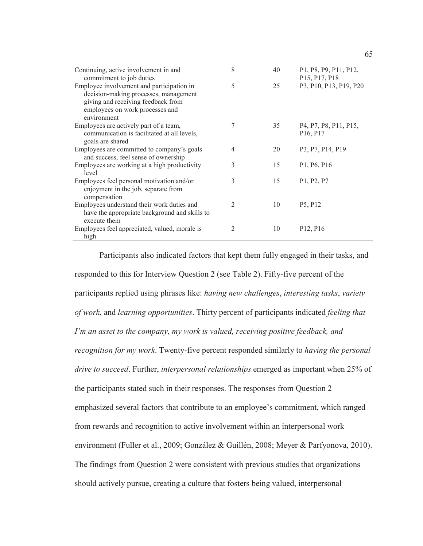| Continuing, active involvement in and<br>commitment to job duties | 8 | 40 | P1, P8, P9, P11, P12,<br>P15, P17, P18                                                 |
|-------------------------------------------------------------------|---|----|----------------------------------------------------------------------------------------|
| Employee involvement and participation in                         | 5 | 25 | P3, P10, P13, P19, P20                                                                 |
| decision-making processes, management                             |   |    |                                                                                        |
| giving and receiving feedback from                                |   |    |                                                                                        |
| employees on work processes and                                   |   |    |                                                                                        |
| environment                                                       |   |    |                                                                                        |
| Employees are actively part of a team,                            | 7 | 35 | P <sub>4</sub> , P <sub>7</sub> , P <sub>8</sub> , P <sub>11</sub> , P <sub>15</sub> , |
| communication is facilitated at all levels,                       |   |    | P <sub>16</sub> , P <sub>17</sub>                                                      |
| goals are shared                                                  |   |    |                                                                                        |
| Employees are committed to company's goals                        | 4 | 20 | P3, P7, P14, P19                                                                       |
| and success, feel sense of ownership                              |   |    |                                                                                        |
| Employees are working at a high productivity                      | 3 | 15 | P <sub>1</sub> , P <sub>6</sub> , P <sub>16</sub>                                      |
| level                                                             |   |    |                                                                                        |
| Employees feel personal motivation and/or                         | 3 | 15 | P <sub>1</sub> , P <sub>2</sub> , P <sub>7</sub>                                       |
| enjoyment in the job, separate from                               |   |    |                                                                                        |
| compensation                                                      |   |    |                                                                                        |
| Employees understand their work duties and                        | 2 | 10 | P <sub>5</sub> , P <sub>12</sub>                                                       |
| have the appropriate background and skills to                     |   |    |                                                                                        |
| execute them                                                      |   |    |                                                                                        |
| Employees feel appreciated, valued, morale is                     | 2 | 10 | P <sub>12</sub> , P <sub>16</sub>                                                      |
| high                                                              |   |    |                                                                                        |

Participants also indicated factors that kept them fully engaged in their tasks, and responded to this for Interview Question 2 (see Table 2). Fifty-five percent of the participants replied using phrases like: *having new challenges*, *interesting tasks*, *variety of work*, and *learning opportunities*. Thirty percent of participants indicated *feeling that I'm an asset to the company, my work is valued, receiving positive feedback, and recognition for my work*. Twenty-five percent responded similarly to *having the personal drive to succeed*. Further, *interpersonal relationships* emerged as important when 25% of the participants stated such in their responses. The responses from Question 2 emphasized several factors that contribute to an employee's commitment, which ranged from rewards and recognition to active involvement within an interpersonal work environment (Fuller et al., 2009; González & Guillén, 2008; Meyer & Parfyonova, 2010). The findings from Question 2 were consistent with previous studies that organizations should actively pursue, creating a culture that fosters being valued, interpersonal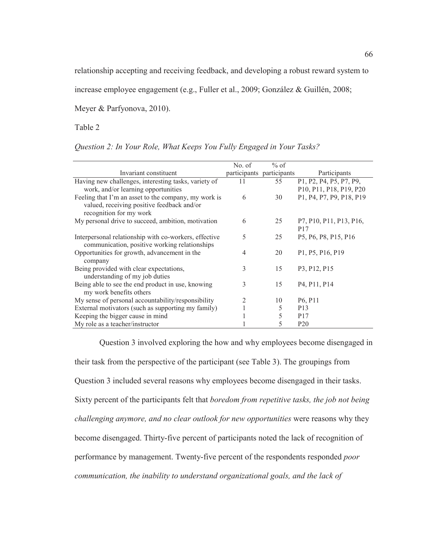relationship accepting and receiving feedback, and developing a robust reward system to

increase employee engagement (e.g., Fuller et al., 2009; González & Guillén, 2008;

Meyer & Parfyonova, 2010).

Table 2

| Question 2: In Your Role, What Keeps You Fully Engaged in Your Tasks? |  |  |  |  |  |  |
|-----------------------------------------------------------------------|--|--|--|--|--|--|
|                                                                       |  |  |  |  |  |  |

|                                                                                                                               | No. of | $%$ of                    |                                                    |
|-------------------------------------------------------------------------------------------------------------------------------|--------|---------------------------|----------------------------------------------------|
| Invariant constituent                                                                                                         |        | participants participants | Participants                                       |
| Having new challenges, interesting tasks, variety of                                                                          | 11     | 55                        | P1, P2, P4, P5, P7, P9,                            |
| work, and/or learning opportunities                                                                                           |        |                           | P10, P11, P18, P19, P20                            |
| Feeling that I'm an asset to the company, my work is<br>valued, receiving positive feedback and/or<br>recognition for my work | 6      | 30                        | P1, P4, P7, P9, P18, P19                           |
| My personal drive to succeed, ambition, motivation                                                                            | 6      | 25                        | P7, P10, P11, P13, P16,<br>P <sub>17</sub>         |
| Interpersonal relationship with co-workers, effective<br>communication, positive working relationships                        | 5      | 25                        | P5, P6, P8, P15, P16                               |
| Opportunities for growth, advancement in the<br>company                                                                       | 4      | 20                        | P1, P5, P16, P19                                   |
| Being provided with clear expectations,<br>understanding of my job duties                                                     | 3      | 15                        | P3, P12, P15                                       |
| Being able to see the end product in use, knowing<br>my work benefits others                                                  | 3      | 15                        | P <sub>4</sub> , P <sub>11</sub> , P <sub>14</sub> |
| My sense of personal accountability/responsibility                                                                            | 2      | 10                        | P <sub>6</sub> , P <sub>11</sub>                   |
| External motivators (such as supporting my family)                                                                            |        | 5                         | P <sub>13</sub>                                    |
| Keeping the bigger cause in mind                                                                                              |        | 5                         | P <sub>17</sub>                                    |
| My role as a teacher/instructor                                                                                               |        | 5                         | P <sub>20</sub>                                    |

Question 3 involved exploring the how and why employees become disengaged in their task from the perspective of the participant (see Table 3). The groupings from Question 3 included several reasons why employees become disengaged in their tasks. Sixty percent of the participants felt that *boredom from repetitive tasks, the job not being challenging anymore, and no clear outlook for new opportunities* were reasons why they become disengaged. Thirty-five percent of participants noted the lack of recognition of performance by management. Twenty-five percent of the respondents responded *poor communication, the inability to understand organizational goals, and the lack of*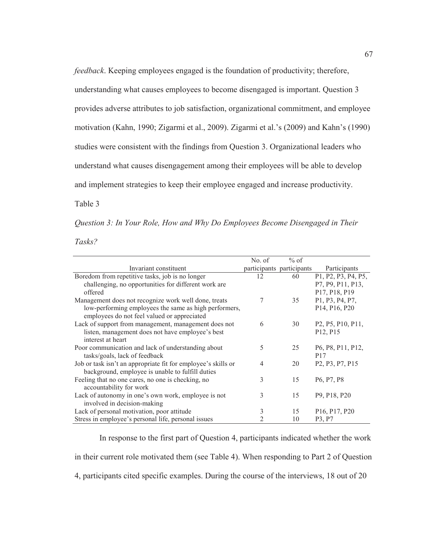*feedback*. Keeping employees engaged is the foundation of productivity; therefore, understanding what causes employees to become disengaged is important. Question 3 provides adverse attributes to job satisfaction, organizational commitment, and employee motivation (Kahn, 1990; Zigarmi et al., 2009). Zigarmi et al.'s (2009) and Kahn's (1990) studies were consistent with the findings from Question 3. Organizational leaders who understand what causes disengagement among their employees will be able to develop and implement strategies to keep their employee engaged and increase productivity.

Table 3

|  |  |  |  |  | Question 3: In Your Role, How and Why Do Employees Become Disengaged in Their |  |
|--|--|--|--|--|-------------------------------------------------------------------------------|--|
|  |  |  |  |  |                                                                               |  |

*Tasks?* 

|                                                               | No. of | $%$ of                    |                                                                       |
|---------------------------------------------------------------|--------|---------------------------|-----------------------------------------------------------------------|
| Invariant constituent                                         |        | participants participants | Participants                                                          |
| Boredom from repetitive tasks, job is no longer               | 12     | 60                        | P1, P2, P3, P4, P5,                                                   |
| challenging, no opportunities for different work are          |        |                           | P7, P9, P11, P13,                                                     |
| offered                                                       |        |                           | P17, P18, P19                                                         |
| Management does not recognize work well done, treats          | 7      | 35                        | P1, P3, P4, P7,                                                       |
| low-performing employees the same as high performers,         |        |                           | P <sub>14</sub> , P <sub>16</sub> , P <sub>20</sub>                   |
| employees do not feel valued or appreciated                   |        |                           |                                                                       |
| Lack of support from management, management does not          | 6      | 30                        | P <sub>2</sub> , P <sub>5</sub> , P <sub>10</sub> , P <sub>11</sub> , |
| listen, management does not have employee's best              |        |                           | P <sub>12</sub> , P <sub>15</sub>                                     |
| interest at heart                                             |        |                           |                                                                       |
| Poor communication and lack of understanding about            | 5      | 25                        | P <sub>6</sub> , P <sub>8</sub> , P <sub>11</sub> , P <sub>12</sub> , |
| tasks/goals, lack of feedback                                 |        |                           | P <sub>17</sub>                                                       |
| Job or task isn't an appropriate fit for employee's skills or | 4      | 20                        | P <sub>2</sub> , P <sub>3</sub> , P <sub>7</sub> , P <sub>15</sub>    |
| background, employee is unable to fulfill duties              |        |                           |                                                                       |
| Feeling that no one cares, no one is checking, no             | 3      | 15                        | P <sub>6</sub> , P <sub>7</sub> , P <sub>8</sub>                      |
| accountability for work                                       |        |                           |                                                                       |
| Lack of autonomy in one's own work, employee is not           | 3      | 15                        | P <sub>9</sub> , P <sub>18</sub> , P <sub>20</sub>                    |
| involved in decision-making                                   |        |                           |                                                                       |
| Lack of personal motivation, poor attitude                    | 3      | 15                        | P <sub>16</sub> , P <sub>17</sub> , P <sub>20</sub>                   |
| Stress in employee's personal life, personal issues           |        | 10                        | P <sub>3</sub> , P <sub>7</sub>                                       |

In response to the first part of Question 4, participants indicated whether the work in their current role motivated them (see Table 4). When responding to Part 2 of Question 4, participants cited specific examples. During the course of the interviews, 18 out of 20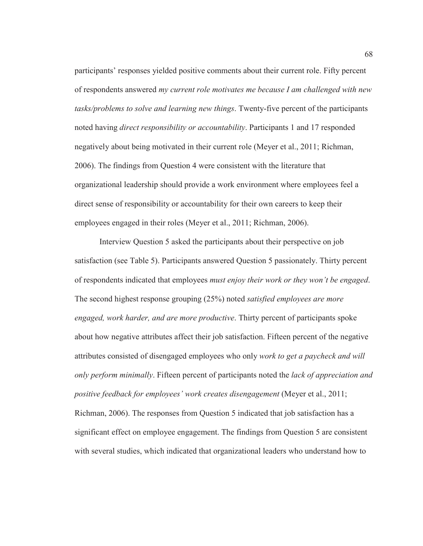participants' responses yielded positive comments about their current role. Fifty percent of respondents answered *my current role motivates me because I am challenged with new tasks/problems to solve and learning new things*. Twenty-five percent of the participants noted having *direct responsibility or accountability*. Participants 1 and 17 responded negatively about being motivated in their current role (Meyer et al., 2011; Richman, 2006). The findings from Question 4 were consistent with the literature that organizational leadership should provide a work environment where employees feel a direct sense of responsibility or accountability for their own careers to keep their employees engaged in their roles (Meyer et al., 2011; Richman, 2006).

Interview Question 5 asked the participants about their perspective on job satisfaction (see Table 5). Participants answered Question 5 passionately. Thirty percent of respondents indicated that employees *must enjoy their work or they won't be engaged*. The second highest response grouping (25%) noted *satisfied employees are more engaged, work harder, and are more productive*. Thirty percent of participants spoke about how negative attributes affect their job satisfaction. Fifteen percent of the negative attributes consisted of disengaged employees who only *work to get a paycheck and will only perform minimally*. Fifteen percent of participants noted the *lack of appreciation and positive feedback for employees' work creates disengagement* (Meyer et al., 2011; Richman, 2006). The responses from Question 5 indicated that job satisfaction has a significant effect on employee engagement. The findings from Question 5 are consistent with several studies, which indicated that organizational leaders who understand how to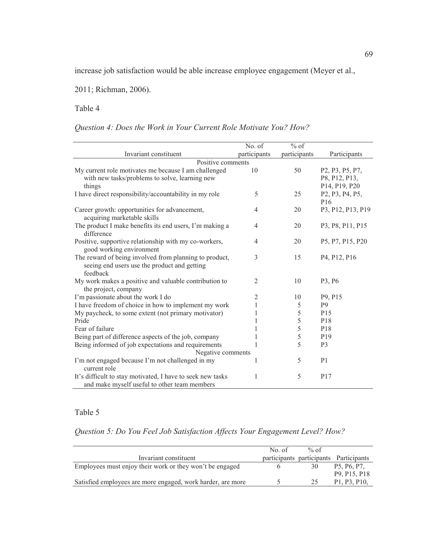increase job satisfaction would be able increase employee engagement (Meyer et al.,

2011; Richman, 2006).

Table 4

*Question 4: Does the Work in Your Current Role Motivate You? How?* 

|                                                                                                                    | No. of         | $%$ of       |                                                                                                       |
|--------------------------------------------------------------------------------------------------------------------|----------------|--------------|-------------------------------------------------------------------------------------------------------|
| Invariant constituent                                                                                              | participants   | participants | Participants                                                                                          |
| Positive comments                                                                                                  |                |              |                                                                                                       |
| My current role motivates me because I am challenged<br>with new tasks/problems to solve, learning new<br>things   | 10             | 50           | P <sub>2</sub> , P <sub>3</sub> , P <sub>5</sub> , P <sub>7</sub> ,<br>P8, P12, P13,<br>P14, P19, P20 |
| I have direct responsibility/accountability in my role                                                             | 5              | 25           | P <sub>2</sub> , P <sub>3</sub> , P <sub>4</sub> , P <sub>5</sub> ,<br>P <sub>16</sub>                |
| Career growth: opportunities for advancement,<br>acquiring marketable skills                                       | $\overline{4}$ | 20           | P3, P12, P13, P19                                                                                     |
| The product I make benefits its end users, I'm making a<br>difference                                              | $\overline{4}$ | 20           | P3, P8, P11, P15                                                                                      |
| Positive, supportive relationship with my co-workers,<br>good working environment                                  | $\overline{4}$ | 20           | P5, P7, P15, P20                                                                                      |
| The reward of being involved from planning to product,<br>seeing end users use the product and getting<br>feedback | 3              | 15           | P <sub>4</sub> , P <sub>12</sub> , P <sub>16</sub>                                                    |
| My work makes a positive and valuable contribution to<br>the project, company                                      | $\overline{2}$ | 10           | P3, P6                                                                                                |
| I'm passionate about the work I do                                                                                 | $\overline{2}$ | 10           | P9, P15                                                                                               |
| I have freedom of choice in how to implement my work                                                               | 1              | 5            | P <sub>9</sub>                                                                                        |
| My paycheck, to some extent (not primary motivator)                                                                |                | 5            | P <sub>15</sub>                                                                                       |
| Pride                                                                                                              |                | 5            | P <sub>18</sub>                                                                                       |
| Fear of failure                                                                                                    |                | 5            | P18                                                                                                   |
| Being part of difference aspects of the job, company                                                               |                | 5            | P <sub>19</sub>                                                                                       |
| Being informed of job expectations and requirements                                                                | 1              | 5            | P <sub>3</sub>                                                                                        |
| Negative comments                                                                                                  |                |              |                                                                                                       |
| I'm not engaged because I'm not challenged in my<br>current role                                                   | 1              | 5            | P <sub>1</sub>                                                                                        |
| It's difficult to stay motivated, I have to seek new tasks<br>and make myself useful to other team members         | 1              | 5            | P <sub>17</sub>                                                                                       |

# Table 5

# *Question 5: Do You Feel Job Satisfaction Affects Your Engagement Level? How?*

|                                                             | No of | % of |                                                    |
|-------------------------------------------------------------|-------|------|----------------------------------------------------|
| Invariant constituent                                       |       |      | participants participants Participants             |
| Employees must enjoy their work or they won't be engaged    |       | 30   | P <sub>5</sub> , P <sub>6</sub> , P <sub>7</sub>   |
|                                                             |       |      | P <sub>9</sub> , P <sub>15</sub> , P <sub>18</sub> |
| Satisfied employees are more engaged, work harder, are more |       | 25   | P1, P3, P10,                                       |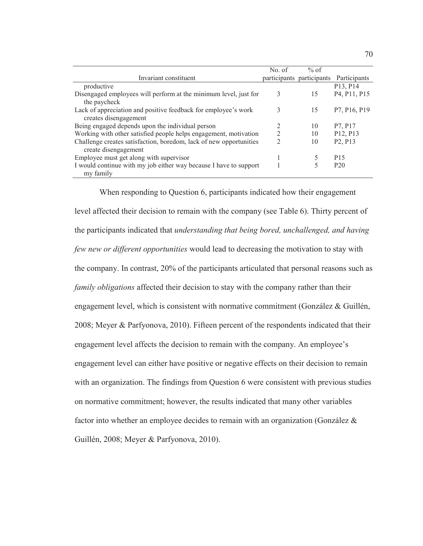|                                                                    | No. of | $%$ of                    |                                                    |
|--------------------------------------------------------------------|--------|---------------------------|----------------------------------------------------|
| Invariant constituent                                              |        | participants participants | Participants                                       |
| productive                                                         |        |                           | P13, P14                                           |
| Disengaged employees will perform at the minimum level, just for   | 3      | 15                        | P <sub>4</sub> , P <sub>11</sub> , P <sub>15</sub> |
| the paycheck                                                       |        |                           |                                                    |
| Lack of appreciation and positive feedback for employee's work     | 3      | 15                        | P7, P16, P19                                       |
| creates disengagement                                              |        |                           |                                                    |
| Being engaged depends upon the individual person                   |        | 10                        | P7, P17                                            |
| Working with other satisfied people helps engagement, motivation   |        | 10                        | P12, P13                                           |
| Challenge creates satisfaction, boredom, lack of new opportunities |        | 10                        | P <sub>2</sub> , P <sub>13</sub>                   |
| create disengagement                                               |        |                           |                                                    |
| Employee must get along with supervisor                            |        |                           | P <sub>15</sub>                                    |
| I would continue with my job either way because I have to support  |        |                           | P <sub>20</sub>                                    |
| my family                                                          |        |                           |                                                    |

When responding to Question 6, participants indicated how their engagement level affected their decision to remain with the company (see Table 6). Thirty percent of the participants indicated that *understanding that being bored, unchallenged, and having few new or different opportunities* would lead to decreasing the motivation to stay with the company. In contrast, 20% of the participants articulated that personal reasons such as *family obligations* affected their decision to stay with the company rather than their engagement level, which is consistent with normative commitment (González & Guillén, 2008; Meyer & Parfyonova, 2010). Fifteen percent of the respondents indicated that their engagement level affects the decision to remain with the company. An employee's engagement level can either have positive or negative effects on their decision to remain with an organization. The findings from Question 6 were consistent with previous studies on normative commitment; however, the results indicated that many other variables factor into whether an employee decides to remain with an organization (González & Guillén, 2008; Meyer & Parfyonova, 2010).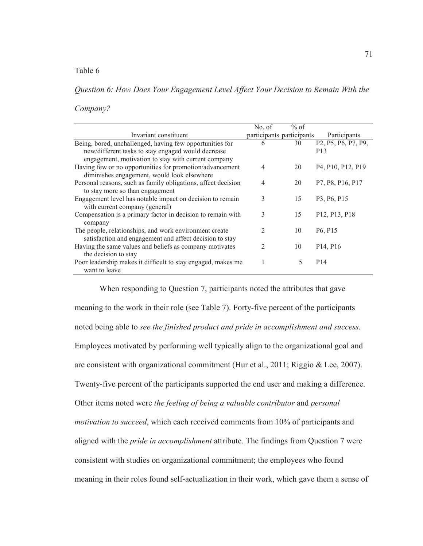## Table 6

*Question 6: How Does Your Engagement Level Affect Your Decision to Remain With the* 

*Company?* 

|                                                               | No. of                    | $%$ of |                                                                                      |
|---------------------------------------------------------------|---------------------------|--------|--------------------------------------------------------------------------------------|
| Invariant constituent                                         | participants participants |        | Participants                                                                         |
| Being, bored, unchallenged, having few opportunities for      | 6                         | 30     | P <sub>2</sub> , P <sub>5</sub> , P <sub>6</sub> , P <sub>7</sub> , P <sub>9</sub> , |
| new/different tasks to stay engaged would decrease            |                           |        | P <sub>13</sub>                                                                      |
| engagement, motivation to stay with current company           |                           |        |                                                                                      |
| Having few or no opportunities for promotion/advancement      | 4                         | 20     | P <sub>4</sub> , P <sub>10</sub> , P <sub>12</sub> , P <sub>19</sub>                 |
| diminishes engagement, would look elsewhere                   |                           |        |                                                                                      |
| Personal reasons, such as family obligations, affect decision | $\overline{4}$            | 20     | P7, P8, P16, P17                                                                     |
| to stay more so than engagement                               |                           |        |                                                                                      |
| Engagement level has notable impact on decision to remain     | 3                         | 15     | P3, P6, P15                                                                          |
| with current company (general)                                |                           |        |                                                                                      |
| Compensation is a primary factor in decision to remain with   | 3                         | 15     | P <sub>12</sub> , P <sub>13</sub> , P <sub>18</sub>                                  |
| company                                                       |                           |        |                                                                                      |
| The people, relationships, and work environment create        | $\overline{2}$            | 10     | P <sub>6</sub> , P <sub>15</sub>                                                     |
| satisfaction and engagement and affect decision to stay       |                           |        |                                                                                      |
| Having the same values and beliefs as company motivates       | $\mathfrak{D}$            | 10     | P <sub>14</sub> , P <sub>16</sub>                                                    |
| the decision to stay                                          |                           |        |                                                                                      |
| Poor leadership makes it difficult to stay engaged, makes me  |                           | 5      | P <sub>14</sub>                                                                      |
| want to leave                                                 |                           |        |                                                                                      |

When responding to Question 7, participants noted the attributes that gave meaning to the work in their role (see Table 7). Forty-five percent of the participants noted being able to *see the finished product and pride in accomplishment and success*. Employees motivated by performing well typically align to the organizational goal and are consistent with organizational commitment (Hur et al., 2011; Riggio & Lee, 2007). Twenty-five percent of the participants supported the end user and making a difference. Other items noted were *the feeling of being a valuable contributor* and *personal motivation to succeed*, which each received comments from 10% of participants and aligned with the *pride in accomplishment* attribute. The findings from Question 7 were consistent with studies on organizational commitment; the employees who found meaning in their roles found self-actualization in their work, which gave them a sense of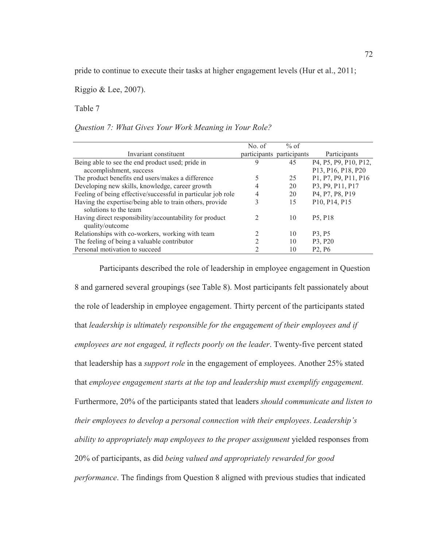pride to continue to execute their tasks at higher engagement levels (Hur et al., 2011;

Riggio & Lee, 2007).

Table 7

*Question 7: What Gives Your Work Meaning in Your Role?* 

|                                                                                   | No. of        | $%$ of                    |                                  |
|-----------------------------------------------------------------------------------|---------------|---------------------------|----------------------------------|
| Invariant constituent                                                             |               | participants participants | Participants                     |
| Being able to see the end product used; pride in                                  | 9             | 45                        | P4, P5, P9, P10, P12,            |
| accomplishment, success                                                           |               |                           | P13, P16, P18, P20               |
| The product benefits end users/makes a difference                                 |               | 25                        | P1, P7, P9, P11, P16             |
| Developing new skills, knowledge, career growth                                   |               | 20                        | P3, P9, P11, P17                 |
| Feeling of being effective/successful in particular job role                      | 4             | 20                        | P4, P7, P8, P19                  |
| Having the expertise/being able to train others, provide<br>solutions to the team | 3             | 15                        | P10, P14, P15                    |
| Having direct responsibility/accountability for product<br>quality/outcome        | $\mathcal{L}$ | 10                        | P <sub>5</sub> , P <sub>18</sub> |
| Relationships with co-workers, working with team                                  |               | 10                        | P <sub>3</sub> , P <sub>5</sub>  |
| The feeling of being a valuable contributor                                       | 2             | 10                        | P3, P20                          |
| Personal motivation to succeed                                                    | 2             | 10                        | P <sub>2</sub> , P <sub>6</sub>  |
|                                                                                   |               |                           |                                  |

Participants described the role of leadership in employee engagement in Question 8 and garnered several groupings (see Table 8). Most participants felt passionately about the role of leadership in employee engagement. Thirty percent of the participants stated that *leadership is ultimately responsible for the engagement of their employees and if employees are not engaged, it reflects poorly on the leader*. Twenty-five percent stated that leadership has a *support role* in the engagement of employees. Another 25% stated that *employee engagement starts at the top and leadership must exemplify engagement.* Furthermore, 20% of the participants stated that leaders *should communicate and listen to their employees to develop a personal connection with their employees*. *Leadership's ability to appropriately map employees to the proper assignment* yielded responses from 20% of participants, as did *being valued and appropriately rewarded for good performance*. The findings from Question 8 aligned with previous studies that indicated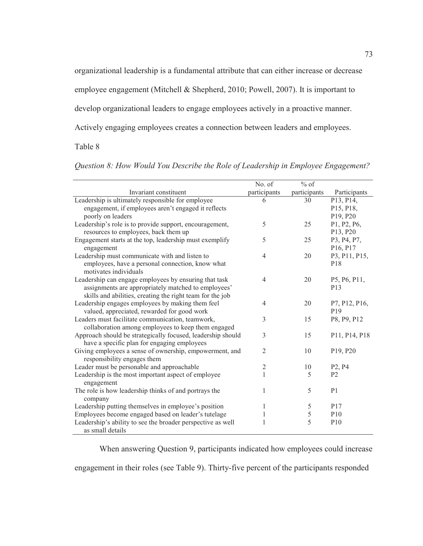organizational leadership is a fundamental attribute that can either increase or decrease

employee engagement (Mitchell & Shepherd, 2010; Powell, 2007). It is important to

develop organizational leaders to engage employees actively in a proactive manner.

Actively engaging employees creates a connection between leaders and employees.

# Table 8

|                                                                   | No. of         | $\%$ of      |                                   |
|-------------------------------------------------------------------|----------------|--------------|-----------------------------------|
| Invariant constituent                                             | participants   | participants | Participants                      |
| Leadership is ultimately responsible for employee                 | 6              | 30           | P13, P14,                         |
| engagement, if employees aren't engaged it reflects               |                |              | P15, P18,                         |
| poorly on leaders                                                 |                |              | P19, P20                          |
| Leadership's role is to provide support, encouragement,           | 5              | 25           | P1, P2, P6,                       |
| resources to employees, back them up                              |                |              | P13, P20                          |
| Engagement starts at the top, leadership must exemplify           | 5              | 25           | P3, P4, P7,                       |
| engagement                                                        |                |              | P <sub>16</sub> , P <sub>17</sub> |
| Leadership must communicate with and listen to                    | $\overline{4}$ | 20           | P3, P11, P15,                     |
| employees, have a personal connection, know what                  |                |              | P <sub>18</sub>                   |
| motivates individuals                                             |                |              |                                   |
| Leadership can engage employees by ensuring that task             | $\overline{4}$ | 20           | P5, P6, P11,                      |
| assignments are appropriately matched to employees'               |                |              | P <sub>13</sub>                   |
| skills and abilities, creating the right team for the job         |                |              |                                   |
| Leadership engages employees by making them feel                  | $\overline{4}$ | 20           | P7, P12, P16,                     |
| valued, appreciated, rewarded for good work                       |                |              | P <sub>19</sub>                   |
| Leaders must facilitate communication, teamwork,                  | 3              | 15           | P8, P9, P12                       |
| collaboration among employees to keep them engaged                |                |              |                                   |
| Approach should be strategically focused, leadership should       | $\overline{3}$ | 15           | P11, P14, P18                     |
| have a specific plan for engaging employees                       |                |              |                                   |
| Giving employees a sense of ownership, empowerment, and           | $\overline{2}$ | 10           | P19, P20                          |
| responsibility engages them                                       |                |              |                                   |
| Leader must be personable and approachable                        | $\sqrt{2}$     | 10           | P <sub>2</sub> , P <sub>4</sub>   |
| Leadership is the most important aspect of employee<br>engagement | 1              | 5            | P <sub>2</sub>                    |
| The role is how leadership thinks of and portrays the             | 1              | 5            | P <sub>1</sub>                    |
| company                                                           |                |              |                                   |
| Leadership putting themselves in employee's position              | 1              | 5            | P <sub>17</sub>                   |
| Employees become engaged based on leader's tutelage               | 1              | 5            | P10                               |
| Leadership's ability to see the broader perspective as well       | 1              | 5            | P10                               |
| as small details                                                  |                |              |                                   |

*Question 8: How Would You Describe the Role of Leadership in Employee Engagement?* 

When answering Question 9, participants indicated how employees could increase

engagement in their roles (see Table 9). Thirty-five percent of the participants responded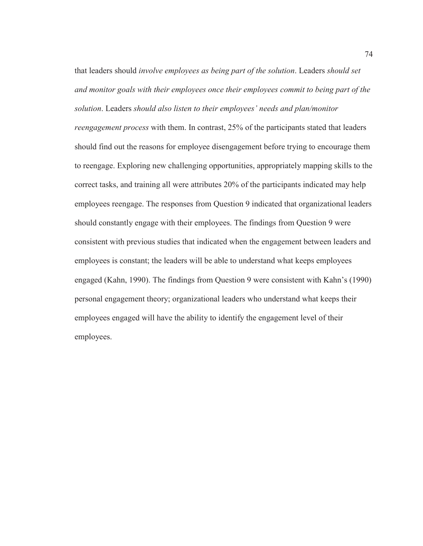that leaders should *involve employees as being part of the solution*. Leaders *should set and monitor goals with their employees once their employees commit to being part of the solution*. Leaders *should also listen to their employees' needs and plan/monitor* 

*reengagement process* with them. In contrast, 25% of the participants stated that leaders should find out the reasons for employee disengagement before trying to encourage them to reengage. Exploring new challenging opportunities, appropriately mapping skills to the correct tasks, and training all were attributes 20% of the participants indicated may help employees reengage. The responses from Question 9 indicated that organizational leaders should constantly engage with their employees. The findings from Question 9 were consistent with previous studies that indicated when the engagement between leaders and employees is constant; the leaders will be able to understand what keeps employees engaged (Kahn, 1990). The findings from Question 9 were consistent with Kahn's (1990) personal engagement theory; organizational leaders who understand what keeps their employees engaged will have the ability to identify the engagement level of their employees.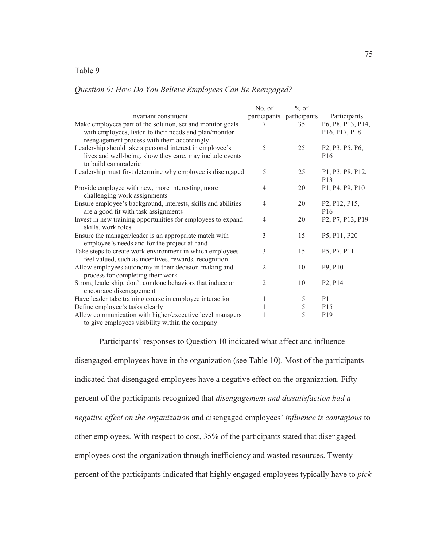# Table 9

# *Question 9: How Do You Believe Employees Can Be Reengaged?*

|                                                                                                                | No. of         | $%$ of       |                                                                     |
|----------------------------------------------------------------------------------------------------------------|----------------|--------------|---------------------------------------------------------------------|
| Invariant constituent                                                                                          | participants   | participants | Participants                                                        |
| Make employees part of the solution, set and monitor goals                                                     |                | 35           | P6, P8, P13, P14,                                                   |
| with employees, listen to their needs and plan/monitor                                                         |                |              | P16, P17, P18                                                       |
| reengagement process with them accordingly                                                                     |                |              |                                                                     |
| Leadership should take a personal interest in employee's                                                       | 5              | 25           | P2, P3, P5, P6,                                                     |
| lives and well-being, show they care, may include events                                                       |                |              | P <sub>16</sub>                                                     |
| to build camaraderie                                                                                           |                |              |                                                                     |
| Leadership must first determine why employee is disengaged                                                     | 5              | 25           | P1, P3, P8, P12,<br>P <sub>13</sub>                                 |
| Provide employee with new, more interesting, more<br>challenging work assignments                              | $\overline{4}$ | 20           | P1, P4, P9, P10                                                     |
| Ensure employee's background, interests, skills and abilities                                                  | $\overline{4}$ | 20           | P <sub>2</sub> , P <sub>12</sub> , P <sub>15</sub> ,                |
| are a good fit with task assignments                                                                           |                |              | P <sub>16</sub>                                                     |
| Invest in new training opportunities for employees to expand                                                   | $\overline{4}$ | 20           | P <sub>2</sub> , P <sub>7</sub> , P <sub>13</sub> , P <sub>19</sub> |
| skills, work roles                                                                                             |                |              |                                                                     |
| Ensure the manager/leader is an appropriate match with                                                         | 3              | 15           | P5, P11, P20                                                        |
| employee's needs and for the project at hand                                                                   |                |              |                                                                     |
| Take steps to create work environment in which employees                                                       | 3              | 15           | P5, P7, P11                                                         |
| feel valued, such as incentives, rewards, recognition<br>Allow employees autonomy in their decision-making and | $\mathfrak{D}$ | 10           | P9, P10                                                             |
| process for completing their work                                                                              |                |              |                                                                     |
| Strong leadership, don't condone behaviors that induce or                                                      | 2              | 10           | P <sub>2</sub> , P <sub>14</sub>                                    |
| encourage disengagement                                                                                        |                |              |                                                                     |
| Have leader take training course in employee interaction                                                       | 1              | 5            | P <sub>1</sub>                                                      |
| Define employee's tasks clearly                                                                                | 1              | 5            | P <sub>15</sub>                                                     |
| Allow communication with higher/executive level managers                                                       |                | 5            | P <sub>19</sub>                                                     |
| to give employees visibility within the company                                                                |                |              |                                                                     |

Participants' responses to Question 10 indicated what affect and influence disengaged employees have in the organization (see Table 10). Most of the participants indicated that disengaged employees have a negative effect on the organization. Fifty percent of the participants recognized that *disengagement and dissatisfaction had a negative effect on the organization* and disengaged employees' *influence is contagious* to other employees. With respect to cost, 35% of the participants stated that disengaged employees cost the organization through inefficiency and wasted resources. Twenty percent of the participants indicated that highly engaged employees typically have to *pick*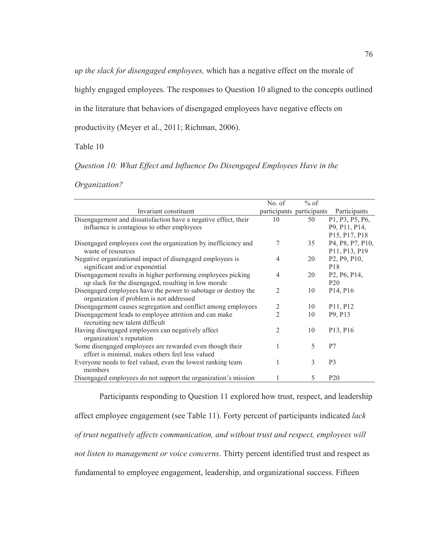*up the slack for disengaged employees,* which has a negative effect on the morale of

highly engaged employees. The responses to Question 10 aligned to the concepts outlined

in the literature that behaviors of disengaged employees have negative effects on

productivity (Meyer et al., 2011; Richman, 2006).

# Table 10

*Question 10: What Effect and Influence Do Disengaged Employees Have in the* 

*Organization?*

|                                                                 | No. of         | $%$ of                    |                                                     |
|-----------------------------------------------------------------|----------------|---------------------------|-----------------------------------------------------|
| Invariant constituent                                           |                | participants participants | Participants                                        |
| Disengagement and dissatisfaction have a negative effect, their | 10             | 50                        | P1, P3, P5, P6,                                     |
| influence is contagious to other employees                      |                |                           | P9, P11, P14,                                       |
|                                                                 |                |                           | P15, P17, P18                                       |
| Disengaged employees cost the organization by inefficiency and  | 7              | 35                        | P4, P8, P7, P10,                                    |
| waste of resources                                              |                |                           | P11, P13, P19                                       |
| Negative organizational impact of disengaged employees is       | 4              | 20                        | P <sub>2</sub> , P <sub>9</sub> , P <sub>10</sub> , |
| significant and/or exponential                                  |                |                           | P <sub>18</sub>                                     |
| Disengagement results in higher performing employees picking    | 4              | 20                        | P <sub>2</sub> , P <sub>6</sub> , P <sub>14</sub> , |
| up slack for the disengaged, resulting in low morale            |                |                           | P <sub>20</sub>                                     |
| Disengaged employees have the power to sabotage or destroy the  | $\overline{2}$ | 10                        | P <sub>14</sub> , P <sub>16</sub>                   |
| organization if problem is not addressed                        |                |                           |                                                     |
| Disengagement causes segregation and conflict among employees   | $\overline{2}$ | 10                        | P11, P12                                            |
| Disengagement leads to employee attrition and can make          | $\overline{2}$ | 10                        | P9, P13                                             |
| recruiting new talent difficult                                 |                |                           |                                                     |
| Having disengaged employees can negatively affect               | $\overline{2}$ | 10                        | P <sub>13</sub> , P <sub>16</sub>                   |
| organization's reputation                                       |                |                           |                                                     |
| Some disengaged employees are rewarded even though their        | 1              | 5                         | P7                                                  |
| effort is minimal, makes others feel less valued                |                |                           |                                                     |
| Everyone needs to feel valued, even the lowest ranking team     | 1              | 3                         | P <sub>3</sub>                                      |
| members                                                         |                |                           |                                                     |
| Disengaged employees do not support the organization's mission  |                | 5                         | P <sub>20</sub>                                     |

Participants responding to Question 11 explored how trust, respect, and leadership affect employee engagement (see Table 11). Forty percent of participants indicated *lack of trust negatively affects communication, and without trust and respect, employees will not listen to management or voice concerns*. Thirty percent identified trust and respect as fundamental to employee engagement, leadership, and organizational success. Fifteen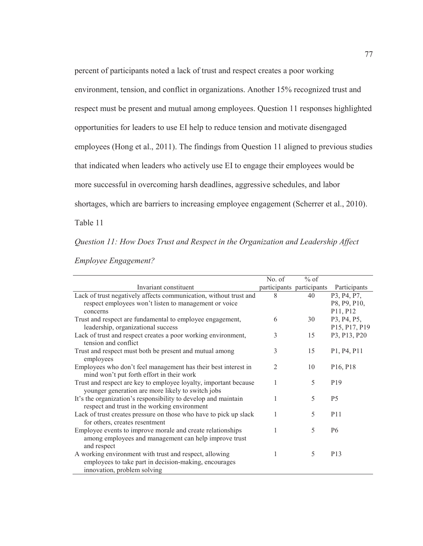percent of participants noted a lack of trust and respect creates a poor working environment, tension, and conflict in organizations. Another 15% recognized trust and respect must be present and mutual among employees. Question 11 responses highlighted opportunities for leaders to use EI help to reduce tension and motivate disengaged employees (Hong et al., 2011). The findings from Question 11 aligned to previous studies that indicated when leaders who actively use EI to engage their employees would be more successful in overcoming harsh deadlines, aggressive schedules, and labor shortages, which are barriers to increasing employee engagement (Scherrer et al., 2010).

Table 11

# *Question 11: How Does Trust and Respect in the Organization and Leadership Affect*

|                                                                                                                                                | No. of         | $%$ of                    |                                                                  |
|------------------------------------------------------------------------------------------------------------------------------------------------|----------------|---------------------------|------------------------------------------------------------------|
| Invariant constituent                                                                                                                          |                | participants participants | Participants                                                     |
| Lack of trust negatively affects communication, without trust and<br>respect employees won't listen to management or voice<br>concerns         | 8              | 40                        | P3, P4, P7,<br>P8, P9, P10,<br>P <sub>11</sub> , P <sub>12</sub> |
| Trust and respect are fundamental to employee engagement,<br>leadership, organizational success                                                | 6              | 30                        | P3, P4, P5,<br>P15, P17, P19                                     |
| Lack of trust and respect creates a poor working environment,<br>tension and conflict                                                          | 3              | 15                        | P3, P13, P20                                                     |
| Trust and respect must both be present and mutual among<br>employees                                                                           | 3              | 15                        | P1, P4, P11                                                      |
| Employees who don't feel management has their best interest in<br>mind won't put forth effort in their work                                    | $\overline{2}$ | 10                        | P <sub>16</sub> , P <sub>18</sub>                                |
| Trust and respect are key to employee loyalty, important because<br>younger generation are more likely to switch jobs                          | 1              | 5                         | P <sub>19</sub>                                                  |
| It's the organization's responsibility to develop and maintain<br>respect and trust in the working environment                                 | 1              | 5                         | P <sub>5</sub>                                                   |
| Lack of trust creates pressure on those who have to pick up slack<br>for others, creates resentment                                            | 1              | 5                         | P <sub>11</sub>                                                  |
| Employee events to improve morale and create relationships<br>among employees and management can help improve trust<br>and respect             | 1              | 5                         | P <sub>6</sub>                                                   |
| A working environment with trust and respect, allowing<br>employees to take part in decision-making, encourages<br>innovation, problem solving | 1              | 5                         | P <sub>13</sub>                                                  |

## *Employee Engagement?*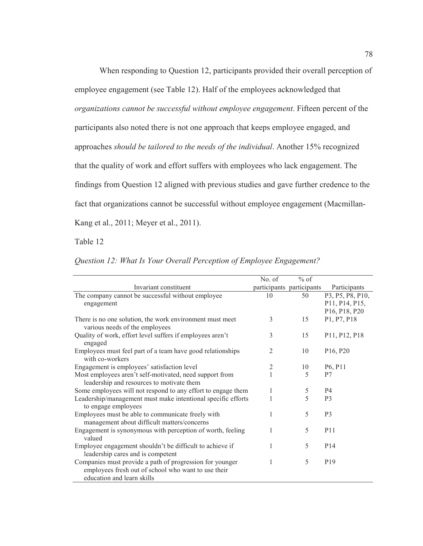When responding to Question 12, participants provided their overall perception of employee engagement (see Table 12). Half of the employees acknowledged that *organizations cannot be successful without employee engagement*. Fifteen percent of the participants also noted there is not one approach that keeps employee engaged, and approaches *should be tailored to the needs of the individual*. Another 15% recognized that the quality of work and effort suffers with employees who lack engagement. The findings from Question 12 aligned with previous studies and gave further credence to the fact that organizations cannot be successful without employee engagement (Macmillan-Kang et al., 2011; Meyer et al., 2011).

# Table 12

|  |  |  |  | Question 12: What Is Your Overall Perception of Employee Engagement? |
|--|--|--|--|----------------------------------------------------------------------|
|  |  |  |  |                                                                      |

|                                                                                                      | No. of | $%$ of                    |                                                     |
|------------------------------------------------------------------------------------------------------|--------|---------------------------|-----------------------------------------------------|
| Invariant constituent                                                                                |        | participants participants | Participants                                        |
| The company cannot be successful without employee                                                    | 10     | 50                        | P3, P5, P8, P10,                                    |
| engagement                                                                                           |        |                           | P11, P14, P15,                                      |
|                                                                                                      |        |                           | P <sub>16</sub> , P <sub>18</sub> , P <sub>20</sub> |
| There is no one solution, the work environment must meet                                             | 3      | 15                        | P1, P7, P18                                         |
| various needs of the employees                                                                       |        |                           |                                                     |
| Quality of work, effort level suffers if employees aren't<br>engaged                                 | 3      | 15                        | P11, P12, P18                                       |
| Employees must feel part of a team have good relationships<br>with co-workers                        | 2      | 10                        | P <sub>16</sub> , P <sub>20</sub>                   |
| Engagement is employees' satisfaction level                                                          | 2      | 10                        | P <sub>6</sub> , P <sub>11</sub>                    |
| Most employees aren't self-motivated, need support from<br>leadership and resources to motivate them |        | 5                         | P <sub>7</sub>                                      |
| Some employees will not respond to any effort to engage them                                         | 1      | 5                         | P4                                                  |
| Leadership/management must make intentional specific efforts<br>to engage employees                  |        | 5                         | P <sub>3</sub>                                      |
| Employees must be able to communicate freely with<br>management about difficult matters/concerns     | 1      | 5                         | P <sub>3</sub>                                      |
| Engagement is synonymous with perception of worth, feeling<br>valued                                 | 1      | 5                         | P <sub>11</sub>                                     |
| Employee engagement shouldn't be difficult to achieve if                                             | 1      | 5                         | P <sub>14</sub>                                     |
| leadership cares and is competent                                                                    |        |                           |                                                     |
| Companies must provide a path of progression for younger                                             |        | 5                         | P <sub>19</sub>                                     |
| employees fresh out of school who want to use their                                                  |        |                           |                                                     |
| education and learn skills                                                                           |        |                           |                                                     |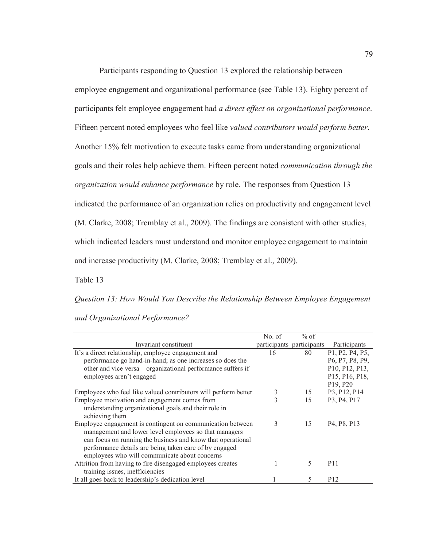Participants responding to Question 13 explored the relationship between employee engagement and organizational performance (see Table 13). Eighty percent of participants felt employee engagement had *a direct effect on organizational performance*. Fifteen percent noted employees who feel like *valued contributors would perform better*. Another 15% felt motivation to execute tasks came from understanding organizational goals and their roles help achieve them. Fifteen percent noted *communication through the organization would enhance performance* by role. The responses from Question 13 indicated the performance of an organization relies on productivity and engagement level (M. Clarke, 2008; Tremblay et al., 2009). The findings are consistent with other studies, which indicated leaders must understand and monitor employee engagement to maintain and increase productivity (M. Clarke, 2008; Tremblay et al., 2009).

Table 13

*Question 13: How Would You Describe the Relationship Between Employee Engagement* 

*and Organizational Performance?* 

|                                                                 | No. of | $%$ of                    |                                                   |
|-----------------------------------------------------------------|--------|---------------------------|---------------------------------------------------|
| Invariant constituent                                           |        | participants participants | Participants                                      |
| It's a direct relationship, employee engagement and             | 16     | 80                        | P1, P2, P4, P5,                                   |
| performance go hand-in-hand; as one increases so does the       |        |                           | P6, P7, P8, P9,                                   |
| other and vice versa—organizational performance suffers if      |        |                           | P10, P12, P13,                                    |
| employees aren't engaged                                        |        |                           | P15, P16, P18,                                    |
|                                                                 |        |                           | P <sub>19</sub> , P <sub>20</sub>                 |
| Employees who feel like valued contributors will perform better | 3      | 15                        | P3, P12, P14                                      |
| Employee motivation and engagement comes from                   | 3      | 15                        | P3, P4, P17                                       |
| understanding organizational goals and their role in            |        |                           |                                                   |
| achieving them                                                  |        |                           |                                                   |
| Employee engagement is contingent on communication between      | 3      | 15                        | P <sub>4</sub> , P <sub>8</sub> , P <sub>13</sub> |
| management and lower level employees so that managers           |        |                           |                                                   |
| can focus on running the business and know that operational     |        |                           |                                                   |
| performance details are being taken care of by engaged          |        |                           |                                                   |
| employees who will communicate about concerns                   |        |                           |                                                   |
| Attrition from having to fire disengaged employees creates      |        | 5                         | P <sub>11</sub>                                   |
| training issues, inefficiencies                                 |        |                           |                                                   |
| It all goes back to leadership's dedication level               |        | 5                         | P <sub>12</sub>                                   |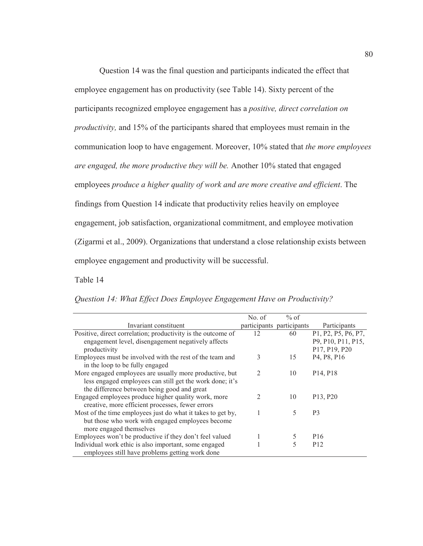Question 14 was the final question and participants indicated the effect that employee engagement has on productivity (see Table 14). Sixty percent of the participants recognized employee engagement has a *positive, direct correlation on productivity,* and 15% of the participants shared that employees must remain in the communication loop to have engagement. Moreover, 10% stated that *the more employees are engaged, the more productive they will be.* Another 10% stated that engaged employees *produce a higher quality of work and are more creative and efficient*. The findings from Question 14 indicate that productivity relies heavily on employee engagement, job satisfaction, organizational commitment, and employee motivation (Zigarmi et al., 2009). Organizations that understand a close relationship exists between employee engagement and productivity will be successful.

# Table 14

|                                                              | No. of         | $%$ of                    |                                                     |
|--------------------------------------------------------------|----------------|---------------------------|-----------------------------------------------------|
| Invariant constituent                                        |                | participants participants | Participants                                        |
| Positive, direct correlation; productivity is the outcome of | 12             | 60                        | P1, P2, P5, P6, P7,                                 |
| engagement level, disengagement negatively affects           |                |                           | P9, P10, P11, P15,                                  |
| productivity                                                 |                |                           | P <sub>17</sub> , P <sub>19</sub> , P <sub>20</sub> |
| Employees must be involved with the rest of the team and     | 3              | 15                        | P <sub>4</sub> , P <sub>8</sub> , P <sub>16</sub>   |
| in the loop to be fully engaged                              |                |                           |                                                     |
| More engaged employees are usually more productive, but      | 2              | 10                        | P <sub>14</sub> , P <sub>18</sub>                   |
| less engaged employees can still get the work done; it's     |                |                           |                                                     |
| the difference between being good and great                  |                |                           |                                                     |
| Engaged employees produce higher quality work, more          | $\mathfrak{D}$ | 10                        | P13, P20                                            |
| creative, more efficient processes, fewer errors             |                |                           |                                                     |
| Most of the time employees just do what it takes to get by,  |                | 5                         | P <sub>3</sub>                                      |
| but those who work with engaged employees become             |                |                           |                                                     |
| more engaged themselves                                      |                |                           |                                                     |
| Employees won't be productive if they don't feel valued      |                | 5                         | P <sub>16</sub>                                     |
| Individual work ethic is also important, some engaged        |                |                           | P <sub>12</sub>                                     |
| employees still have problems getting work done              |                |                           |                                                     |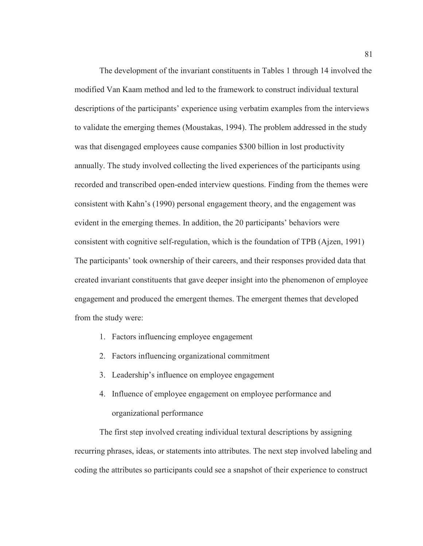The development of the invariant constituents in Tables 1 through 14 involved the modified Van Kaam method and led to the framework to construct individual textural descriptions of the participants' experience using verbatim examples from the interviews to validate the emerging themes (Moustakas, 1994). The problem addressed in the study was that disengaged employees cause companies \$300 billion in lost productivity annually. The study involved collecting the lived experiences of the participants using recorded and transcribed open-ended interview questions. Finding from the themes were consistent with Kahn's (1990) personal engagement theory, and the engagement was evident in the emerging themes. In addition, the 20 participants' behaviors were consistent with cognitive self-regulation, which is the foundation of TPB (Ajzen, 1991) The participants' took ownership of their careers, and their responses provided data that created invariant constituents that gave deeper insight into the phenomenon of employee engagement and produced the emergent themes. The emergent themes that developed from the study were:

- 1. Factors influencing employee engagement
- 2. Factors influencing organizational commitment
- 3. Leadership's influence on employee engagement
- 4. Influence of employee engagement on employee performance and organizational performance

The first step involved creating individual textural descriptions by assigning recurring phrases, ideas, or statements into attributes. The next step involved labeling and coding the attributes so participants could see a snapshot of their experience to construct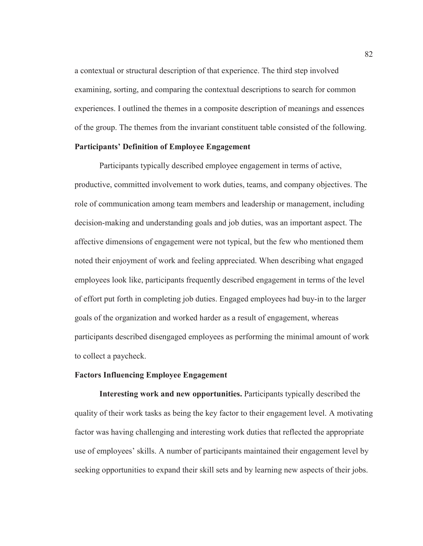a contextual or structural description of that experience. The third step involved examining, sorting, and comparing the contextual descriptions to search for common experiences. I outlined the themes in a composite description of meanings and essences of the group. The themes from the invariant constituent table consisted of the following.

# **Participants' Definition of Employee Engagement**

Participants typically described employee engagement in terms of active, productive, committed involvement to work duties, teams, and company objectives. The role of communication among team members and leadership or management, including decision-making and understanding goals and job duties, was an important aspect. The affective dimensions of engagement were not typical, but the few who mentioned them noted their enjoyment of work and feeling appreciated. When describing what engaged employees look like, participants frequently described engagement in terms of the level of effort put forth in completing job duties. Engaged employees had buy-in to the larger goals of the organization and worked harder as a result of engagement, whereas participants described disengaged employees as performing the minimal amount of work to collect a paycheck.

#### **Factors Influencing Employee Engagement**

**Interesting work and new opportunities.** Participants typically described the quality of their work tasks as being the key factor to their engagement level. A motivating factor was having challenging and interesting work duties that reflected the appropriate use of employees' skills. A number of participants maintained their engagement level by seeking opportunities to expand their skill sets and by learning new aspects of their jobs.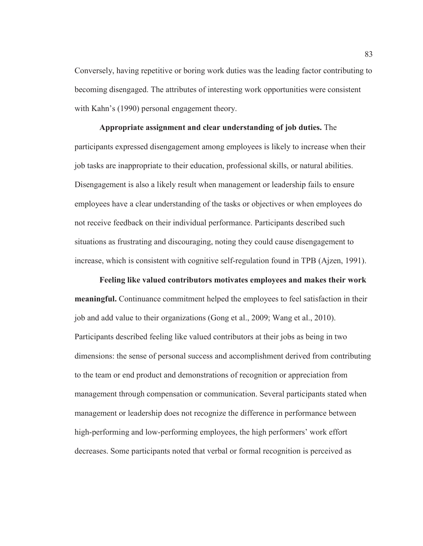Conversely, having repetitive or boring work duties was the leading factor contributing to becoming disengaged. The attributes of interesting work opportunities were consistent with Kahn's (1990) personal engagement theory.

**Appropriate assignment and clear understanding of job duties.** The participants expressed disengagement among employees is likely to increase when their job tasks are inappropriate to their education, professional skills, or natural abilities. Disengagement is also a likely result when management or leadership fails to ensure employees have a clear understanding of the tasks or objectives or when employees do not receive feedback on their individual performance. Participants described such situations as frustrating and discouraging, noting they could cause disengagement to increase, which is consistent with cognitive self-regulation found in TPB (Ajzen, 1991).

**Feeling like valued contributors motivates employees and makes their work meaningful.** Continuance commitment helped the employees to feel satisfaction in their job and add value to their organizations (Gong et al., 2009; Wang et al., 2010). Participants described feeling like valued contributors at their jobs as being in two dimensions: the sense of personal success and accomplishment derived from contributing to the team or end product and demonstrations of recognition or appreciation from management through compensation or communication. Several participants stated when management or leadership does not recognize the difference in performance between high-performing and low-performing employees, the high performers' work effort decreases. Some participants noted that verbal or formal recognition is perceived as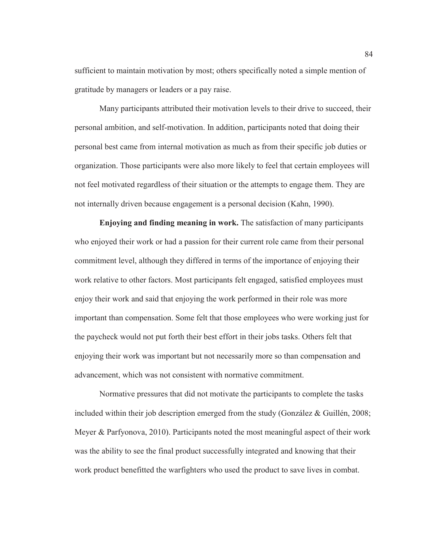sufficient to maintain motivation by most; others specifically noted a simple mention of gratitude by managers or leaders or a pay raise.

Many participants attributed their motivation levels to their drive to succeed, their personal ambition, and self-motivation. In addition, participants noted that doing their personal best came from internal motivation as much as from their specific job duties or organization. Those participants were also more likely to feel that certain employees will not feel motivated regardless of their situation or the attempts to engage them. They are not internally driven because engagement is a personal decision (Kahn, 1990).

**Enjoying and finding meaning in work.** The satisfaction of many participants who enjoyed their work or had a passion for their current role came from their personal commitment level, although they differed in terms of the importance of enjoying their work relative to other factors. Most participants felt engaged, satisfied employees must enjoy their work and said that enjoying the work performed in their role was more important than compensation. Some felt that those employees who were working just for the paycheck would not put forth their best effort in their jobs tasks. Others felt that enjoying their work was important but not necessarily more so than compensation and advancement, which was not consistent with normative commitment.

Normative pressures that did not motivate the participants to complete the tasks included within their job description emerged from the study (González & Guillén, 2008; Meyer & Parfyonova, 2010). Participants noted the most meaningful aspect of their work was the ability to see the final product successfully integrated and knowing that their work product benefitted the warfighters who used the product to save lives in combat.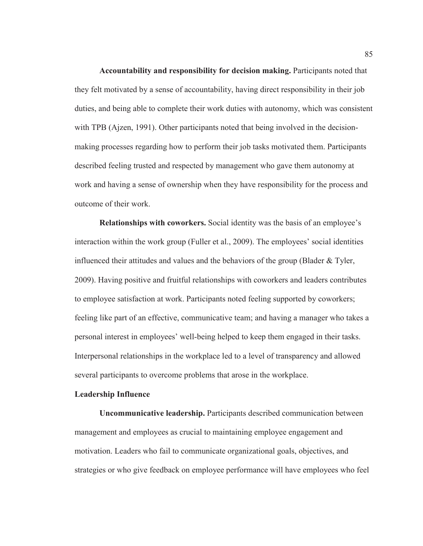**Accountability and responsibility for decision making.** Participants noted that they felt motivated by a sense of accountability, having direct responsibility in their job duties, and being able to complete their work duties with autonomy, which was consistent with TPB (Ajzen, 1991). Other participants noted that being involved in the decisionmaking processes regarding how to perform their job tasks motivated them. Participants described feeling trusted and respected by management who gave them autonomy at work and having a sense of ownership when they have responsibility for the process and outcome of their work.

**Relationships with coworkers.** Social identity was the basis of an employee's interaction within the work group (Fuller et al., 2009). The employees' social identities influenced their attitudes and values and the behaviors of the group (Blader & Tyler, 2009). Having positive and fruitful relationships with coworkers and leaders contributes to employee satisfaction at work. Participants noted feeling supported by coworkers; feeling like part of an effective, communicative team; and having a manager who takes a personal interest in employees' well-being helped to keep them engaged in their tasks. Interpersonal relationships in the workplace led to a level of transparency and allowed several participants to overcome problems that arose in the workplace.

# **Leadership Influence**

**Uncommunicative leadership.** Participants described communication between management and employees as crucial to maintaining employee engagement and motivation. Leaders who fail to communicate organizational goals, objectives, and strategies or who give feedback on employee performance will have employees who feel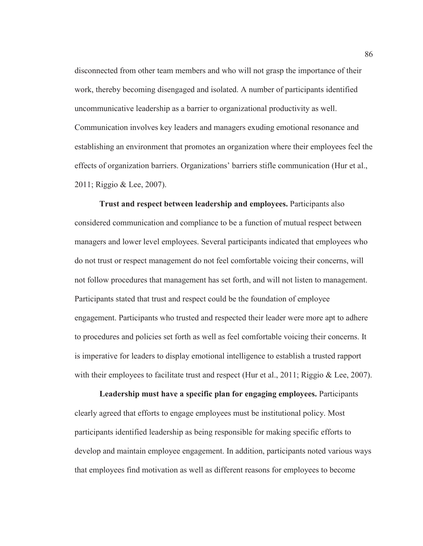disconnected from other team members and who will not grasp the importance of their work, thereby becoming disengaged and isolated. A number of participants identified uncommunicative leadership as a barrier to organizational productivity as well. Communication involves key leaders and managers exuding emotional resonance and establishing an environment that promotes an organization where their employees feel the effects of organization barriers. Organizations' barriers stifle communication (Hur et al., 2011; Riggio & Lee, 2007).

**Trust and respect between leadership and employees.** Participants also considered communication and compliance to be a function of mutual respect between managers and lower level employees. Several participants indicated that employees who do not trust or respect management do not feel comfortable voicing their concerns, will not follow procedures that management has set forth, and will not listen to management. Participants stated that trust and respect could be the foundation of employee engagement. Participants who trusted and respected their leader were more apt to adhere to procedures and policies set forth as well as feel comfortable voicing their concerns. It is imperative for leaders to display emotional intelligence to establish a trusted rapport with their employees to facilitate trust and respect (Hur et al., 2011; Riggio & Lee, 2007).

**Leadership must have a specific plan for engaging employees.** Participants clearly agreed that efforts to engage employees must be institutional policy. Most participants identified leadership as being responsible for making specific efforts to develop and maintain employee engagement. In addition, participants noted various ways that employees find motivation as well as different reasons for employees to become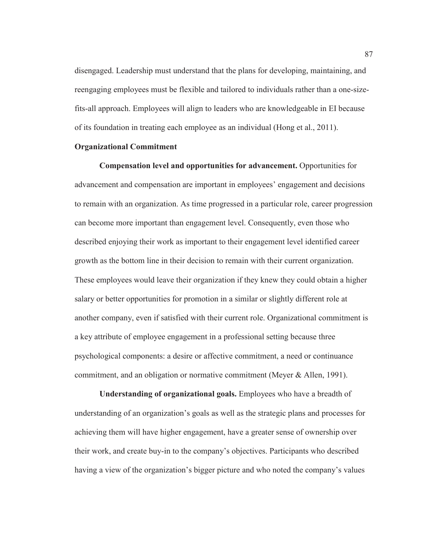disengaged. Leadership must understand that the plans for developing, maintaining, and reengaging employees must be flexible and tailored to individuals rather than a one-sizefits-all approach. Employees will align to leaders who are knowledgeable in EI because of its foundation in treating each employee as an individual (Hong et al., 2011).

### **Organizational Commitment**

**Compensation level and opportunities for advancement.** Opportunities for advancement and compensation are important in employees' engagement and decisions to remain with an organization. As time progressed in a particular role, career progression can become more important than engagement level. Consequently, even those who described enjoying their work as important to their engagement level identified career growth as the bottom line in their decision to remain with their current organization. These employees would leave their organization if they knew they could obtain a higher salary or better opportunities for promotion in a similar or slightly different role at another company, even if satisfied with their current role. Organizational commitment is a key attribute of employee engagement in a professional setting because three psychological components: a desire or affective commitment, a need or continuance commitment, and an obligation or normative commitment (Meyer & Allen, 1991).

**Understanding of organizational goals.** Employees who have a breadth of understanding of an organization's goals as well as the strategic plans and processes for achieving them will have higher engagement, have a greater sense of ownership over their work, and create buy-in to the company's objectives. Participants who described having a view of the organization's bigger picture and who noted the company's values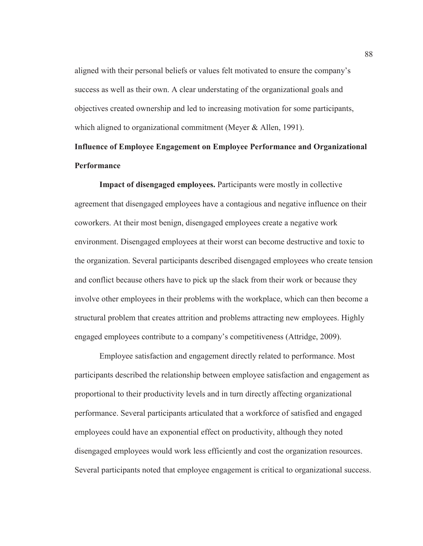aligned with their personal beliefs or values felt motivated to ensure the company's success as well as their own. A clear understating of the organizational goals and objectives created ownership and led to increasing motivation for some participants, which aligned to organizational commitment (Meyer & Allen, 1991).

# **Influence of Employee Engagement on Employee Performance and Organizational Performance**

**Impact of disengaged employees.** Participants were mostly in collective agreement that disengaged employees have a contagious and negative influence on their coworkers. At their most benign, disengaged employees create a negative work environment. Disengaged employees at their worst can become destructive and toxic to the organization. Several participants described disengaged employees who create tension and conflict because others have to pick up the slack from their work or because they involve other employees in their problems with the workplace, which can then become a structural problem that creates attrition and problems attracting new employees. Highly engaged employees contribute to a company's competitiveness (Attridge, 2009).

Employee satisfaction and engagement directly related to performance. Most participants described the relationship between employee satisfaction and engagement as proportional to their productivity levels and in turn directly affecting organizational performance. Several participants articulated that a workforce of satisfied and engaged employees could have an exponential effect on productivity, although they noted disengaged employees would work less efficiently and cost the organization resources. Several participants noted that employee engagement is critical to organizational success.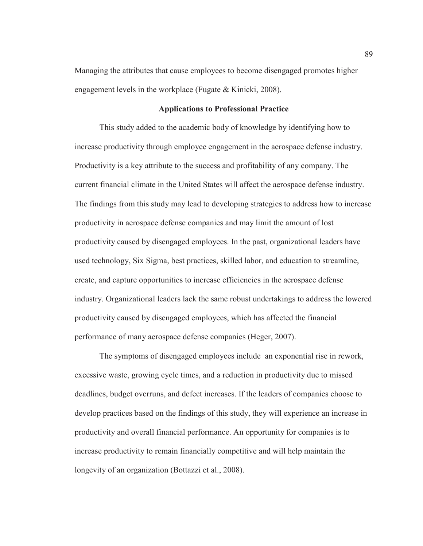Managing the attributes that cause employees to become disengaged promotes higher engagement levels in the workplace (Fugate & Kinicki, 2008).

#### **Applications to Professional Practice**

This study added to the academic body of knowledge by identifying how to increase productivity through employee engagement in the aerospace defense industry. Productivity is a key attribute to the success and profitability of any company. The current financial climate in the United States will affect the aerospace defense industry. The findings from this study may lead to developing strategies to address how to increase productivity in aerospace defense companies and may limit the amount of lost productivity caused by disengaged employees. In the past, organizational leaders have used technology, Six Sigma, best practices, skilled labor, and education to streamline, create, and capture opportunities to increase efficiencies in the aerospace defense industry. Organizational leaders lack the same robust undertakings to address the lowered productivity caused by disengaged employees, which has affected the financial performance of many aerospace defense companies (Heger, 2007).

The symptoms of disengaged employees include an exponential rise in rework, excessive waste, growing cycle times, and a reduction in productivity due to missed deadlines, budget overruns, and defect increases. If the leaders of companies choose to develop practices based on the findings of this study, they will experience an increase in productivity and overall financial performance. An opportunity for companies is to increase productivity to remain financially competitive and will help maintain the longevity of an organization (Bottazzi et al., 2008).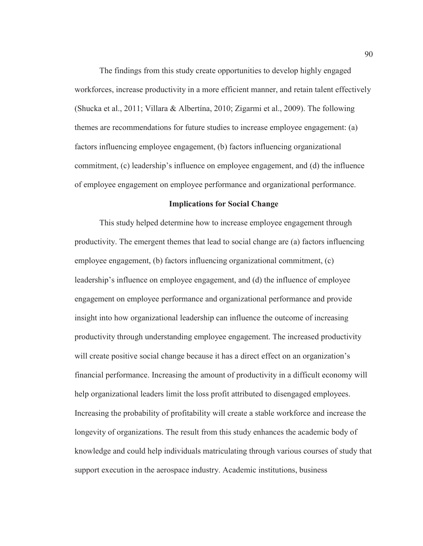The findings from this study create opportunities to develop highly engaged workforces, increase productivity in a more efficient manner, and retain talent effectively (Shucka et al., 2011; Villara & Albertína, 2010; Zigarmi et al., 2009). The following themes are recommendations for future studies to increase employee engagement: (a) factors influencing employee engagement, (b) factors influencing organizational commitment, (c) leadership's influence on employee engagement, and (d) the influence of employee engagement on employee performance and organizational performance.

## **Implications for Social Change**

This study helped determine how to increase employee engagement through productivity. The emergent themes that lead to social change are (a) factors influencing employee engagement, (b) factors influencing organizational commitment, (c) leadership's influence on employee engagement, and (d) the influence of employee engagement on employee performance and organizational performance and provide insight into how organizational leadership can influence the outcome of increasing productivity through understanding employee engagement. The increased productivity will create positive social change because it has a direct effect on an organization's financial performance. Increasing the amount of productivity in a difficult economy will help organizational leaders limit the loss profit attributed to disengaged employees. Increasing the probability of profitability will create a stable workforce and increase the longevity of organizations. The result from this study enhances the academic body of knowledge and could help individuals matriculating through various courses of study that support execution in the aerospace industry. Academic institutions, business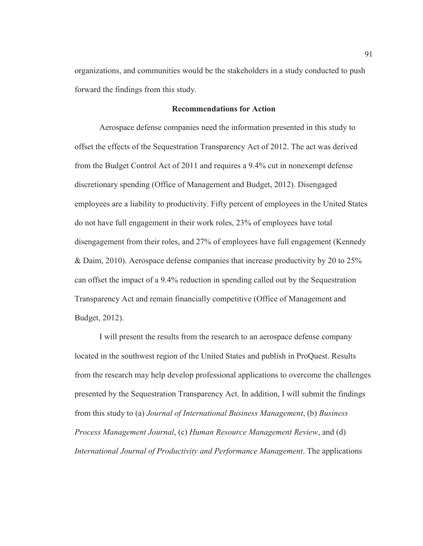organizations, and communities would be the stakeholders in a study conducted to push forward the findings from this study.

#### **Recommendations for Action**

Aerospace defense companies need the information presented in this study to offset the effects of the Sequestration Transparency Act of 2012. The act was derived from the Budget Control Act of 2011 and requires a 9.4% cut in nonexempt defense discretionary spending (Office of Management and Budget, 2012). Disengaged employees are a liability to productivity. Fifty percent of employees in the United States do not have full engagement in their work roles, 23% of employees have total disengagement from their roles, and 27% of employees have full engagement (Kennedy & Daim, 2010). Aerospace defense companies that increase productivity by 20 to 25% can offset the impact of a 9.4% reduction in spending called out by the Sequestration Transparency Act and remain financially competitive (Office of Management and Budget, 2012).

I will present the results from the research to an aerospace defense company located in the southwest region of the United States and publish in ProQuest. Results from the research may help develop professional applications to overcome the challenges presented by the Sequestration Transparency Act. In addition, I will submit the findings from this study to (a) *Journal of International Business Management*, (b) *Business Process Management Journal*, (c) *Human Resource Management Review*, and (d) *International Journal of Productivity and Performance Management*. The applications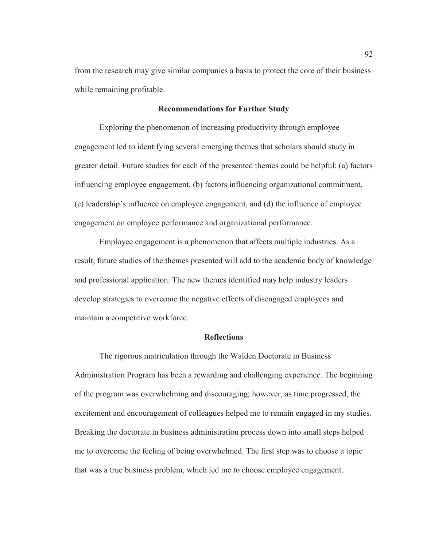from the research may give similar companies a basis to protect the core of their business while remaining profitable.

#### **Recommendations for Further Study**

Exploring the phenomenon of increasing productivity through employee engagement led to identifying several emerging themes that scholars should study in greater detail. Future studies for each of the presented themes could be helpful: (a) factors influencing employee engagement, (b) factors influencing organizational commitment, (c) leadership's influence on employee engagement, and (d) the influence of employee engagement on employee performance and organizational performance.

Employee engagement is a phenomenon that affects multiple industries. As a result, future studies of the themes presented will add to the academic body of knowledge and professional application. The new themes identified may help industry leaders develop strategies to overcome the negative effects of disengaged employees and maintain a competitive workforce.

## **Reflections**

The rigorous matriculation through the Walden Doctorate in Business Administration Program has been a rewarding and challenging experience. The beginning of the program was overwhelming and discouraging; however, as time progressed, the excitement and encouragement of colleagues helped me to remain engaged in my studies. Breaking the doctorate in business administration process down into small steps helped me to overcome the feeling of being overwhelmed. The first step was to choose a topic that was a true business problem, which led me to choose employee engagement.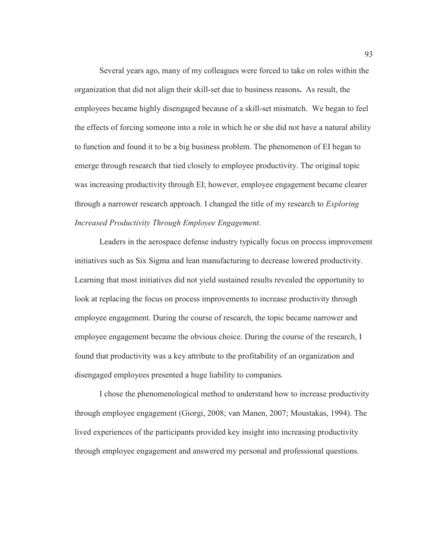Several years ago, many of my colleagues were forced to take on roles within the organization that did not align their skill-set due to business reasons**.** As result, the employees became highly disengaged because of a skill-set mismatch. We began to feel the effects of forcing someone into a role in which he or she did not have a natural ability to function and found it to be a big business problem. The phenomenon of EI began to emerge through research that tied closely to employee productivity. The original topic was increasing productivity through EI; however, employee engagement became clearer through a narrower research approach. I changed the title of my research to *Exploring Increased Productivity Through Employee Engagement*.

Leaders in the aerospace defense industry typically focus on process improvement initiatives such as Six Sigma and lean manufacturing to decrease lowered productivity. Learning that most initiatives did not yield sustained results revealed the opportunity to look at replacing the focus on process improvements to increase productivity through employee engagement. During the course of research, the topic became narrower and employee engagement became the obvious choice. During the course of the research, I found that productivity was a key attribute to the profitability of an organization and disengaged employees presented a huge liability to companies.

I chose the phenomenological method to understand how to increase productivity through employee engagement (Giorgi, 2008; van Manen, 2007; Moustakas, 1994). The lived experiences of the participants provided key insight into increasing productivity through employee engagement and answered my personal and professional questions.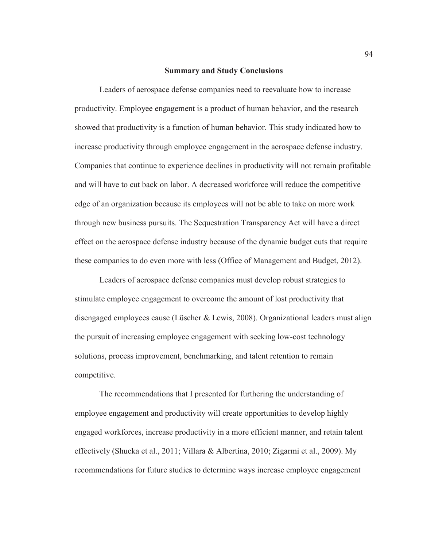#### **Summary and Study Conclusions**

Leaders of aerospace defense companies need to reevaluate how to increase productivity. Employee engagement is a product of human behavior, and the research showed that productivity is a function of human behavior. This study indicated how to increase productivity through employee engagement in the aerospace defense industry. Companies that continue to experience declines in productivity will not remain profitable and will have to cut back on labor. A decreased workforce will reduce the competitive edge of an organization because its employees will not be able to take on more work through new business pursuits. The Sequestration Transparency Act will have a direct effect on the aerospace defense industry because of the dynamic budget cuts that require these companies to do even more with less (Office of Management and Budget, 2012).

Leaders of aerospace defense companies must develop robust strategies to stimulate employee engagement to overcome the amount of lost productivity that disengaged employees cause (Lüscher & Lewis, 2008). Organizational leaders must align the pursuit of increasing employee engagement with seeking low-cost technology solutions, process improvement, benchmarking, and talent retention to remain competitive.

The recommendations that I presented for furthering the understanding of employee engagement and productivity will create opportunities to develop highly engaged workforces, increase productivity in a more efficient manner, and retain talent effectively (Shucka et al., 2011; Villara & Albertína, 2010; Zigarmi et al., 2009). My recommendations for future studies to determine ways increase employee engagement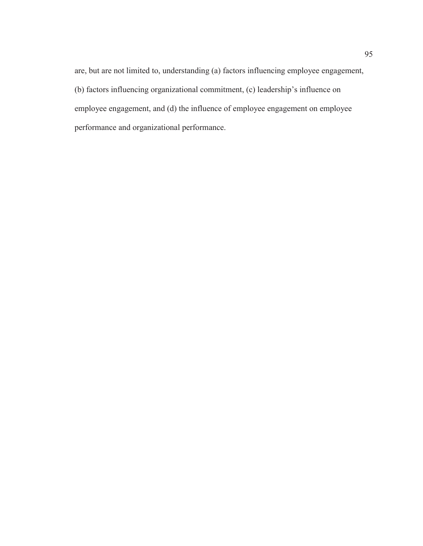are, but are not limited to, understanding (a) factors influencing employee engagement, (b) factors influencing organizational commitment, (c) leadership's influence on employee engagement, and (d) the influence of employee engagement on employee performance and organizational performance.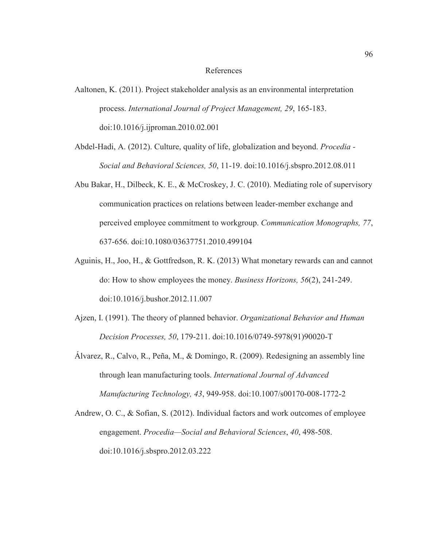#### References

- Aaltonen, K. (2011). Project stakeholder analysis as an environmental interpretation process. *International Journal of Project Management, 29*, 165-183. doi:10.1016/j.ijproman.2010.02.001
- Abdel-Hadi, A. (2012). Culture, quality of life, globalization and beyond. *Procedia Social and Behavioral Sciences, 50*, 11-19. doi:10.1016/j.sbspro.2012.08.011
- Abu Bakar, H., Dilbeck, K. E., & McCroskey, J. C. (2010). Mediating role of supervisory communication practices on relations between leader-member exchange and perceived employee commitment to workgroup. *Communication Monographs, 77*, 637-656. doi:10.1080/03637751.2010.499104
- Aguinis, H., Joo, H., & Gottfredson, R. K. (2013) What monetary rewards can and cannot do: How to show employees the money. *Business Horizons, 56*(2), 241-249. doi:10.1016/j.bushor.2012.11.007
- Ajzen, I. (1991). The theory of planned behavior. *Organizational Behavior and Human Decision Processes, 50*, 179-211. doi:10.1016/0749-5978(91)90020-T
- Álvarez, R., Calvo, R., Peña, M., & Domingo, R. (2009). Redesigning an assembly line through lean manufacturing tools. *International Journal of Advanced Manufacturing Technology, 43*, 949-958. doi:10.1007/s00170-008-1772-2
- Andrew, O. C., & Sofian, S. (2012). Individual factors and work outcomes of employee engagement. *Procedia—Social and Behavioral Sciences*, *40*, 498-508. doi:10.1016/j.sbspro.2012.03.222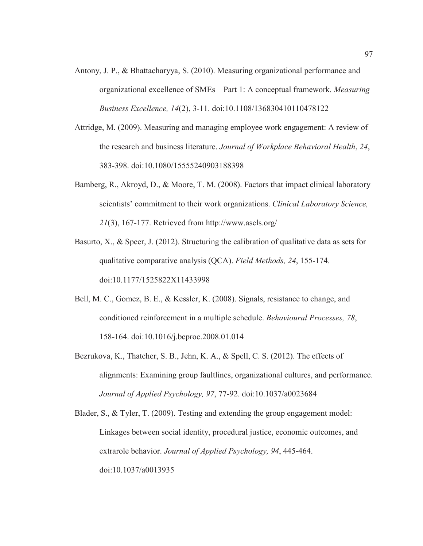- Antony, J. P., & Bhattacharyya, S. (2010). Measuring organizational performance and organizational excellence of SMEs—Part 1: A conceptual framework. *Measuring Business Excellence, 14*(2), 3-11. doi:10.1108/136830410110478122
- Attridge, M. (2009). Measuring and managing employee work engagement: A review of the research and business literature. *Journal of Workplace Behavioral Health*, *24*, 383-398. doi:10.1080/15555240903188398
- Bamberg, R., Akroyd, D., & Moore, T. M. (2008). Factors that impact clinical laboratory scientists' commitment to their work organizations. *Clinical Laboratory Science, 21*(3), 167-177. Retrieved from http://www.ascls.org/
- Basurto, X., & Speer, J. (2012). Structuring the calibration of qualitative data as sets for qualitative comparative analysis (QCA). *Field Methods, 24*, 155-174. doi:10.1177/1525822X11433998
- Bell, M. C., Gomez, B. E., & Kessler, K. (2008). Signals, resistance to change, and conditioned reinforcement in a multiple schedule. *Behavioural Processes, 78*, 158-164. doi:10.1016/j.beproc.2008.01.014
- Bezrukova, K., Thatcher, S. B., Jehn, K. A., & Spell, C. S. (2012). The effects of alignments: Examining group faultlines, organizational cultures, and performance. *Journal of Applied Psychology, 97*, 77-92. doi:10.1037/a0023684
- Blader, S., & Tyler, T. (2009). Testing and extending the group engagement model: Linkages between social identity, procedural justice, economic outcomes, and extrarole behavior. *Journal of Applied Psychology, 94*, 445-464. doi:10.1037/a0013935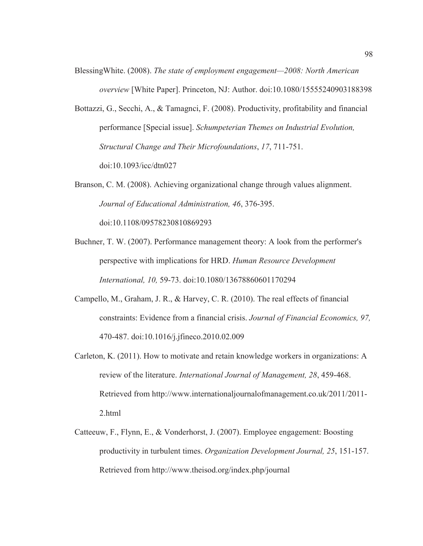- BlessingWhite. (2008). *The state of employment engagement—2008: North American overview* [White Paper]. Princeton, NJ: Author. doi:10.1080/15555240903188398
- Bottazzi, G., Secchi, A., & Tamagnci, F. (2008). Productivity, profitability and financial performance [Special issue]. *Schumpeterian Themes on Industrial Evolution, Structural Change and Their Microfoundations*, *17*, 711-751. doi:10.1093/icc/dtn027
- Branson, C. M. (2008). Achieving organizational change through values alignment. *Journal of Educational Administration, 46*, 376-395. doi:10.1108/09578230810869293
- Buchner, T. W. (2007). Performance management theory: A look from the performer's perspective with implications for HRD. *Human Resource Development International, 10,* 59-73. doi:10.1080/13678860601170294
- Campello, M., Graham, J. R., & Harvey, C. R. (2010). The real effects of financial constraints: Evidence from a financial crisis. *Journal of Financial Economics, 97,* 470-487. doi:10.1016/j.jfineco.2010.02.009
- Carleton, K. (2011). How to motivate and retain knowledge workers in organizations: A review of the literature. *International Journal of Management, 28*, 459-468. Retrieved from http://www.internationaljournalofmanagement.co.uk/2011/2011- 2.html
- Catteeuw, F., Flynn, E., & Vonderhorst, J. (2007). Employee engagement: Boosting productivity in turbulent times. *Organization Development Journal, 25*, 151-157. Retrieved from http://www.theisod.org/index.php/journal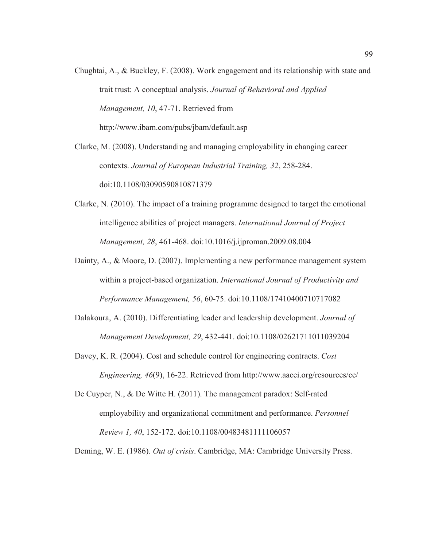Chughtai, A., & Buckley, F. (2008). Work engagement and its relationship with state and trait trust: A conceptual analysis. *Journal of Behavioral and Applied Management, 10*, 47-71. Retrieved from http://www.ibam.com/pubs/jbam/default.asp

Clarke, M. (2008). Understanding and managing employability in changing career contexts. *Journal of European Industrial Training, 32*, 258-284. doi:10.1108/03090590810871379

- Clarke, N. (2010). The impact of a training programme designed to target the emotional intelligence abilities of project managers. *International Journal of Project Management, 28*, 461-468. doi:10.1016/j.ijproman.2009.08.004
- Dainty, A., & Moore, D. (2007). Implementing a new performance management system within a project-based organization. *International Journal of Productivity and Performance Management, 56*, 60-75. doi:10.1108/17410400710717082
- Dalakoura, A. (2010). Differentiating leader and leadership development. *Journal of Management Development, 29*, 432-441. doi:10.1108/02621711011039204
- Davey, K. R. (2004). Cost and schedule control for engineering contracts. *Cost Engineering, 46*(9), 16-22. Retrieved from http://www.aacei.org/resources/ce/
- De Cuyper, N., & De Witte H. (2011). The management paradox: Self-rated employability and organizational commitment and performance. *Personnel Review 1, 40*, 152-172. doi:10.1108/00483481111106057

Deming, W. E. (1986). *Out of crisis*. Cambridge, MA: Cambridge University Press.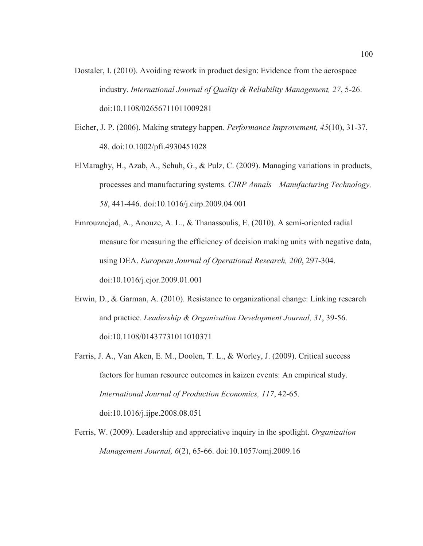- Dostaler, I. (2010). Avoiding rework in product design: Evidence from the aerospace industry. *International Journal of Quality & Reliability Management, 27*, 5-26. doi:10.1108/02656711011009281
- Eicher, J. P. (2006). Making strategy happen. *Performance Improvement, 45*(10), 31-37, 48. doi:10.1002/pfi.4930451028
- ElMaraghy, H., Azab, A., Schuh, G., & Pulz, C. (2009). Managing variations in products, processes and manufacturing systems. *CIRP Annals—Manufacturing Technology, 58*, 441-446. doi:10.1016/j.cirp.2009.04.001
- Emrouznejad, A., Anouze, A. L., & Thanassoulis, E. (2010). A semi-oriented radial measure for measuring the efficiency of decision making units with negative data, using DEA. *European Journal of Operational Research, 200*, 297-304. doi:10.1016/j.ejor.2009.01.001
- Erwin, D., & Garman, A. (2010). Resistance to organizational change: Linking research and practice. *Leadership & Organization Development Journal, 31*, 39-56. doi:10.1108/01437731011010371
- Farris, J. A., Van Aken, E. M., Doolen, T. L., & Worley, J. (2009). Critical success factors for human resource outcomes in kaizen events: An empirical study. *International Journal of Production Economics, 117*, 42-65. doi:10.1016/j.ijpe.2008.08.051
- Ferris, W. (2009). Leadership and appreciative inquiry in the spotlight. *Organization Management Journal, 6*(2), 65-66. doi:10.1057/omj.2009.16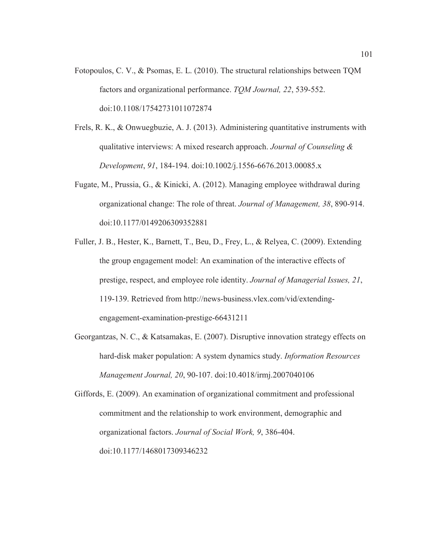- Fotopoulos, C. V., & Psomas, E. L. (2010). The structural relationships between TQM factors and organizational performance. *TQM Journal, 22*, 539-552. doi:10.1108/17542731011072874
- Frels, R. K., & Onwuegbuzie, A. J. (2013). Administering quantitative instruments with qualitative interviews: A mixed research approach. *Journal of Counseling & Development*, *91*, 184-194. doi:10.1002/j.1556-6676.2013.00085.x
- Fugate, M., Prussia, G., & Kinicki, A. (2012). Managing employee withdrawal during organizational change: The role of threat. *Journal of Management, 38*, 890-914. doi:10.1177/0149206309352881
- Fuller, J. B., Hester, K., Barnett, T., Beu, D., Frey, L., & Relyea, C. (2009). Extending the group engagement model: An examination of the interactive effects of prestige, respect, and employee role identity. *Journal of Managerial Issues, 21*, 119-139. Retrieved from http://news-business.vlex.com/vid/extendingengagement-examination-prestige-66431211
- Georgantzas, N. C., & Katsamakas, E. (2007). Disruptive innovation strategy effects on hard-disk maker population: A system dynamics study. *Information Resources Management Journal, 20*, 90-107. doi:10.4018/irmj.2007040106

Giffords, E. (2009). An examination of organizational commitment and professional commitment and the relationship to work environment, demographic and organizational factors. *Journal of Social Work, 9*, 386-404. doi:10.1177/1468017309346232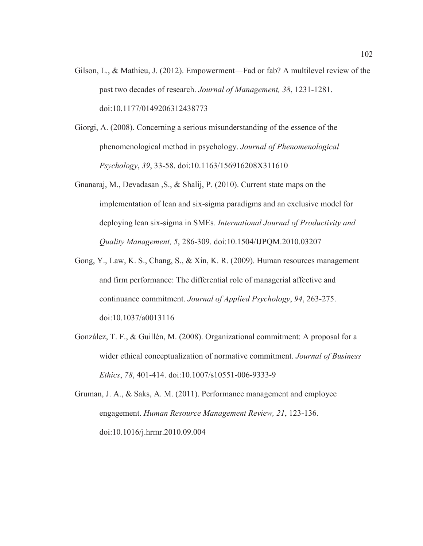- Gilson, L., & Mathieu, J. (2012). Empowerment—Fad or fab? A multilevel review of the past two decades of research. *Journal of Management, 38*, 1231-1281. doi:10.1177/0149206312438773
- Giorgi, A. (2008). Concerning a serious misunderstanding of the essence of the phenomenological method in psychology. *Journal of Phenomenological Psychology*, *39*, 33-58. doi:10.1163/156916208X311610
- Gnanaraj, M., Devadasan ,S., & Shalij, P. (2010). Current state maps on the implementation of lean and six-sigma paradigms and an exclusive model for deploying lean six-sigma in SMEs*. International Journal of Productivity and Quality Management, 5*, 286-309. doi:10.1504/IJPQM.2010.03207
- Gong, Y., Law, K. S., Chang, S., & Xin, K. R. (2009). Human resources management and firm performance: The differential role of managerial affective and continuance commitment. *Journal of Applied Psychology*, *94*, 263-275. doi:10.1037/a0013116
- González, T. F., & Guillén, M. (2008). Organizational commitment: A proposal for a wider ethical conceptualization of normative commitment. *Journal of Business Ethics*, *78*, 401-414. doi:10.1007/s10551-006-9333-9
- Gruman, J. A., & Saks, A. M. (2011). Performance management and employee engagement. *Human Resource Management Review, 21*, 123-136. doi:10.1016/j.hrmr.2010.09.004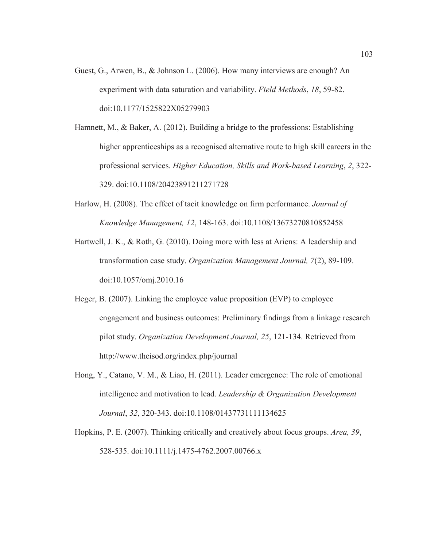- Guest, G., Arwen, B., & Johnson L. (2006). How many interviews are enough? An experiment with data saturation and variability. *Field Methods*, *18*, 59-82. doi:10.1177/1525822X05279903
- Hamnett, M., & Baker, A. (2012). Building a bridge to the professions: Establishing higher apprenticeships as a recognised alternative route to high skill careers in the professional services. *Higher Education, Skills and Work-based Learning*, *2*, 322- 329. doi:10.1108/20423891211271728
- Harlow, H. (2008). The effect of tacit knowledge on firm performance. *Journal of Knowledge Management, 12*, 148-163. doi:10.1108/13673270810852458
- Hartwell, J. K., & Roth, G. (2010). Doing more with less at Ariens: A leadership and transformation case study. *Organization Management Journal, 7*(2), 89-109. doi:10.1057/omj.2010.16
- Heger, B. (2007). Linking the employee value proposition (EVP) to employee engagement and business outcomes: Preliminary findings from a linkage research pilot study. *Organization Development Journal, 25*, 121-134. Retrieved from http://www.theisod.org/index.php/journal
- Hong, Y., Catano, V. M., & Liao, H. (2011). Leader emergence: The role of emotional intelligence and motivation to lead. *Leadership & Organization Development Journal*, *32*, 320-343. doi:10.1108/01437731111134625
- Hopkins, P. E. (2007). Thinking critically and creatively about focus groups. *Area, 39*, 528-535. doi:10.1111/j.1475-4762.2007.00766.x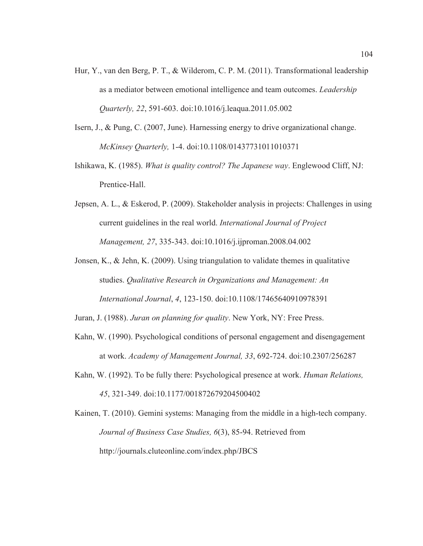- Hur, Y., van den Berg, P. T., & Wilderom, C. P. M. (2011). Transformational leadership as a mediator between emotional intelligence and team outcomes. *Leadership Quarterly, 22*, 591-603. doi:10.1016/j.leaqua.2011.05.002
- Isern, J., & Pung, C. (2007, June). Harnessing energy to drive organizational change. *McKinsey Quarterly,* 1-4. doi:10.1108/01437731011010371
- Ishikawa, K. (1985). *What is quality control? The Japanese way*. Englewood Cliff, NJ: Prentice-Hall.
- Jepsen, A. L., & Eskerod, P. (2009). Stakeholder analysis in projects: Challenges in using current guidelines in the real world. *International Journal of Project Management, 27*, 335-343. doi:10.1016/j.ijproman.2008.04.002
- Jonsen, K., & Jehn, K. (2009). Using triangulation to validate themes in qualitative studies. *Qualitative Research in Organizations and Management: An International Journal*, *4*, 123-150. doi:10.1108/17465640910978391
- Juran, J. (1988). *Juran on planning for quality*. New York, NY: Free Press.
- Kahn, W. (1990). Psychological conditions of personal engagement and disengagement at work. *Academy of Management Journal, 33*, 692-724. doi:10.2307/256287
- Kahn, W. (1992). To be fully there: Psychological presence at work. *Human Relations, 45*, 321-349. doi:10.1177/001872679204500402

Kainen, T. (2010). Gemini systems: Managing from the middle in a high-tech company. *Journal of Business Case Studies, 6*(3), 85-94. Retrieved from http://journals.cluteonline.com/index.php/JBCS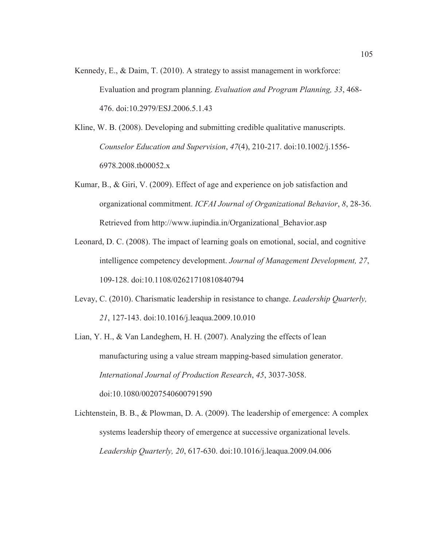- Kennedy, E., & Daim, T. (2010). A strategy to assist management in workforce: Evaluation and program planning. *Evaluation and Program Planning, 33*, 468- 476. doi:10.2979/ESJ.2006.5.1.43
- Kline, W. B. (2008). Developing and submitting credible qualitative manuscripts. *Counselor Education and Supervision*, *47*(4), 210-217. doi:10.1002/j.1556- 6978.2008.tb00052.x
- Kumar, B., & Giri, V. (2009). Effect of age and experience on job satisfaction and organizational commitment. *ICFAI Journal of Organizational Behavior*, *8*, 28-36. Retrieved from http://www.iupindia.in/Organizational\_Behavior.asp
- Leonard, D. C. (2008). The impact of learning goals on emotional, social, and cognitive intelligence competency development. *Journal of Management Development, 27*, 109-128. doi:10.1108/02621710810840794
- Levay, C. (2010). Charismatic leadership in resistance to change. *Leadership Quarterly, 21*, 127-143. doi:10.1016/j.leaqua.2009.10.010
- Lian, Y. H., & Van Landeghem, H. H. (2007). Analyzing the effects of lean manufacturing using a value stream mapping-based simulation generator. *International Journal of Production Research*, *45*, 3037-3058. doi:10.1080/00207540600791590
- Lichtenstein, B. B., & Plowman, D. A. (2009). The leadership of emergence: A complex systems leadership theory of emergence at successive organizational levels. *Leadership Quarterly, 20*, 617-630. doi:10.1016/j.leaqua.2009.04.006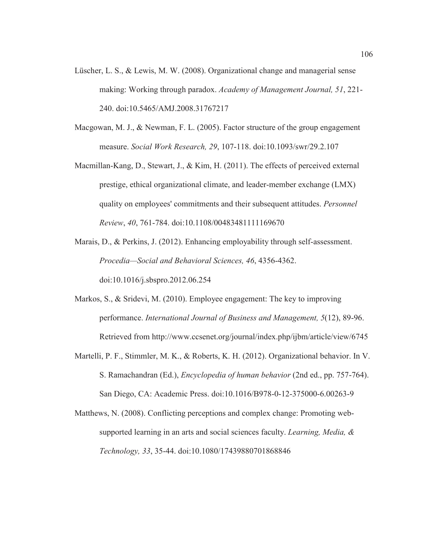- Lüscher, L. S., & Lewis, M. W. (2008). Organizational change and managerial sense making: Working through paradox. *Academy of Management Journal, 51*, 221- 240. doi:10.5465/AMJ.2008.31767217
- Macgowan, M. J., & Newman, F. L. (2005). Factor structure of the group engagement measure. *Social Work Research, 29*, 107-118. doi:10.1093/swr/29.2.107
- Macmillan-Kang, D., Stewart, J., & Kim, H. (2011). The effects of perceived external prestige, ethical organizational climate, and leader-member exchange (LMX) quality on employees' commitments and their subsequent attitudes. *Personnel Review*, *40*, 761-784. doi:10.1108/00483481111169670

Marais, D., & Perkins, J. (2012). Enhancing employability through self-assessment. *Procedia—Social and Behavioral Sciences, 46*, 4356-4362. doi:10.1016/j.sbspro.2012.06.254

- Markos, S., & Sridevi, M. (2010). Employee engagement: The key to improving performance. *International Journal of Business and Management, 5*(12), 89-96. Retrieved from http://www.ccsenet.org/journal/index.php/ijbm/article/view/6745
- Martelli, P. F., Stimmler, M. K., & Roberts, K. H. (2012). Organizational behavior. In V. S. Ramachandran (Ed.), *Encyclopedia of human behavior* (2nd ed., pp. 757-764). San Diego, CA: Academic Press. doi:10.1016/B978-0-12-375000-6.00263-9
- Matthews, N. (2008). Conflicting perceptions and complex change: Promoting websupported learning in an arts and social sciences faculty. *Learning, Media, & Technology, 33*, 35-44. doi:10.1080/17439880701868846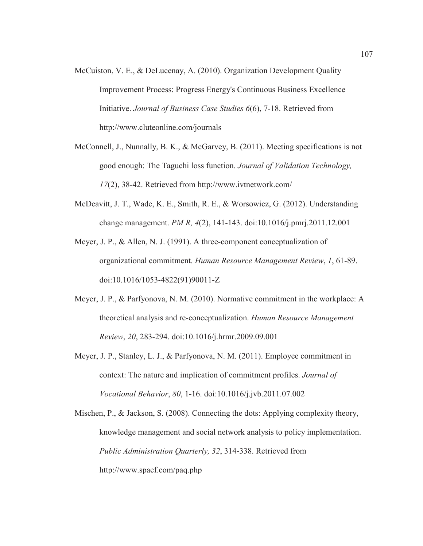- McCuiston, V. E., & DeLucenay, A. (2010). Organization Development Quality Improvement Process: Progress Energy's Continuous Business Excellence Initiative. *Journal of Business Case Studies 6*(6), 7-18. Retrieved from http://www.cluteonline.com/journals
- McConnell, J., Nunnally, B. K., & McGarvey, B. (2011). Meeting specifications is not good enough: The Taguchi loss function. *Journal of Validation Technology, 17*(2), 38-42. Retrieved from http://www.ivtnetwork.com/
- McDeavitt, J. T., Wade, K. E., Smith, R. E., & Worsowicz, G. (2012). Understanding change management. *PM R, 4*(2), 141-143. doi:10.1016/j.pmrj.2011.12.001
- Meyer, J. P., & Allen, N. J. (1991). A three-component conceptualization of organizational commitment. *Human Resource Management Review*, *1*, 61-89. doi:10.1016/1053-4822(91)90011-Z
- Meyer, J. P., & Parfyonova, N. M. (2010). Normative commitment in the workplace: A theoretical analysis and re-conceptualization. *Human Resource Management Review*, *20*, 283-294. doi:10.1016/j.hrmr.2009.09.001
- Meyer, J. P., Stanley, L. J., & Parfyonova, N. M. (2011). Employee commitment in context: The nature and implication of commitment profiles. *Journal of Vocational Behavior*, *80*, 1-16. doi:10.1016/j.jvb.2011.07.002

Mischen, P., & Jackson, S. (2008). Connecting the dots: Applying complexity theory, knowledge management and social network analysis to policy implementation. *Public Administration Quarterly, 32*, 314-338. Retrieved from http://www.spaef.com/paq.php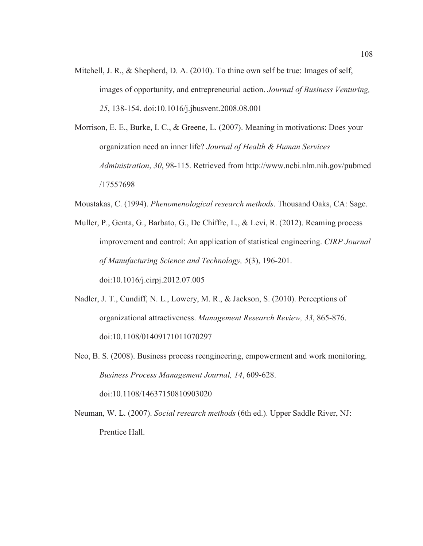- Mitchell, J. R., & Shepherd, D. A. (2010). To thine own self be true: Images of self, images of opportunity, and entrepreneurial action. *Journal of Business Venturing, 25*, 138-154. doi:10.1016/j.jbusvent.2008.08.001
- Morrison, E. E., Burke, I. C., & Greene, L. (2007). Meaning in motivations: Does your organization need an inner life? *Journal of Health & Human Services Administration*, *30*, 98-115. Retrieved from http://www.ncbi.nlm.nih.gov/pubmed /17557698
- Moustakas, C. (1994). *Phenomenological research methods*. Thousand Oaks, CA: Sage.
- Muller, P., Genta, G., Barbato, G., De Chiffre, L., & Levi, R. (2012). Reaming process improvement and control: An application of statistical engineering. *CIRP Journal of Manufacturing Science and Technology, 5*(3), 196-201. doi:10.1016/j.cirpj.2012.07.005
- Nadler, J. T., Cundiff, N. L., Lowery, M. R., & Jackson, S. (2010). Perceptions of organizational attractiveness. *Management Research Review, 33*, 865-876. doi:10.1108/01409171011070297
- Neo, B. S. (2008). Business process reengineering, empowerment and work monitoring. *Business Process Management Journal, 14*, 609-628. doi:10.1108/14637150810903020
- Neuman, W. L. (2007). *Social research methods* (6th ed.). Upper Saddle River, NJ: Prentice Hall.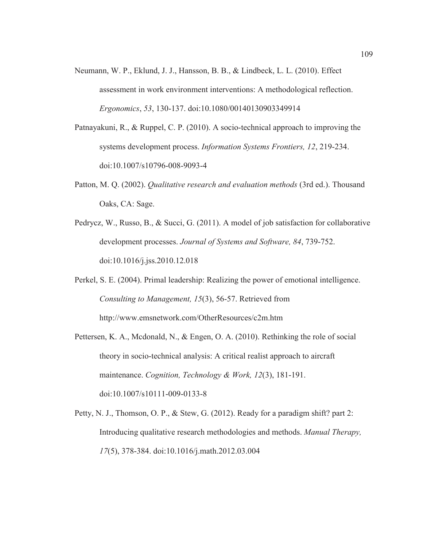- Neumann, W. P., Eklund, J. J., Hansson, B. B., & Lindbeck, L. L. (2010). Effect assessment in work environment interventions: A methodological reflection. *Ergonomics*, *53*, 130-137. doi:10.1080/00140130903349914
- Patnayakuni, R., & Ruppel, C. P. (2010). A socio-technical approach to improving the systems development process. *Information Systems Frontiers, 12*, 219-234. doi:10.1007/s10796-008-9093-4
- Patton, M. Q. (2002). *Qualitative research and evaluation methods* (3rd ed.). Thousand Oaks, CA: Sage.
- Pedrycz, W., Russo, B., & Succi, G. (2011). A model of job satisfaction for collaborative development processes. *Journal of Systems and Software, 84*, 739-752. doi:10.1016/j.jss.2010.12.018
- Perkel, S. E. (2004). Primal leadership: Realizing the power of emotional intelligence. *Consulting to Management, 15*(3), 56-57. Retrieved from http://www.emsnetwork.com/OtherResources/c2m.htm
- Pettersen, K. A., Mcdonald, N., & Engen, O. A. (2010). Rethinking the role of social theory in socio-technical analysis: A critical realist approach to aircraft maintenance. *Cognition, Technology & Work, 12*(3), 181-191. doi:10.1007/s10111-009-0133-8
- Petty, N. J., Thomson, O. P., & Stew, G. (2012). Ready for a paradigm shift? part 2: Introducing qualitative research methodologies and methods. *Manual Therapy, 17*(5), 378-384. doi:10.1016/j.math.2012.03.004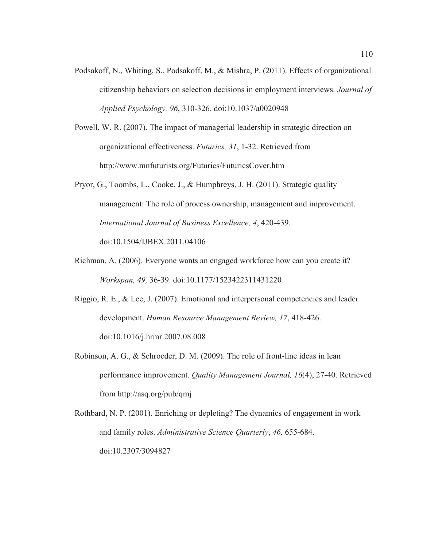- Podsakoff, N., Whiting, S., Podsakoff, M., & Mishra, P. (2011). Effects of organizational citizenship behaviors on selection decisions in employment interviews. *Journal of Applied Psychology, 96*, 310-326. doi:10.1037/a0020948
- Powell, W. R. (2007). The impact of managerial leadership in strategic direction on organizational effectiveness. *Futurics, 31*, 1-32. Retrieved from http://www.mnfuturists.org/Futurics/FuturicsCover.htm
- Pryor, G., Toombs, L., Cooke, J., & Humphreys, J. H. (2011). Strategic quality management: The role of process ownership, management and improvement. *International Journal of Business Excellence, 4*, 420-439. doi:10.1504/IJBEX.2011.04106
- Richman, A. (2006). Everyone wants an engaged workforce how can you create it? *Workspan, 49,* 36-39. doi:10.1177/1523422311431220
- Riggio, R. E., & Lee, J. (2007). Emotional and interpersonal competencies and leader development. *Human Resource Management Review, 17*, 418-426. doi:10.1016/j.hrmr.2007.08.008
- Robinson, A. G., & Schroeder, D. M. (2009). The role of front-line ideas in lean performance improvement. *Quality Management Journal, 16*(4), 27-40. Retrieved from http://asq.org/pub/qmj
- Rothbard, N. P. (2001). Enriching or depleting? The dynamics of engagement in work and family roles. *Administrative Science Quarterly*, *46,* 655-684. doi:10.2307/3094827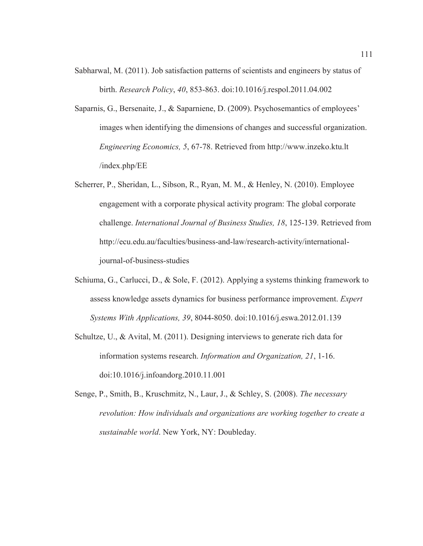- Sabharwal, M. (2011). Job satisfaction patterns of scientists and engineers by status of birth. *Research Policy*, *40*, 853-863. doi:10.1016/j.respol.2011.04.002
- Saparnis, G., Bersenaite, J., & Saparniene, D. (2009). Psychosemantics of employees' images when identifying the dimensions of changes and successful organization. *Engineering Economics, 5*, 67-78. Retrieved from http://www.inzeko.ktu.lt /index.php/EE
- Scherrer, P., Sheridan, L., Sibson, R., Ryan, M. M., & Henley, N. (2010). Employee engagement with a corporate physical activity program: The global corporate challenge. *International Journal of Business Studies, 18*, 125-139. Retrieved from http://ecu.edu.au/faculties/business-and-law/research-activity/internationaljournal-of-business-studies
- Schiuma, G., Carlucci, D., & Sole, F. (2012). Applying a systems thinking framework to assess knowledge assets dynamics for business performance improvement. *Expert Systems With Applications, 39*, 8044-8050. doi:10.1016/j.eswa.2012.01.139
- Schultze, U., & Avital, M. (2011). Designing interviews to generate rich data for information systems research. *Information and Organization, 21*, 1-16. doi:10.1016/j.infoandorg.2010.11.001
- Senge, P., Smith, B., Kruschmitz, N., Laur, J., & Schley, S. (2008). *The necessary revolution: How individuals and organizations are working together to create a sustainable world*. New York, NY: Doubleday.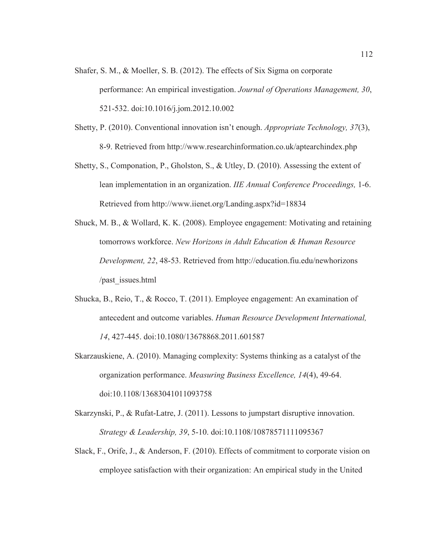- Shafer, S. M., & Moeller, S. B. (2012). The effects of Six Sigma on corporate performance: An empirical investigation. *Journal of Operations Management, 30*, 521-532. doi:10.1016/j.jom.2012.10.002
- Shetty, P. (2010). Conventional innovation isn't enough. *Appropriate Technology, 37*(3), 8-9. Retrieved from http://www.researchinformation.co.uk/aptearchindex.php
- Shetty, S., Componation, P., Gholston, S., & Utley, D. (2010). Assessing the extent of lean implementation in an organization. *IIE Annual Conference Proceedings,* 1-6. Retrieved from http://www.iienet.org/Landing.aspx?id=18834
- Shuck, M. B., & Wollard, K. K. (2008). Employee engagement: Motivating and retaining tomorrows workforce. *New Horizons in Adult Education & Human Resource Development, 22*, 48-53. Retrieved from http://education.fiu.edu/newhorizons /past\_issues.html
- Shucka, B., Reio, T., & Rocco, T. (2011). Employee engagement: An examination of antecedent and outcome variables. *Human Resource Development International, 14*, 427-445. doi:10.1080/13678868.2011.601587
- Skarzauskiene, A. (2010). Managing complexity: Systems thinking as a catalyst of the organization performance. *Measuring Business Excellence, 14*(4), 49-64. doi:10.1108/13683041011093758
- Skarzynski, P., & Rufat-Latre, J. (2011). Lessons to jumpstart disruptive innovation. *Strategy & Leadership, 39*, 5-10. doi:10.1108/10878571111095367
- Slack, F., Orife, J., & Anderson, F. (2010). Effects of commitment to corporate vision on employee satisfaction with their organization: An empirical study in the United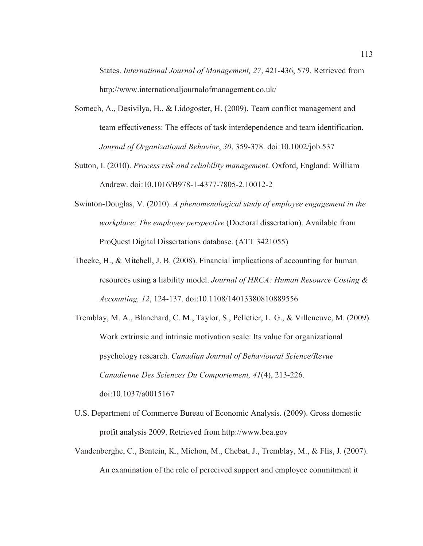States. *International Journal of Management, 27*, 421-436, 579. Retrieved from http://www.internationaljournalofmanagement.co.uk/

- Somech, A., Desivilya, H., & Lidogoster, H. (2009). Team conflict management and team effectiveness: The effects of task interdependence and team identification. *Journal of Organizational Behavior*, *30*, 359-378. doi:10.1002/job.537
- Sutton, I. (2010). *Process risk and reliability management*. Oxford, England: William Andrew. doi:10.1016/B978-1-4377-7805-2.10012-2
- Swinton-Douglas, V. (2010). *A phenomenological study of employee engagement in the workplace: The employee perspective* (Doctoral dissertation). Available from ProQuest Digital Dissertations database. (ATT 3421055)
- Theeke, H., & Mitchell, J. B. (2008). Financial implications of accounting for human resources using a liability model. *Journal of HRCA: Human Resource Costing & Accounting, 12*, 124-137. doi:10.1108/14013380810889556
- Tremblay, M. A., Blanchard, C. M., Taylor, S., Pelletier, L. G., & Villeneuve, M. (2009). Work extrinsic and intrinsic motivation scale: Its value for organizational psychology research. *Canadian Journal of Behavioural Science/Revue Canadienne Des Sciences Du Comportement, 41*(4), 213-226. doi:10.1037/a0015167
- U.S. Department of Commerce Bureau of Economic Analysis. (2009). Gross domestic profit analysis 2009. Retrieved from http://www.bea.gov
- Vandenberghe, C., Bentein, K., Michon, M., Chebat, J., Tremblay, M., & Flis, J. (2007). An examination of the role of perceived support and employee commitment it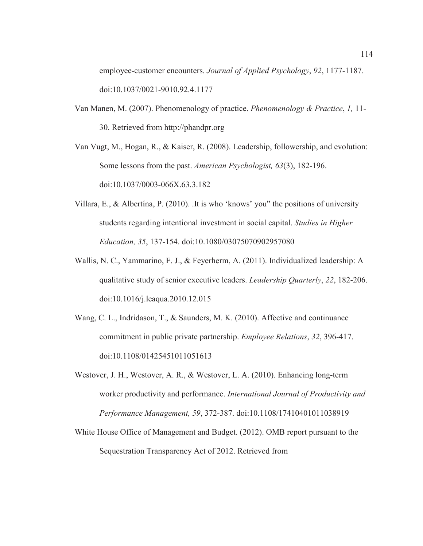employee-customer encounters. *Journal of Applied Psychology*, *92*, 1177-1187. doi:10.1037/0021-9010.92.4.1177

Van Manen, M. (2007). Phenomenology of practice. *Phenomenology & Practice*, *1,* 11- 30. Retrieved from http://phandpr.org

Van Vugt, M., Hogan, R., & Kaiser, R. (2008). Leadership, followership, and evolution: Some lessons from the past. *American Psychologist, 63*(3), 182-196. doi:10.1037/0003-066X.63.3.182

- Villara, E., & Albertína, P. (2010). .It is who 'knows' you" the positions of university students regarding intentional investment in social capital. *Studies in Higher Education, 35*, 137-154. doi:10.1080/03075070902957080
- Wallis, N. C., Yammarino, F. J., & Feyerherm, A. (2011). Individualized leadership: A qualitative study of senior executive leaders. *Leadership Quarterly*, *22*, 182-206. doi:10.1016/j.leaqua.2010.12.015
- Wang, C. L., Indridason, T., & Saunders, M. K. (2010). Affective and continuance commitment in public private partnership. *Employee Relations*, *32*, 396-417. doi:10.1108/01425451011051613
- Westover, J. H., Westover, A. R., & Westover, L. A. (2010). Enhancing long-term worker productivity and performance. *International Journal of Productivity and Performance Management, 59*, 372-387. doi:10.1108/17410401011038919
- White House Office of Management and Budget. (2012). OMB report pursuant to the Sequestration Transparency Act of 2012. Retrieved from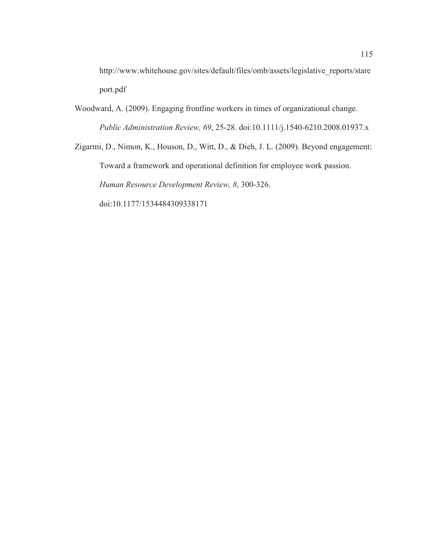http://www.whitehouse.gov/sites/default/files/omb/assets/legislative\_reports/stare port.pdf

Woodward, A. (2009). Engaging frontline workers in times of organizational change. *Public Administration Review, 69*, 25-28. doi:10.1111/j.1540-6210.2008.01937.x

Zigarmi, D., Nimon, K., Houson, D., Witt, D., & Dieh, J. L. (2009). Beyond engagement: Toward a framework and operational definition for employee work passion. *Human Resource Development Review, 8*, 300-326. doi:10.1177/1534484309338171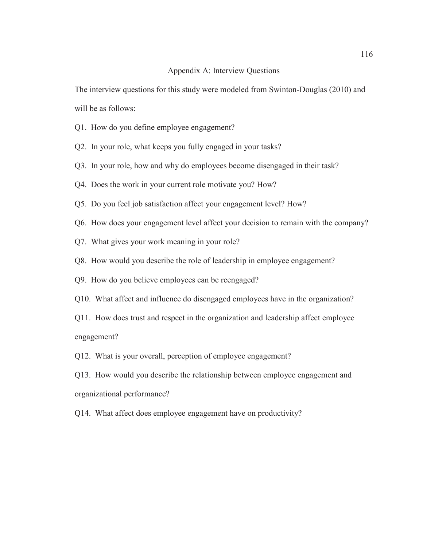#### Appendix A: Interview Questions

The interview questions for this study were modeled from Swinton-Douglas (2010) and will be as follows:

- Q1. How do you define employee engagement?
- Q2. In your role, what keeps you fully engaged in your tasks?
- Q3. In your role, how and why do employees become disengaged in their task?
- Q4. Does the work in your current role motivate you? How?
- Q5. Do you feel job satisfaction affect your engagement level? How?
- Q6. How does your engagement level affect your decision to remain with the company?
- Q7. What gives your work meaning in your role?
- Q8. How would you describe the role of leadership in employee engagement?
- Q9. How do you believe employees can be reengaged?
- Q10. What affect and influence do disengaged employees have in the organization?
- Q11. How does trust and respect in the organization and leadership affect employee engagement?
- Q12. What is your overall, perception of employee engagement?
- Q13. How would you describe the relationship between employee engagement and organizational performance?
- Q14. What affect does employee engagement have on productivity?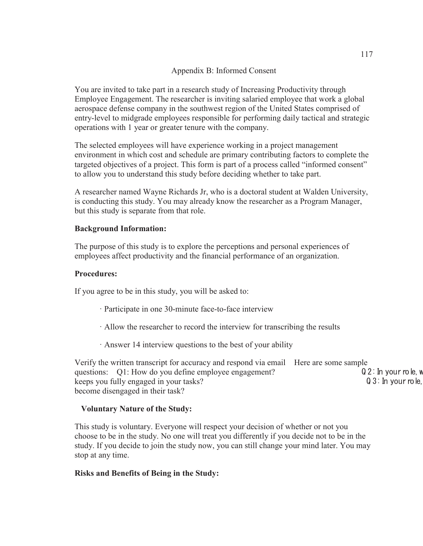### Appendix B: Informed Consent

You are invited to take part in a research study of Increasing Productivity through Employee Engagement. The researcher is inviting salaried employee that work a global aerospace defense company in the southwest region of the United States comprised of entry-level to midgrade employees responsible for performing daily tactical and strategic operations with 1 year or greater tenure with the company.

The selected employees will have experience working in a project management environment in which cost and schedule are primary contributing factors to complete the targeted objectives of a project. This form is part of a process called "informed consent" to allow you to understand this study before deciding whether to take part.

A researcher named Wayne Richards Jr, who is a doctoral student at Walden University, is conducting this study. You may already know the researcher as a Program Manager, but this study is separate from that role.

#### **Background Information:**

The purpose of this study is to explore the perceptions and personal experiences of employees affect productivity and the financial performance of an organization.

#### **Procedures:**

If you agree to be in this study, you will be asked to:

- · Participate in one 30-minute face-to-face interview
- · Allow the researcher to record the interview for transcribing the results
- · Answer 14 interview questions to the best of your ability

Verify the written transcript for accuracy and respond via email Here are some sample questions: Q1: How do you define employee engagement?  $Q2$ : In your role, where  $Q3$ : In your role, where  $Q3$ : In your role, where  $Q3$ : In your role, where  $Q3$ : In your role, keeps you fully engaged in your tasks? become disengaged in their task?

#### **Voluntary Nature of the Study:**

This study is voluntary. Everyone will respect your decision of whether or not you choose to be in the study. No one will treat you differently if you decide not to be in the study. If you decide to join the study now, you can still change your mind later. You may stop at any time.

#### **Risks and Benefits of Being in the Study:**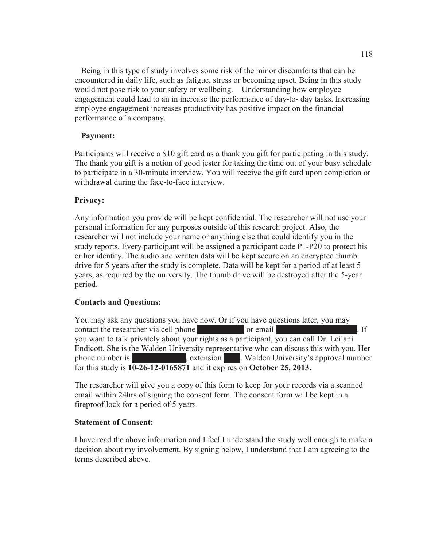Being in this type of study involves some risk of the minor discomforts that can be encountered in daily life, such as fatigue, stress or becoming upset. Being in this study would not pose risk to your safety or wellbeing. Understanding how employee engagement could lead to an in increase the performance of day-to- day tasks. Increasing employee engagement increases productivity has positive impact on the financial performance of a company.

### **Payment:**

Participants will receive a \$10 gift card as a thank you gift for participating in this study. The thank you gift is a notion of good jester for taking the time out of your busy schedule to participate in a 30-minute interview. You will receive the gift card upon completion or withdrawal during the face-to-face interview.

### **Privacy:**

Any information you provide will be kept confidential. The researcher will not use your personal information for any purposes outside of this research project. Also, the researcher will not include your name or anything else that could identify you in the study reports. Every participant will be assigned a participant code P1-P20 to protect his or her identity. The audio and written data will be kept secure on an encrypted thumb drive for 5 years after the study is complete. Data will be kept for a period of at least 5 years, as required by the university. The thumb drive will be destroyed after the 5-year period.

#### **Contacts and Questions:**

You may ask any questions you have now. Or if you have questions later, you may contact the researcher via cell phone 520-979-5145 or email way need to the 1906-1914-1914 or email. you want to talk privately about your rights as a participant, you can call Dr. Leilani Endicott. She is the Walden University representative who can discuss this with you. Her phone number is 1-800-925-3368. Extension 1210. Walden University's approval number for this study is **10-26-12-0165871** and it expires on **October 25, 2013.**

The researcher will give you a copy of this form to keep for your records via a scanned email within 24hrs of signing the consent form. The consent form will be kept in a fireproof lock for a period of 5 years.

#### **Statement of Consent:**

I have read the above information and I feel I understand the study well enough to make a decision about my involvement. By signing below, I understand that I am agreeing to the terms described above.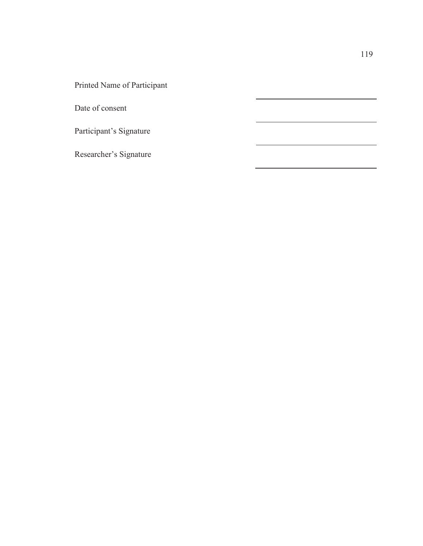Printed Name of Participant

Date of consent

Participant's Signature

Researcher's Signature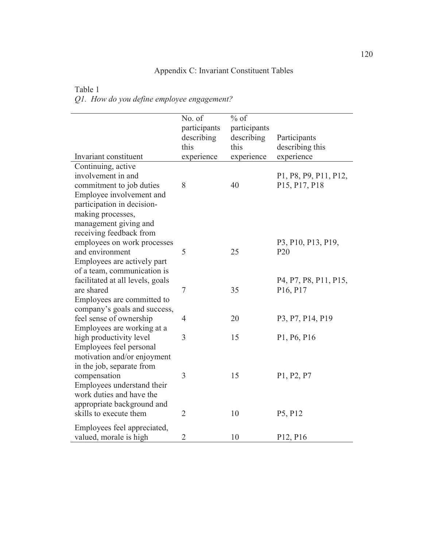# Appendix C: Invariant Constituent Tables

| Table 1                                    |  |
|--------------------------------------------|--|
| Q1. How do you define employee engagement? |  |

| Invariant constituent                                                                                    | No. of<br>participants<br>describing<br>this | $%$ of<br>participants<br>describing<br>this | Participants<br>describing this<br>experience |
|----------------------------------------------------------------------------------------------------------|----------------------------------------------|----------------------------------------------|-----------------------------------------------|
| Continuing, active                                                                                       | experience                                   | experience                                   |                                               |
| involvement in and<br>commitment to job duties<br>Employee involvement and<br>participation in decision- | 8                                            | 40                                           | P1, P8, P9, P11, P12,<br>P15, P17, P18        |
| making processes,                                                                                        |                                              |                                              |                                               |
| management giving and                                                                                    |                                              |                                              |                                               |
| receiving feedback from<br>employees on work processes<br>and environment                                | 5                                            | 25                                           | P3, P10, P13, P19,<br>P <sub>20</sub>         |
| Employees are actively part<br>of a team, communication is                                               |                                              |                                              |                                               |
| facilitated at all levels, goals                                                                         |                                              |                                              | P4, P7, P8, P11, P15,                         |
| are shared                                                                                               | $\tau$                                       | 35                                           | P <sub>16</sub> , P <sub>17</sub>             |
| Employees are committed to                                                                               |                                              |                                              |                                               |
| company's goals and success,                                                                             |                                              |                                              |                                               |
| feel sense of ownership                                                                                  | $\overline{4}$                               | 20                                           | P3, P7, P14, P19                              |
| Employees are working at a                                                                               |                                              |                                              |                                               |
| high productivity level                                                                                  | 3                                            | 15                                           | P1, P6, P16                                   |
| Employees feel personal                                                                                  |                                              |                                              |                                               |
| motivation and/or enjoyment                                                                              |                                              |                                              |                                               |
| in the job, separate from                                                                                |                                              |                                              |                                               |
| compensation                                                                                             | 3                                            | 15                                           | P1, P2, P7                                    |
| Employees understand their                                                                               |                                              |                                              |                                               |
| work duties and have the                                                                                 |                                              |                                              |                                               |
| appropriate background and                                                                               |                                              |                                              |                                               |
| skills to execute them                                                                                   | $\overline{2}$                               | 10                                           | P5, P12                                       |
| Employees feel appreciated,                                                                              |                                              |                                              |                                               |
| valued, morale is high                                                                                   | $\overline{2}$                               | 10                                           | P <sub>12</sub> , P <sub>16</sub>             |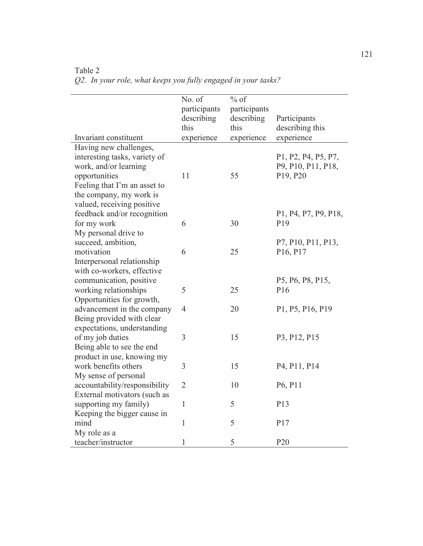| Invariant constituent                                                                                                              | No. of<br>participants<br>describing<br>this<br>experience | $%$ of<br>participants<br>describing<br>this<br>experience | Participants<br>describing this<br>experience                                                            |
|------------------------------------------------------------------------------------------------------------------------------------|------------------------------------------------------------|------------------------------------------------------------|----------------------------------------------------------------------------------------------------------|
| Having new challenges,                                                                                                             |                                                            |                                                            |                                                                                                          |
| interesting tasks, variety of<br>work, and/or learning<br>opportunities<br>Feeling that I'm an asset to<br>the company, my work is | 11                                                         | 55                                                         | P1, P2, P4, P5, P7,<br>P9, P10, P11, P18,<br>P <sub>19</sub> , P <sub>20</sub>                           |
| valued, receiving positive                                                                                                         |                                                            |                                                            |                                                                                                          |
| feedback and/or recognition<br>for my work<br>My personal drive to                                                                 | 6                                                          | 30                                                         | P <sub>1</sub> , P <sub>4</sub> , P <sub>7</sub> , P <sub>9</sub> , P <sub>18</sub> ,<br>P <sub>19</sub> |
| succeed, ambition,<br>motivation                                                                                                   | 6                                                          | 25                                                         | P7, P10, P11, P13,<br>P <sub>16</sub> , P <sub>17</sub>                                                  |
| Interpersonal relationship<br>with co-workers, effective                                                                           |                                                            |                                                            |                                                                                                          |
| communication, positive                                                                                                            | 5                                                          | 25                                                         | P5, P6, P8, P15,<br>P <sub>16</sub>                                                                      |
| working relationships                                                                                                              |                                                            |                                                            |                                                                                                          |
| Opportunities for growth,<br>advancement in the company                                                                            | $\overline{4}$                                             | 20                                                         | P1, P5, P16, P19                                                                                         |
| Being provided with clear                                                                                                          |                                                            |                                                            |                                                                                                          |
| expectations, understanding<br>of my job duties                                                                                    | 3                                                          | 15                                                         | P3, P12, P15                                                                                             |
| Being able to see the end                                                                                                          |                                                            |                                                            |                                                                                                          |
| product in use, knowing my                                                                                                         |                                                            |                                                            |                                                                                                          |
| work benefits others                                                                                                               | 3                                                          | 15                                                         | P <sub>4</sub> , P <sub>11</sub> , P <sub>14</sub>                                                       |
| My sense of personal                                                                                                               |                                                            |                                                            |                                                                                                          |
| accountability/responsibility                                                                                                      | $\overline{2}$                                             | 10                                                         | P6, P11                                                                                                  |
| External motivators (such as<br>supporting my family)                                                                              | $\mathbf{1}$                                               | 5                                                          | P13                                                                                                      |
| Keeping the bigger cause in                                                                                                        |                                                            |                                                            |                                                                                                          |
| mind                                                                                                                               | $\mathbf{1}$                                               | 5                                                          | P17                                                                                                      |
| My role as a                                                                                                                       |                                                            |                                                            |                                                                                                          |
| teacher/instructor                                                                                                                 | $\mathbf{1}$                                               | 5                                                          | P <sub>20</sub>                                                                                          |

Table 2 *Q2. In your role, what keeps you fully engaged in your tasks?*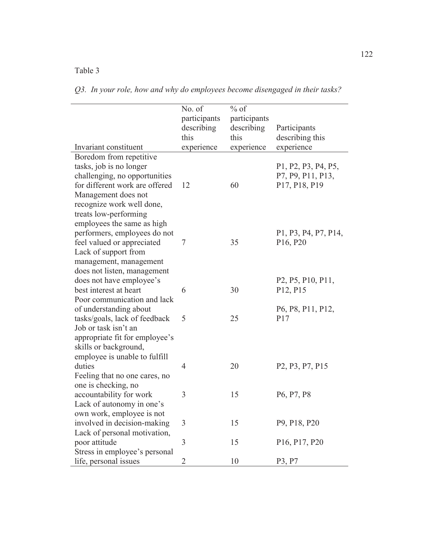|  |  | Q3. In your role, how and why do employees become disengaged in their tasks? |  |
|--|--|------------------------------------------------------------------------------|--|

|                                                                 | No. of             | $%$ of             |                                                                                       |
|-----------------------------------------------------------------|--------------------|--------------------|---------------------------------------------------------------------------------------|
|                                                                 | participants       | participants       |                                                                                       |
|                                                                 | describing<br>this | describing<br>this | Participants                                                                          |
| Invariant constituent                                           |                    |                    | describing this                                                                       |
|                                                                 | experience         | experience         | experience                                                                            |
| Boredom from repetitive<br>tasks, job is no longer              |                    |                    |                                                                                       |
|                                                                 |                    |                    | P1, P2, P3, P4, P5,<br>P7, P9, P11, P13,                                              |
| challenging, no opportunities<br>for different work are offered | 12                 | 60                 | P17, P18, P19                                                                         |
|                                                                 |                    |                    |                                                                                       |
| Management does not<br>recognize work well done,                |                    |                    |                                                                                       |
|                                                                 |                    |                    |                                                                                       |
| treats low-performing<br>employees the same as high             |                    |                    |                                                                                       |
| performers, employees do not                                    |                    |                    | P <sub>1</sub> , P <sub>3</sub> , P <sub>4</sub> , P <sub>7</sub> , P <sub>14</sub> , |
| feel valued or appreciated                                      | 7                  | 35                 | P <sub>16</sub> , P <sub>20</sub>                                                     |
| Lack of support from                                            |                    |                    |                                                                                       |
| management, management                                          |                    |                    |                                                                                       |
| does not listen, management                                     |                    |                    |                                                                                       |
| does not have employee's                                        |                    |                    | P <sub>2</sub> , P <sub>5</sub> , P <sub>10</sub> , P <sub>11</sub> ,                 |
| best interest at heart                                          | 6                  | 30                 | P12, P15                                                                              |
| Poor communication and lack                                     |                    |                    |                                                                                       |
| of understanding about                                          |                    |                    | P6, P8, P11, P12,                                                                     |
| tasks/goals, lack of feedback                                   | 5                  | 25                 | P17                                                                                   |
| Job or task isn't an                                            |                    |                    |                                                                                       |
| appropriate fit for employee's                                  |                    |                    |                                                                                       |
| skills or background,                                           |                    |                    |                                                                                       |
| employee is unable to fulfill                                   |                    |                    |                                                                                       |
| duties                                                          | 4                  | 20                 | P <sub>2</sub> , P <sub>3</sub> , P <sub>7</sub> , P <sub>15</sub>                    |
| Feeling that no one cares, no                                   |                    |                    |                                                                                       |
| one is checking, no                                             |                    |                    |                                                                                       |
| accountability for work                                         | 3                  | 15                 | P6, P7, P8                                                                            |
| Lack of autonomy in one's                                       |                    |                    |                                                                                       |
| own work, employee is not                                       |                    |                    |                                                                                       |
| involved in decision-making                                     | 3                  | 15                 | P9, P18, P20                                                                          |
| Lack of personal motivation,                                    |                    |                    |                                                                                       |
| poor attitude                                                   | 3                  | 15                 | P <sub>16</sub> , P <sub>17</sub> , P <sub>20</sub>                                   |
| Stress in employee's personal                                   |                    |                    |                                                                                       |
| life, personal issues                                           | 2                  | 10                 | P3, P7                                                                                |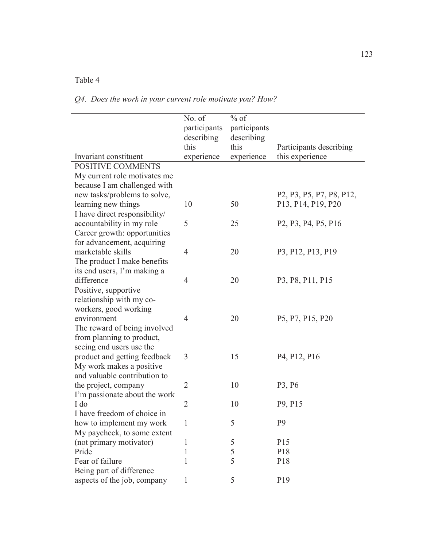*Q4. Does the work in your current role motivate you? How?* 

| Invariant constituent         | No. of<br>participants<br>describing<br>this<br>experience | $%$ of<br>participants<br>describing<br>this<br>experience | Participants describing<br>this experience                                                             |
|-------------------------------|------------------------------------------------------------|------------------------------------------------------------|--------------------------------------------------------------------------------------------------------|
| <b>POSITIVE COMMENTS</b>      |                                                            |                                                            |                                                                                                        |
| My current role motivates me  |                                                            |                                                            |                                                                                                        |
| because I am challenged with  |                                                            |                                                            |                                                                                                        |
| new tasks/problems to solve,  |                                                            |                                                            | P <sub>2</sub> , P <sub>3</sub> , P <sub>5</sub> , P <sub>7</sub> , P <sub>8</sub> , P <sub>12</sub> , |
| learning new things           | 10                                                         | 50                                                         | P <sub>13</sub> , P <sub>14</sub> , P <sub>19</sub> , P <sub>20</sub>                                  |
| I have direct responsibility/ |                                                            |                                                            |                                                                                                        |
| accountability in my role     | 5                                                          | 25                                                         | P <sub>2</sub> , P <sub>3</sub> , P <sub>4</sub> , P <sub>5</sub> , P <sub>16</sub>                    |
| Career growth: opportunities  |                                                            |                                                            |                                                                                                        |
| for advancement, acquiring    |                                                            |                                                            |                                                                                                        |
| marketable skills             | $\overline{4}$                                             | 20                                                         | P3, P12, P13, P19                                                                                      |
| The product I make benefits   |                                                            |                                                            |                                                                                                        |
| its end users, I'm making a   |                                                            |                                                            |                                                                                                        |
| difference                    | $\overline{4}$                                             | 20                                                         | P <sub>3</sub> , P <sub>8</sub> , P <sub>11</sub> , P <sub>15</sub>                                    |
| Positive, supportive          |                                                            |                                                            |                                                                                                        |
| relationship with my co-      |                                                            |                                                            |                                                                                                        |
| workers, good working         |                                                            |                                                            |                                                                                                        |
| environment                   | $\overline{4}$                                             | 20                                                         | P5, P7, P15, P20                                                                                       |
| The reward of being involved  |                                                            |                                                            |                                                                                                        |
| from planning to product,     |                                                            |                                                            |                                                                                                        |
| seeing end users use the      |                                                            |                                                            |                                                                                                        |
| product and getting feedback  | 3                                                          | 15                                                         | P <sub>4</sub> , P <sub>12</sub> , P <sub>16</sub>                                                     |
| My work makes a positive      |                                                            |                                                            |                                                                                                        |
| and valuable contribution to  |                                                            |                                                            |                                                                                                        |
| the project, company          | $\overline{2}$                                             | 10                                                         | P3, P6                                                                                                 |
| I'm passionate about the work |                                                            |                                                            |                                                                                                        |
| I do                          | $\overline{2}$                                             | 10                                                         | P9, P15                                                                                                |
| I have freedom of choice in   |                                                            |                                                            |                                                                                                        |
| how to implement my work      | 1                                                          | 5                                                          | P <sub>9</sub>                                                                                         |
| My paycheck, to some extent   |                                                            |                                                            |                                                                                                        |
| (not primary motivator)       | 1                                                          | 5                                                          | P15                                                                                                    |
| Pride                         | 1                                                          | 5                                                          | P18                                                                                                    |
| Fear of failure               | 1                                                          | 5                                                          | P18                                                                                                    |
| Being part of difference      |                                                            |                                                            |                                                                                                        |
| aspects of the job, company   | 1                                                          | 5                                                          | P <sub>19</sub>                                                                                        |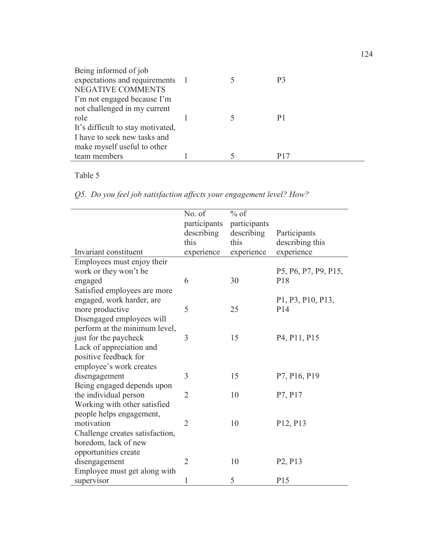| Being informed of job             |  |     |
|-----------------------------------|--|-----|
| expectations and requirements 1   |  | P3  |
| <b>NEGATIVE COMMENTS</b>          |  |     |
| I'm not engaged because I'm       |  |     |
| not challenged in my current      |  |     |
| role                              |  |     |
| It's difficult to stay motivated, |  |     |
| I have to seek new tasks and      |  |     |
| make myself useful to other       |  |     |
| team members                      |  | P17 |

*Q5. Do you feel job satisfaction affects your engagement level? How?* 

|                                 | No. of         | $%$ of       |                                                    |
|---------------------------------|----------------|--------------|----------------------------------------------------|
|                                 | participants   | participants |                                                    |
|                                 | describing     | describing   | Participants                                       |
|                                 | this           | this         | describing this                                    |
| Invariant constituent           | experience     | experience   | experience                                         |
| Employees must enjoy their      |                |              |                                                    |
| work or they won't be           |                |              | P5, P6, P7, P9, P15,                               |
| engaged                         | 6              | 30           | P <sub>18</sub>                                    |
| Satisfied employees are more    |                |              |                                                    |
| engaged, work harder, are       |                |              | P1, P3, P10, P13,                                  |
| more productive                 | 5              | 25           | P14                                                |
| Disengaged employees will       |                |              |                                                    |
| perform at the minimum level,   |                |              |                                                    |
| just for the paycheck           | 3              | 15           | P <sub>4</sub> , P <sub>11</sub> , P <sub>15</sub> |
| Lack of appreciation and        |                |              |                                                    |
| positive feedback for           |                |              |                                                    |
| employee's work creates         |                |              |                                                    |
| disengagement                   | 3              | 15           | P7, P16, P19                                       |
| Being engaged depends upon      |                |              |                                                    |
| the individual person           | $\overline{2}$ | 10           | P7, P17                                            |
| Working with other satisfied    |                |              |                                                    |
| people helps engagement,        |                |              |                                                    |
| motivation                      | $\overline{2}$ | 10           | P12, P13                                           |
| Challenge creates satisfaction, |                |              |                                                    |
| boredom, lack of new            |                |              |                                                    |
| opportunities create            |                |              |                                                    |
| disengagement                   | $\overline{2}$ | 10           | P <sub>2</sub> , P <sub>13</sub>                   |
| Employee must get along with    |                |              |                                                    |
| supervisor                      | 1              | 5            | P <sub>15</sub>                                    |
|                                 |                |              |                                                    |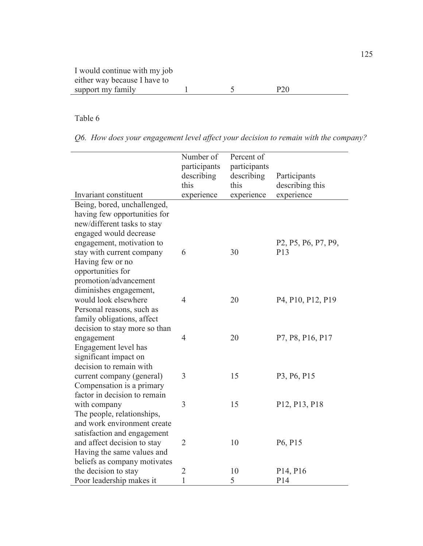*Q6. How does your engagement level affect your decision to remain with the company?* 

|                                                  | Number of<br>participants<br>describing<br>this | Percent of<br>participants<br>describing<br>this | Participants<br>describing this                                                      |
|--------------------------------------------------|-------------------------------------------------|--------------------------------------------------|--------------------------------------------------------------------------------------|
| Invariant constituent                            | experience                                      | experience                                       | experience                                                                           |
| Being, bored, unchallenged,                      |                                                 |                                                  |                                                                                      |
| having few opportunities for                     |                                                 |                                                  |                                                                                      |
| new/different tasks to stay                      |                                                 |                                                  |                                                                                      |
| engaged would decrease                           |                                                 |                                                  |                                                                                      |
| engagement, motivation to                        |                                                 |                                                  | P <sub>2</sub> , P <sub>5</sub> , P <sub>6</sub> , P <sub>7</sub> , P <sub>9</sub> , |
| stay with current company                        | 6                                               | 30                                               | P13                                                                                  |
| Having few or no                                 |                                                 |                                                  |                                                                                      |
| opportunities for                                |                                                 |                                                  |                                                                                      |
| promotion/advancement                            |                                                 |                                                  |                                                                                      |
| diminishes engagement,                           |                                                 |                                                  |                                                                                      |
| would look elsewhere                             | $\overline{4}$                                  | 20                                               | P <sub>4</sub> , P <sub>10</sub> , P <sub>12</sub> , P <sub>19</sub>                 |
| Personal reasons, such as                        |                                                 |                                                  |                                                                                      |
| family obligations, affect                       |                                                 |                                                  |                                                                                      |
| decision to stay more so than                    | $\overline{4}$                                  |                                                  |                                                                                      |
| engagement                                       |                                                 | 20                                               | P7, P8, P16, P17                                                                     |
| Engagement level has                             |                                                 |                                                  |                                                                                      |
| significant impact on<br>decision to remain with |                                                 |                                                  |                                                                                      |
| current company (general)                        | 3                                               | 15                                               | P3, P6, P15                                                                          |
| Compensation is a primary                        |                                                 |                                                  |                                                                                      |
| factor in decision to remain                     |                                                 |                                                  |                                                                                      |
| with company                                     | 3                                               | 15                                               | P12, P13, P18                                                                        |
| The people, relationships,                       |                                                 |                                                  |                                                                                      |
| and work environment create                      |                                                 |                                                  |                                                                                      |
| satisfaction and engagement                      |                                                 |                                                  |                                                                                      |
| and affect decision to stay                      | $\overline{2}$                                  | 10                                               | P6, P15                                                                              |
| Having the same values and                       |                                                 |                                                  |                                                                                      |
| beliefs as company motivates                     |                                                 |                                                  |                                                                                      |
| the decision to stay                             | $\overline{2}$                                  | 10                                               | P <sub>14</sub> , P <sub>16</sub>                                                    |
| Poor leadership makes it                         | $\mathbf{1}$                                    | 5                                                | P <sub>14</sub>                                                                      |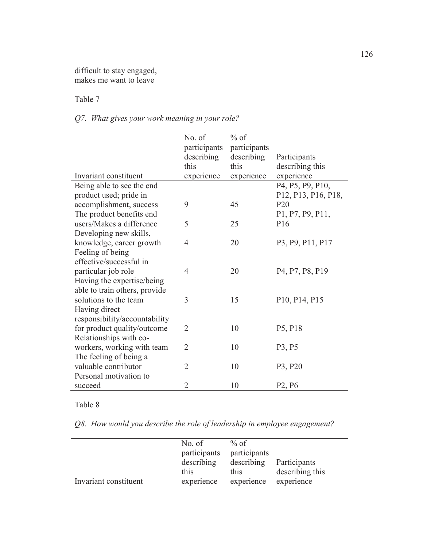*Q7. What gives your work meaning in your role?* 

|                               | No. of         | $%$ of       |                                                                    |
|-------------------------------|----------------|--------------|--------------------------------------------------------------------|
|                               | participants   | participants |                                                                    |
|                               | describing     | describing   | Participants                                                       |
|                               | this           | this         | describing this                                                    |
| Invariant constituent         | experience     | experience   | experience                                                         |
| Being able to see the end     |                |              | P4, P5, P9, P10,                                                   |
| product used; pride in        |                |              | P12, P13, P16, P18,                                                |
| accomplishment, success       | 9              | 45           | P <sub>20</sub>                                                    |
| The product benefits end      |                |              | P1, P7, P9, P11,                                                   |
| users/Makes a difference      | 5              | 25           | P <sub>16</sub>                                                    |
| Developing new skills,        |                |              |                                                                    |
| knowledge, career growth      | $\overline{4}$ | 20           | P3, P9, P11, P17                                                   |
| Feeling of being              |                |              |                                                                    |
| effective/successful in       |                |              |                                                                    |
| particular job role           | $\overline{4}$ | 20           | P <sub>4</sub> , P <sub>7</sub> , P <sub>8</sub> , P <sub>19</sub> |
| Having the expertise/being    |                |              |                                                                    |
| able to train others, provide |                |              |                                                                    |
| solutions to the team         | 3              | 15           | P10, P14, P15                                                      |
| Having direct                 |                |              |                                                                    |
| responsibility/accountability |                |              |                                                                    |
| for product quality/outcome   | $\overline{2}$ | 10           | P5, P18                                                            |
| Relationships with co-        |                |              |                                                                    |
| workers, working with team    | $\overline{2}$ | 10           | P3, P5                                                             |
| The feeling of being a        |                |              |                                                                    |
| valuable contributor          | $\overline{2}$ | 10           | P3, P20                                                            |
| Personal motivation to        |                |              |                                                                    |
| succeed                       | $\overline{2}$ | 10           | P <sub>2</sub> , P <sub>6</sub>                                    |

Table 8

*Q8. How would you describe the role of leadership in employee engagement?* 

|                       | No. of<br>participants<br>describing<br>this | $%$ of<br>participants<br>describing<br>this | Participants<br>describing this |
|-----------------------|----------------------------------------------|----------------------------------------------|---------------------------------|
| Invariant constituent | experience                                   | experience                                   | experience                      |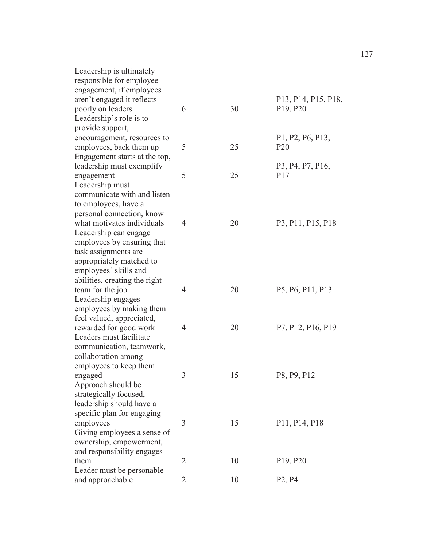| Leadership is ultimately      |                |    |                                                                         |
|-------------------------------|----------------|----|-------------------------------------------------------------------------|
| responsible for employee      |                |    |                                                                         |
| engagement, if employees      |                |    |                                                                         |
| aren't engaged it reflects    |                |    | P <sub>13</sub> , P <sub>14</sub> , P <sub>15</sub> , P <sub>18</sub> , |
| poorly on leaders             | 6              | 30 | P <sub>19</sub> , P <sub>20</sub>                                       |
| Leadership's role is to       |                |    |                                                                         |
| provide support,              |                |    |                                                                         |
| encouragement, resources to   |                |    | P1, P2, P6, P13,                                                        |
| employees, back them up       | 5              | 25 | P <sub>20</sub>                                                         |
| Engagement starts at the top, |                |    |                                                                         |
| leadership must exemplify     |                |    | P3, P4, P7, P16,                                                        |
| engagement                    | 5              | 25 | P17                                                                     |
| Leadership must               |                |    |                                                                         |
| communicate with and listen   |                |    |                                                                         |
| to employees, have a          |                |    |                                                                         |
| personal connection, know     |                |    |                                                                         |
| what motivates individuals    | $\overline{4}$ | 20 | P <sub>3</sub> , P <sub>11</sub> , P <sub>15</sub> , P <sub>18</sub>    |
| Leadership can engage         |                |    |                                                                         |
| employees by ensuring that    |                |    |                                                                         |
| task assignments are          |                |    |                                                                         |
| appropriately matched to      |                |    |                                                                         |
| employees' skills and         |                |    |                                                                         |
| abilities, creating the right |                |    |                                                                         |
| team for the job              | $\overline{4}$ | 20 | P5, P6, P11, P13                                                        |
| Leadership engages            |                |    |                                                                         |
| employees by making them      |                |    |                                                                         |
| feel valued, appreciated,     |                |    |                                                                         |
| rewarded for good work        | 4              | 20 | P7, P12, P16, P19                                                       |
| Leaders must facilitate       |                |    |                                                                         |
| communication, teamwork,      |                |    |                                                                         |
| collaboration among           |                |    |                                                                         |
| employees to keep them        |                |    |                                                                         |
| engaged                       | 3              | 15 | P8, P9, P12                                                             |
| Approach should be            |                |    |                                                                         |
| strategically focused,        |                |    |                                                                         |
| leadership should have a      |                |    |                                                                         |
| specific plan for engaging    |                |    |                                                                         |
| employees                     | 3              | 15 | P11, P14, P18                                                           |
| Giving employees a sense of   |                |    |                                                                         |
| ownership, empowerment,       |                |    |                                                                         |
| and responsibility engages    |                |    |                                                                         |
| them                          | $\overline{2}$ | 10 | P <sub>19</sub> , P <sub>20</sub>                                       |
| Leader must be personable     |                |    |                                                                         |
| and approachable              | $\overline{2}$ | 10 | P <sub>2</sub> , P <sub>4</sub>                                         |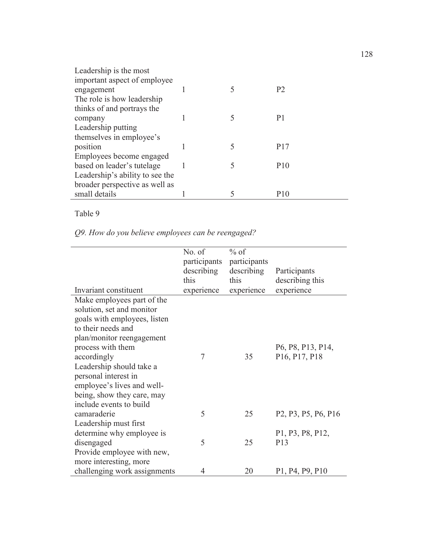| Leadership is the most          |  |                 |
|---------------------------------|--|-----------------|
| important aspect of employee    |  |                 |
| engagement                      |  | P <sub>2</sub>  |
| The role is how leadership      |  |                 |
| thinks of and portrays the      |  |                 |
| company                         |  | P1              |
| Leadership putting              |  |                 |
| themselves in employee's        |  |                 |
| position                        |  | P <sub>17</sub> |
| Employees become engaged        |  |                 |
| based on leader's tutelage      |  | P <sub>10</sub> |
| Leadership's ability to see the |  |                 |
| broader perspective as well as  |  |                 |
| small details                   |  | P <sub>10</sub> |

*Q9. How do you believe employees can be reengaged?* 

|                                                      | No. of<br>participants<br>describing<br>this | $%$ of<br>participants<br>describing<br>this | Participants<br>describing this                                                     |
|------------------------------------------------------|----------------------------------------------|----------------------------------------------|-------------------------------------------------------------------------------------|
| Invariant constituent                                | experience                                   | experience                                   | experience                                                                          |
| Make employees part of the                           |                                              |                                              |                                                                                     |
| solution, set and monitor                            |                                              |                                              |                                                                                     |
| goals with employees, listen                         |                                              |                                              |                                                                                     |
| to their needs and                                   |                                              |                                              |                                                                                     |
| plan/monitor reengagement                            |                                              |                                              |                                                                                     |
| process with them                                    |                                              |                                              | P6, P8, P13, P14,                                                                   |
| accordingly                                          | 7                                            | 35                                           | P <sub>16</sub> , P <sub>17</sub> , P <sub>18</sub>                                 |
| Leadership should take a                             |                                              |                                              |                                                                                     |
| personal interest in                                 |                                              |                                              |                                                                                     |
| employee's lives and well-                           |                                              |                                              |                                                                                     |
| being, show they care, may                           |                                              |                                              |                                                                                     |
| include events to build                              |                                              |                                              |                                                                                     |
| camaraderie                                          | 5                                            | 25                                           | P <sub>2</sub> , P <sub>3</sub> , P <sub>5</sub> , P <sub>6</sub> , P <sub>16</sub> |
| Leadership must first                                |                                              |                                              |                                                                                     |
| determine why employee is                            | 5                                            | 25                                           | P1, P3, P8, P12,<br>P <sub>13</sub>                                                 |
| disengaged                                           |                                              |                                              |                                                                                     |
| Provide employee with new,<br>more interesting, more |                                              |                                              |                                                                                     |
| challenging work assignments                         | 4                                            | 20                                           |                                                                                     |
|                                                      |                                              |                                              | P1, P4, P9, P10                                                                     |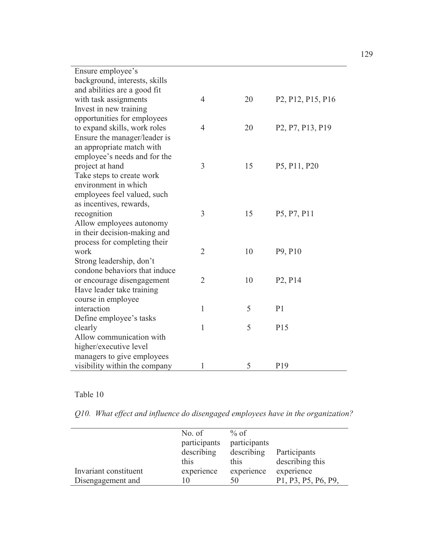| Ensure employee's             |                |    |                                                                      |
|-------------------------------|----------------|----|----------------------------------------------------------------------|
| background, interests, skills |                |    |                                                                      |
| and abilities are a good fit  |                |    |                                                                      |
| with task assignments         | 4              | 20 | P <sub>2</sub> , P <sub>12</sub> , P <sub>15</sub> , P <sub>16</sub> |
| Invest in new training        |                |    |                                                                      |
| opportunities for employees   |                |    |                                                                      |
| to expand skills, work roles  | 4              | 20 | P <sub>2</sub> , P <sub>7</sub> , P <sub>13</sub> , P <sub>19</sub>  |
| Ensure the manager/leader is  |                |    |                                                                      |
| an appropriate match with     |                |    |                                                                      |
| employee's needs and for the  |                |    |                                                                      |
| project at hand               | 3              | 15 | P5, P11, P20                                                         |
| Take steps to create work     |                |    |                                                                      |
| environment in which          |                |    |                                                                      |
| employees feel valued, such   |                |    |                                                                      |
| as incentives, rewards,       |                |    |                                                                      |
| recognition                   | 3              | 15 | P5, P7, P11                                                          |
| Allow employees autonomy      |                |    |                                                                      |
| in their decision-making and  |                |    |                                                                      |
| process for completing their  |                |    |                                                                      |
| work                          | $\overline{2}$ | 10 | P9, P10                                                              |
| Strong leadership, don't      |                |    |                                                                      |
| condone behaviors that induce |                |    |                                                                      |
| or encourage disengagement    | $\overline{2}$ | 10 | P <sub>2</sub> , P <sub>14</sub>                                     |
| Have leader take training     |                |    |                                                                      |
| course in employee            |                |    |                                                                      |
| interaction                   | 1              | 5  | P <sub>1</sub>                                                       |
| Define employee's tasks       |                |    |                                                                      |
| clearly                       | 1              | 5  | P15                                                                  |
| Allow communication with      |                |    |                                                                      |
| higher/executive level        |                |    |                                                                      |
| managers to give employees    |                |    |                                                                      |
| visibility within the company | 1              | 5  | P <sub>19</sub>                                                      |

*Q10. What effect and influence do disengaged employees have in the organization?* 

|                       | No. of<br>participants<br>describing<br>this | $%$ of<br>participants<br>describing<br>this | Participants<br>describing this |
|-----------------------|----------------------------------------------|----------------------------------------------|---------------------------------|
| Invariant constituent | experience                                   | experience                                   | experience                      |
| Disengagement and     |                                              | 50                                           | P1, P3, P5, P6, P9,             |

129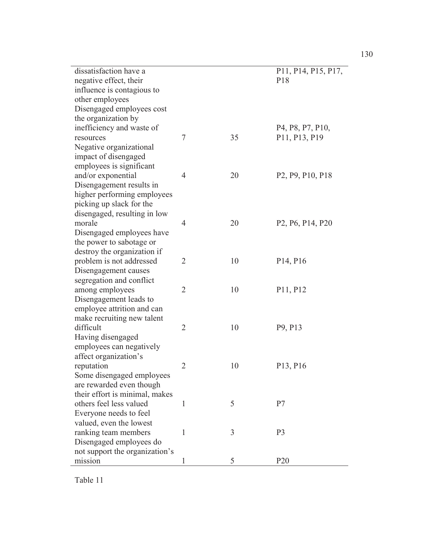| dissatisfaction have a         |                |    | P11, P14, P15, P17,                                                  |
|--------------------------------|----------------|----|----------------------------------------------------------------------|
| negative effect, their         |                |    | P <sub>18</sub>                                                      |
| influence is contagious to     |                |    |                                                                      |
| other employees                |                |    |                                                                      |
| Disengaged employees cost      |                |    |                                                                      |
| the organization by            |                |    |                                                                      |
| inefficiency and waste of      |                |    | P <sub>4</sub> , P <sub>8</sub> , P <sub>7</sub> , P <sub>10</sub> , |
| resources                      | $\tau$         | 35 | P11, P13, P19                                                        |
| Negative organizational        |                |    |                                                                      |
| impact of disengaged           |                |    |                                                                      |
| employees is significant       |                |    |                                                                      |
| and/or exponential             | $\overline{4}$ | 20 | P <sub>2</sub> , P <sub>9</sub> , P <sub>10</sub> , P <sub>18</sub>  |
| Disengagement results in       |                |    |                                                                      |
| higher performing employees    |                |    |                                                                      |
| picking up slack for the       |                |    |                                                                      |
| disengaged, resulting in low   |                |    |                                                                      |
| morale                         | $\overline{4}$ | 20 | P <sub>2</sub> , P <sub>6</sub> , P <sub>14</sub> , P <sub>20</sub>  |
| Disengaged employees have      |                |    |                                                                      |
| the power to sabotage or       |                |    |                                                                      |
| destroy the organization if    |                |    |                                                                      |
| problem is not addressed       | $\overline{2}$ | 10 | P <sub>14</sub> , P <sub>16</sub>                                    |
| Disengagement causes           |                |    |                                                                      |
| segregation and conflict       |                |    |                                                                      |
| among employees                | $\overline{2}$ | 10 | P11, P12                                                             |
| Disengagement leads to         |                |    |                                                                      |
| employee attrition and can     |                |    |                                                                      |
| make recruiting new talent     |                |    |                                                                      |
| difficult                      | $\overline{2}$ | 10 | P9, P13                                                              |
| Having disengaged              |                |    |                                                                      |
| employees can negatively       |                |    |                                                                      |
| affect organization's          |                |    |                                                                      |
| reputation                     | $\overline{2}$ | 10 | P <sub>13</sub> , P <sub>16</sub>                                    |
| Some disengaged employees      |                |    |                                                                      |
| are rewarded even though       |                |    |                                                                      |
| their effort is minimal, makes |                |    |                                                                      |
| others feel less valued        | 1              | 5  | P7                                                                   |
| Everyone needs to feel         |                |    |                                                                      |
| valued, even the lowest        |                |    |                                                                      |
| ranking team members           | 1              | 3  | P <sub>3</sub>                                                       |
| Disengaged employees do        |                |    |                                                                      |
| not support the organization's |                |    |                                                                      |
| mission                        | 1              | 5  | P <sub>20</sub>                                                      |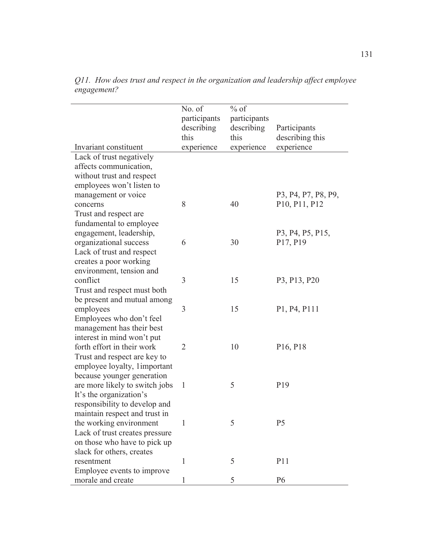|                                                                                                                                                         | No. of<br>participants<br>describing<br>this | $%$ of<br>participants<br>describing<br>this | Participants<br>describing this                                            |
|---------------------------------------------------------------------------------------------------------------------------------------------------------|----------------------------------------------|----------------------------------------------|----------------------------------------------------------------------------|
| Invariant constituent                                                                                                                                   | experience                                   | experience                                   | experience                                                                 |
| Lack of trust negatively<br>affects communication,<br>without trust and respect<br>employees won't listen to                                            |                                              |                                              |                                                                            |
| management or voice<br>concerns<br>Trust and respect are<br>fundamental to employee                                                                     | 8                                            | 40                                           | P3, P4, P7, P8, P9,<br>P <sub>10</sub> , P <sub>11</sub> , P <sub>12</sub> |
| engagement, leadership,<br>organizational success<br>Lack of trust and respect<br>creates a poor working                                                | 6                                            | 30                                           | P3, P4, P5, P15,<br>P <sub>17</sub> , P <sub>19</sub>                      |
| environment, tension and<br>conflict<br>Trust and respect must both<br>be present and mutual among                                                      | 3                                            | 15                                           | P3, P13, P20                                                               |
| employees<br>Employees who don't feel<br>management has their best<br>interest in mind won't put                                                        | 3                                            | 15                                           | P1, P4, P111                                                               |
| forth effort in their work<br>Trust and respect are key to<br>employee loyalty, 1important                                                              | $\overline{2}$                               | 10                                           | P <sub>16</sub> , P <sub>18</sub>                                          |
| because younger generation<br>are more likely to switch jobs<br>It's the organization's<br>responsibility to develop and                                | 1                                            | 5                                            | P <sub>19</sub>                                                            |
| maintain respect and trust in<br>the working environment<br>Lack of trust creates pressure<br>on those who have to pick up<br>slack for others, creates |                                              | 5                                            | P <sub>5</sub>                                                             |
| resentment<br>Employee events to improve                                                                                                                | 1                                            | 5                                            | P11                                                                        |
| morale and create                                                                                                                                       | 1                                            | 5                                            | P <sub>6</sub>                                                             |

*Q11. How does trust and respect in the organization and leadership affect employee engagement?*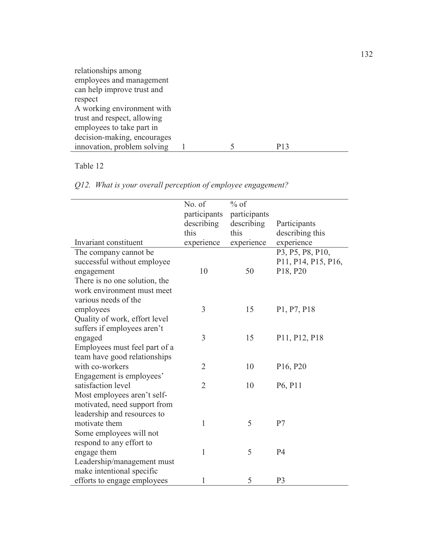| relationships among         |  |  |                 |  |
|-----------------------------|--|--|-----------------|--|
| employees and management    |  |  |                 |  |
| can help improve trust and  |  |  |                 |  |
| respect                     |  |  |                 |  |
| A working environment with  |  |  |                 |  |
| trust and respect, allowing |  |  |                 |  |
| employees to take part in   |  |  |                 |  |
| decision-making, encourages |  |  |                 |  |
| innovation, problem solving |  |  | P <sub>13</sub> |  |

|  |  | Q12. What is your overall perception of employee engagement? |
|--|--|--------------------------------------------------------------|
|  |  |                                                              |

|                               | No. of         | $%$ of       |                                  |
|-------------------------------|----------------|--------------|----------------------------------|
|                               | participants   | participants |                                  |
|                               | describing     | describing   | Participants                     |
|                               | this           | this         | describing this                  |
| Invariant constituent         | experience     | experience   | experience                       |
| The company cannot be.        |                |              | P3, P5, P8, P10,                 |
| successful without employee   |                |              | P11, P14, P15, P16,              |
| engagement                    | 10             | 50           | P18, P20                         |
| There is no one solution, the |                |              |                                  |
| work environment must meet    |                |              |                                  |
| various needs of the          |                |              |                                  |
| employees                     | 3              | 15           | P1, P7, P18                      |
| Quality of work, effort level |                |              |                                  |
| suffers if employees aren't   |                |              |                                  |
| engaged                       | 3              | 15           | P11, P12, P18                    |
| Employees must feel part of a |                |              |                                  |
| team have good relationships  |                |              |                                  |
| with co-workers               | $\overline{2}$ | 10           | P16, P20                         |
| Engagement is employees'      |                |              |                                  |
| satisfaction level            | $\overline{2}$ | 10           | P <sub>6</sub> , P <sub>11</sub> |
| Most employees aren't self-   |                |              |                                  |
| motivated, need support from  |                |              |                                  |
| leadership and resources to   |                |              |                                  |
| motivate them                 | 1              | 5            | P <sub>7</sub>                   |
| Some employees will not       |                |              |                                  |
| respond to any effort to      |                |              |                                  |
| engage them                   | 1              | 5            | <b>P4</b>                        |
| Leadership/management must    |                |              |                                  |
| make intentional specific     |                |              |                                  |
| efforts to engage employees   | 1              | 5            | P <sub>3</sub>                   |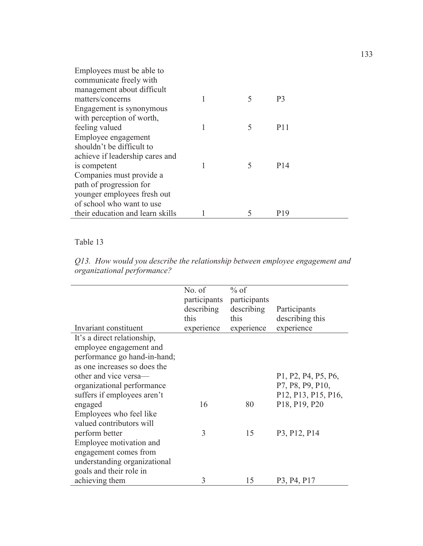| Employees must be able to        |   |   |                 |
|----------------------------------|---|---|-----------------|
| communicate freely with          |   |   |                 |
| management about difficult       |   |   |                 |
| matters/concerns                 | 1 | 5 | P3              |
| Engagement is synonymous         |   |   |                 |
| with perception of worth,        |   |   |                 |
| feeling valued                   | 1 | 5 | P <sub>11</sub> |
| Employee engagement              |   |   |                 |
| shouldn't be difficult to        |   |   |                 |
| achieve if leadership cares and  |   |   |                 |
| is competent                     |   | 5 | P <sub>14</sub> |
| Companies must provide a         |   |   |                 |
| path of progression for          |   |   |                 |
| younger employees fresh out      |   |   |                 |
| of school who want to use        |   |   |                 |
| their education and learn skills |   | 5 | P <sub>19</sub> |

*Q13. How would you describe the relationship between employee engagement and organizational performance?* 

| Invariant constituent                               | No. of<br>describing<br>this<br>experience | $%$ of<br>participants participants<br>describing<br>this<br>experience | Participants<br>describing this<br>experience                                        |
|-----------------------------------------------------|--------------------------------------------|-------------------------------------------------------------------------|--------------------------------------------------------------------------------------|
| It's a direct relationship,                         |                                            |                                                                         |                                                                                      |
| employee engagement and                             |                                            |                                                                         |                                                                                      |
| performance go hand-in-hand;                        |                                            |                                                                         |                                                                                      |
| as one increases so does the                        |                                            |                                                                         |                                                                                      |
| other and vice versa-                               |                                            |                                                                         | P <sub>1</sub> , P <sub>2</sub> , P <sub>4</sub> , P <sub>5</sub> , P <sub>6</sub> , |
| organizational performance                          |                                            |                                                                         | P7, P8, P9, P10,                                                                     |
| suffers if employees aren't                         |                                            |                                                                         | P <sub>12</sub> , P <sub>13</sub> , P <sub>15</sub> , P <sub>16</sub> ,              |
| engaged                                             | 16                                         | 80                                                                      | P18, P19, P20                                                                        |
| Employees who feel like<br>valued contributors will |                                            |                                                                         |                                                                                      |
| perform better                                      | 3                                          | 15                                                                      | P <sub>3</sub> , P <sub>12</sub> , P <sub>14</sub>                                   |
| Employee motivation and                             |                                            |                                                                         |                                                                                      |
| engagement comes from                               |                                            |                                                                         |                                                                                      |
| understanding organizational                        |                                            |                                                                         |                                                                                      |
| goals and their role in                             |                                            |                                                                         |                                                                                      |
| achieving them                                      | 3                                          | 15                                                                      | P <sub>3</sub> , P <sub>4</sub> , P <sub>17</sub>                                    |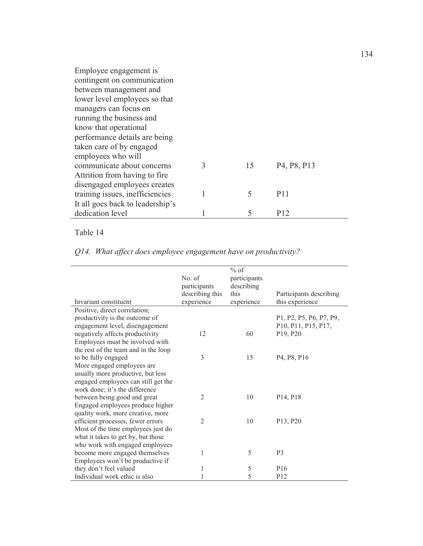| Employee engagement is           |   |    |                                                   |
|----------------------------------|---|----|---------------------------------------------------|
| contingent on communication      |   |    |                                                   |
| between management and           |   |    |                                                   |
| lower level employees so that    |   |    |                                                   |
| managers can focus on            |   |    |                                                   |
| running the business and         |   |    |                                                   |
| know that operational            |   |    |                                                   |
| performance details are being    |   |    |                                                   |
| taken care of by engaged         |   |    |                                                   |
| employees who will               |   |    |                                                   |
| communicate about concerns       | 3 | 15 | P <sub>4</sub> , P <sub>8</sub> , P <sub>13</sub> |
| Attrition from having to fire.   |   |    |                                                   |
| disengaged employees creates     |   |    |                                                   |
| training issues, inefficiencies  |   | 5  | P <sub>11</sub>                                   |
| It all goes back to leadership's |   |    |                                                   |
| dedication level                 |   | 5  | P12                                               |

|  |  | Q14. What affect does employee engagement have on productivity? |
|--|--|-----------------------------------------------------------------|
|  |  |                                                                 |

|                                      |                 | $%$ of       |                                                                         |
|--------------------------------------|-----------------|--------------|-------------------------------------------------------------------------|
|                                      | No. of          | participants |                                                                         |
|                                      | participants    | describing   |                                                                         |
|                                      | describing this | this         | Participants describing                                                 |
| Invariant constituent                | experience      | experience   | this experience                                                         |
| Positive, direct correlation;        |                 |              |                                                                         |
| productivity is the outcome of       |                 |              | P1, P2, P5, P6, P7, P9,                                                 |
| engagement level, disengagement      |                 |              | P <sub>10</sub> , P <sub>11</sub> , P <sub>15</sub> , P <sub>17</sub> , |
| negatively affects productivity      | 12              | 60           | P19, P20                                                                |
| Employees must be involved with      |                 |              |                                                                         |
| the rest of the team and in the loop |                 |              |                                                                         |
| to be fully engaged                  | 3               | 15           | P <sub>4</sub> , P <sub>8</sub> , P <sub>16</sub>                       |
| More engaged employees are           |                 |              |                                                                         |
| usually more productive, but less    |                 |              |                                                                         |
| engaged employees can still get the  |                 |              |                                                                         |
| work done; it's the difference       |                 |              |                                                                         |
| between being good and great         | $\overline{2}$  | 10           | P <sub>14</sub> , P <sub>18</sub>                                       |
| Engaged employees produce higher     |                 |              |                                                                         |
| quality work, more creative, more    |                 |              |                                                                         |
| efficient processes, fewer errors    | $\overline{2}$  | 10           | P13, P20                                                                |
| Most of the time employees just do   |                 |              |                                                                         |
| what it takes to get by, but those   |                 |              |                                                                         |
| who work with engaged employees      |                 |              |                                                                         |
| become more engaged themselves       | 1               | 5            | P <sub>3</sub>                                                          |
| Employees won't be productive if     |                 |              |                                                                         |
| they don't feel valued               | 1               | 5            | P <sub>16</sub>                                                         |
| Individual work ethic is also        |                 | 5            | P <sub>12</sub>                                                         |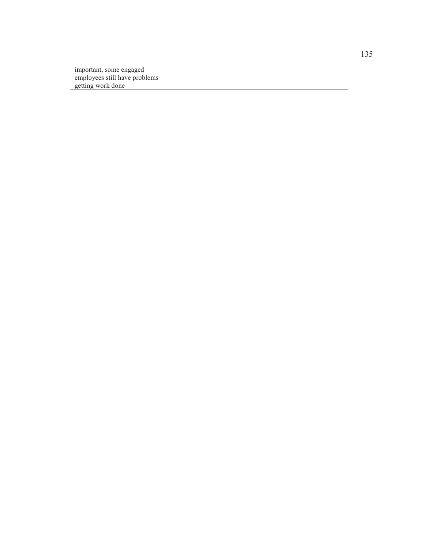important, some engaged employees still have problems getting work done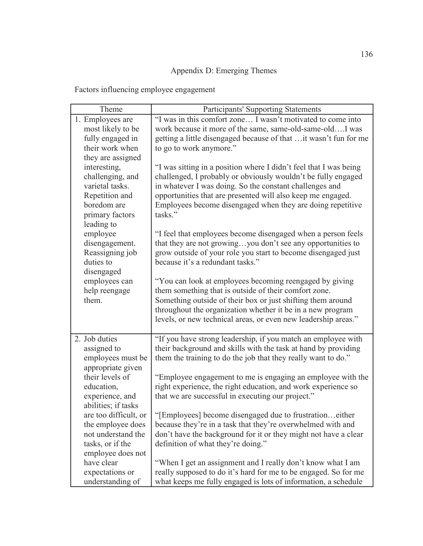# Appendix D: Emerging Themes

Factors influencing employee engagement

| Theme                                                                                                                 | Participants' Supporting Statements                                                                                                                                                                                                                                                                                                   |
|-----------------------------------------------------------------------------------------------------------------------|---------------------------------------------------------------------------------------------------------------------------------------------------------------------------------------------------------------------------------------------------------------------------------------------------------------------------------------|
| 1. Employees are<br>most likely to be<br>fully engaged in<br>their work when<br>they are assigned                     | "I was in this comfort zone I wasn't motivated to come into<br>work because it more of the same, same-old-same-oldI was<br>getting a little disengaged because of that  it wasn't fun for me<br>to go to work anymore."                                                                                                               |
| interesting,<br>challenging, and<br>varietal tasks.<br>Repetition and<br>boredom are<br>primary factors<br>leading to | "I was sitting in a position where I didn't feel that I was being<br>challenged, I probably or obviously wouldn't be fully engaged<br>in whatever I was doing. So the constant challenges and<br>opportunities that are presented will also keep me engaged.<br>Employees become disengaged when they are doing repetitive<br>tasks." |
| employee<br>disengagement.<br>Reassigning job<br>duties to<br>disengaged                                              | "I feel that employees become disengaged when a person feels<br>that they are not growingyou don't see any opportunities to<br>grow outside of your role you start to become disengaged just<br>because it's a redundant tasks."                                                                                                      |
| employees can<br>help reengage<br>them.                                                                               | "You can look at employees becoming reengaged by giving<br>them something that is outside of their comfort zone.<br>Something outside of their box or just shifting them around<br>throughout the organization whether it be in a new program<br>levels, or new technical areas, or even new leadership areas."                       |
| 2. Job duties<br>assigned to<br>employees must be<br>appropriate given                                                | "If you have strong leadership, if you match an employee with<br>their background and skills with the task at hand by providing<br>them the training to do the job that they really want to do."                                                                                                                                      |
| their levels of<br>education,<br>experience, and<br>abilities; if tasks                                               | "Employee engagement to me is engaging an employee with the<br>right experience, the right education, and work experience so<br>that we are successful in executing our project."                                                                                                                                                     |
| are too difficult, or<br>the employee does<br>not understand the<br>tasks, or if the<br>employee does not             | "[Employees] become disengaged due to frustrationeither<br>because they're in a task that they're overwhelmed with and<br>don't have the background for it or they might not have a clear<br>definition of what they're doing."                                                                                                       |
| have clear<br>expectations or<br>understanding of                                                                     | "When I get an assignment and I really don't know what I am<br>really supposed to do it's hard for me to be engaged. So for me<br>what keeps me fully engaged is lots of information, a schedule                                                                                                                                      |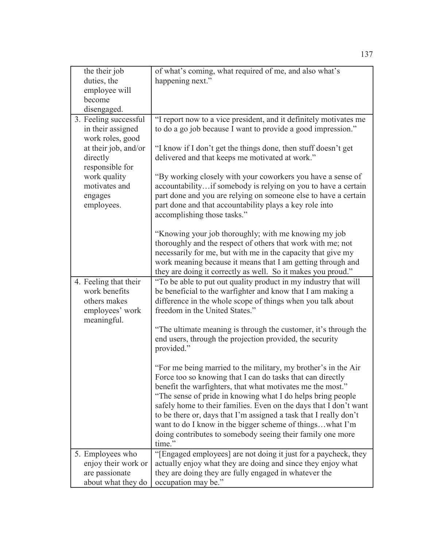| the their job                                                                            | of what's coming, what required of me, and also what's                                                                                                                                                                                                                                                                                                                                                                                                                                                                                  |
|------------------------------------------------------------------------------------------|-----------------------------------------------------------------------------------------------------------------------------------------------------------------------------------------------------------------------------------------------------------------------------------------------------------------------------------------------------------------------------------------------------------------------------------------------------------------------------------------------------------------------------------------|
| duties, the                                                                              | happening next."                                                                                                                                                                                                                                                                                                                                                                                                                                                                                                                        |
| employee will                                                                            |                                                                                                                                                                                                                                                                                                                                                                                                                                                                                                                                         |
| become                                                                                   |                                                                                                                                                                                                                                                                                                                                                                                                                                                                                                                                         |
| disengaged.                                                                              |                                                                                                                                                                                                                                                                                                                                                                                                                                                                                                                                         |
| 3. Feeling successful<br>in their assigned<br>work roles, good                           | "I report now to a vice president, and it definitely motivates me<br>to do a go job because I want to provide a good impression."                                                                                                                                                                                                                                                                                                                                                                                                       |
| at their job, and/or<br>directly<br>responsible for                                      | "I know if I don't get the things done, then stuff doesn't get<br>delivered and that keeps me motivated at work."                                                                                                                                                                                                                                                                                                                                                                                                                       |
| work quality<br>motivates and<br>engages<br>employees.                                   | "By working closely with your coworkers you have a sense of<br>accountabilityif somebody is relying on you to have a certain<br>part done and you are relying on someone else to have a certain<br>part done and that accountability plays a key role into<br>accomplishing those tasks."                                                                                                                                                                                                                                               |
|                                                                                          | "Knowing your job thoroughly; with me knowing my job<br>thoroughly and the respect of others that work with me; not<br>necessarily for me, but with me in the capacity that give my<br>work meaning because it means that I am getting through and<br>they are doing it correctly as well. So it makes you proud."                                                                                                                                                                                                                      |
| 4. Feeling that their<br>work benefits<br>others makes<br>employees' work<br>meaningful. | "To be able to put out quality product in my industry that will<br>be beneficial to the warfighter and know that I am making a<br>difference in the whole scope of things when you talk about<br>freedom in the United States."                                                                                                                                                                                                                                                                                                         |
|                                                                                          | "The ultimate meaning is through the customer, it's through the<br>end users, through the projection provided, the security<br>provided."                                                                                                                                                                                                                                                                                                                                                                                               |
|                                                                                          | "For me being married to the military, my brother's in the Air<br>Force too so knowing that I can do tasks that can directly<br>benefit the warfighters, that what motivates me the most."<br>"The sense of pride in knowing what I do helps bring people<br>safely home to their families. Even on the days that I don't want<br>to be there or, days that I'm assigned a task that I really don't<br>want to do I know in the bigger scheme of thingswhat I'm<br>doing contributes to somebody seeing their family one more<br>time." |
| 5. Employees who                                                                         | "[Engaged employees] are not doing it just for a paycheck, they                                                                                                                                                                                                                                                                                                                                                                                                                                                                         |
| enjoy their work or                                                                      | actually enjoy what they are doing and since they enjoy what                                                                                                                                                                                                                                                                                                                                                                                                                                                                            |
| are passionate                                                                           | they are doing they are fully engaged in whatever the                                                                                                                                                                                                                                                                                                                                                                                                                                                                                   |
| about what they do                                                                       | occupation may be."                                                                                                                                                                                                                                                                                                                                                                                                                                                                                                                     |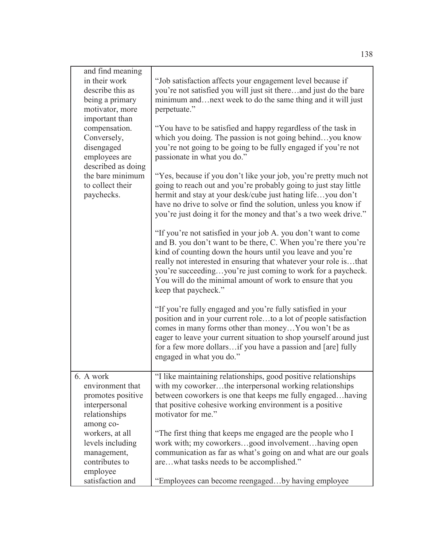| and find meaning<br>in their work<br>describe this as<br>being a primary<br>motivator, more<br>important than<br>compensation.<br>Conversely,<br>disengaged<br>employees are<br>described as doing<br>the bare minimum<br>to collect their<br>paychecks. | "Job satisfaction affects your engagement level because if<br>you're not satisfied you will just sit thereand just do the bare<br>minimum andnext week to do the same thing and it will just<br>perpetuate."<br>"You have to be satisfied and happy regardless of the task in<br>which you doing. The passion is not going behindyou know<br>you're not going to be going to be fully engaged if you're not<br>passionate in what you do."<br>"Yes, because if you don't like your job, you're pretty much not<br>going to reach out and you're probably going to just stay little<br>hermit and stay at your desk/cube just hating lifeyou don't<br>have no drive to solve or find the solution, unless you know if<br>you're just doing it for the money and that's a two week drive."<br>"If you're not satisfied in your job A. you don't want to come<br>and B. you don't want to be there, C. When you're there you're<br>kind of counting down the hours until you leave and you're<br>really not interested in ensuring that whatever your role isthat<br>you're succeedingyou're just coming to work for a paycheck.<br>You will do the minimal amount of work to ensure that you<br>keep that paycheck."<br>"If you're fully engaged and you're fully satisfied in your<br>position and in your current roleto a lot of people satisfaction<br>comes in many forms other than money You won't be as |
|----------------------------------------------------------------------------------------------------------------------------------------------------------------------------------------------------------------------------------------------------------|---------------------------------------------------------------------------------------------------------------------------------------------------------------------------------------------------------------------------------------------------------------------------------------------------------------------------------------------------------------------------------------------------------------------------------------------------------------------------------------------------------------------------------------------------------------------------------------------------------------------------------------------------------------------------------------------------------------------------------------------------------------------------------------------------------------------------------------------------------------------------------------------------------------------------------------------------------------------------------------------------------------------------------------------------------------------------------------------------------------------------------------------------------------------------------------------------------------------------------------------------------------------------------------------------------------------------------------------------------------------------------------------------------------|
|                                                                                                                                                                                                                                                          | eager to leave your current situation to shop yourself around just<br>for a few more dollarsif you have a passion and [are] fully<br>engaged in what you do."                                                                                                                                                                                                                                                                                                                                                                                                                                                                                                                                                                                                                                                                                                                                                                                                                                                                                                                                                                                                                                                                                                                                                                                                                                                 |
| 6. A work<br>environment that<br>promotes positive<br>interpersonal<br>relationships<br>among co-                                                                                                                                                        | "I like maintaining relationships, good positive relationships<br>with my coworkerthe interpersonal working relationships<br>between coworkers is one that keeps me fully engagedhaving<br>that positive cohesive working environment is a positive<br>motivator for me."                                                                                                                                                                                                                                                                                                                                                                                                                                                                                                                                                                                                                                                                                                                                                                                                                                                                                                                                                                                                                                                                                                                                     |
| workers, at all<br>levels including<br>management,<br>contributes to<br>employee                                                                                                                                                                         | "The first thing that keeps me engaged are the people who I<br>work with; my coworkersgood involvementhaving open<br>communication as far as what's going on and what are our goals<br>arewhat tasks needs to be accomplished."                                                                                                                                                                                                                                                                                                                                                                                                                                                                                                                                                                                                                                                                                                                                                                                                                                                                                                                                                                                                                                                                                                                                                                               |
| satisfaction and                                                                                                                                                                                                                                         | "Employees can become reengagedby having employee                                                                                                                                                                                                                                                                                                                                                                                                                                                                                                                                                                                                                                                                                                                                                                                                                                                                                                                                                                                                                                                                                                                                                                                                                                                                                                                                                             |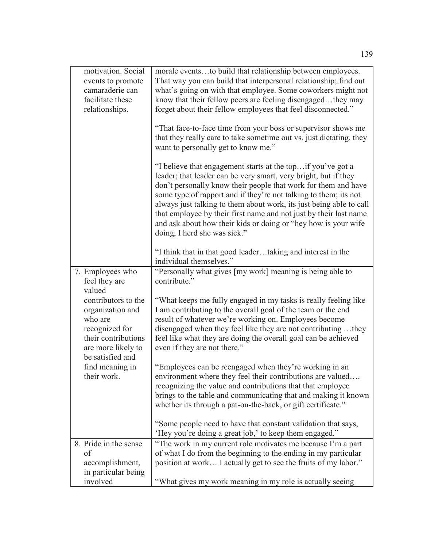| motivation. Social<br>events to promote<br>camaraderie can<br>facilitate these<br>relationships.                                                                                                                       | morale eventsto build that relationship between employees.<br>That way you can build that interpersonal relationship; find out<br>what's going on with that employee. Some coworkers might not<br>know that their fellow peers are feeling disengagedthey may<br>forget about their fellow employees that feel disconnected."<br>"That face-to-face time from your boss or supervisor shows me<br>that they really care to take sometime out vs. just dictating, they<br>want to personally get to know me."<br>"I believe that engagement starts at the top if you've got a<br>leader; that leader can be very smart, very bright, but if they<br>don't personally know their people that work for them and have<br>some type of rapport and if they're not talking to them; its not<br>always just talking to them about work, its just being able to call<br>that employee by their first name and not just by their last name<br>and ask about how their kids or doing or "hey how is your wife<br>doing, I herd she was sick." |
|------------------------------------------------------------------------------------------------------------------------------------------------------------------------------------------------------------------------|-------------------------------------------------------------------------------------------------------------------------------------------------------------------------------------------------------------------------------------------------------------------------------------------------------------------------------------------------------------------------------------------------------------------------------------------------------------------------------------------------------------------------------------------------------------------------------------------------------------------------------------------------------------------------------------------------------------------------------------------------------------------------------------------------------------------------------------------------------------------------------------------------------------------------------------------------------------------------------------------------------------------------------------|
|                                                                                                                                                                                                                        | "I think that in that good leadertaking and interest in the<br>individual themselves."                                                                                                                                                                                                                                                                                                                                                                                                                                                                                                                                                                                                                                                                                                                                                                                                                                                                                                                                              |
| 7. Employees who<br>feel they are<br>valued<br>contributors to the<br>organization and<br>who are<br>recognized for<br>their contributions<br>are more likely to<br>be satisfied and<br>find meaning in<br>their work. | "Personally what gives [my work] meaning is being able to<br>contribute."<br>"What keeps me fully engaged in my tasks is really feeling like<br>I am contributing to the overall goal of the team or the end<br>result of whatever we're working on. Employees become<br>disengaged when they feel like they are not contributing they<br>feel like what they are doing the overall goal can be achieved<br>even if they are not there."<br>"Employees can be reengaged when they're working in an<br>environment where they feel their contributions are valued<br>recognizing the value and contributions that that employee<br>brings to the table and communicating that and making it known<br>whether its through a pat-on-the-back, or gift certificate."<br>"Some people need to have that constant validation that says,<br>'Hey you're doing a great job,' to keep them engaged."                                                                                                                                         |
| 8. Pride in the sense<br>of<br>accomplishment,<br>in particular being<br>involved                                                                                                                                      | "The work in my current role motivates me because I'm a part<br>of what I do from the beginning to the ending in my particular<br>position at work I actually get to see the fruits of my labor."<br>"What gives my work meaning in my role is actually seeing                                                                                                                                                                                                                                                                                                                                                                                                                                                                                                                                                                                                                                                                                                                                                                      |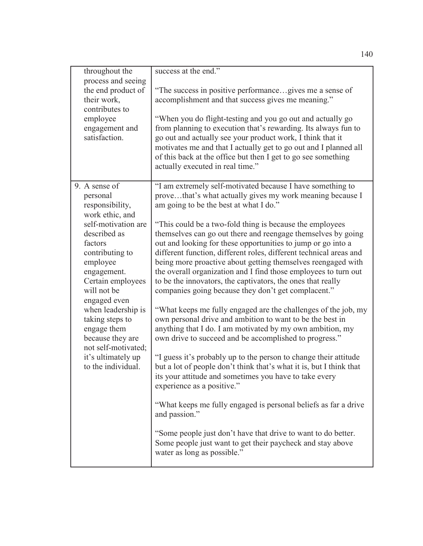| throughout the<br>process and seeing<br>the end product of<br>their work,<br>contributes to<br>employee<br>engagement and<br>satisfaction.                                                                                                                                                                                                                         | success at the end."<br>"The success in positive performancegives me a sense of<br>accomplishment and that success gives me meaning."<br>"When you do flight-testing and you go out and actually go<br>from planning to execution that's rewarding. Its always fun to<br>go out and actually see your product work, I think that it<br>motivates me and that I actually get to go out and I planned all<br>of this back at the office but then I get to go see something<br>actually executed in real time."                                                                                                                                                                                                                                                                                                                                                                                                                                                                                                                                                                                                                                                                                                                                                                                                                                                                                                                             |
|--------------------------------------------------------------------------------------------------------------------------------------------------------------------------------------------------------------------------------------------------------------------------------------------------------------------------------------------------------------------|------------------------------------------------------------------------------------------------------------------------------------------------------------------------------------------------------------------------------------------------------------------------------------------------------------------------------------------------------------------------------------------------------------------------------------------------------------------------------------------------------------------------------------------------------------------------------------------------------------------------------------------------------------------------------------------------------------------------------------------------------------------------------------------------------------------------------------------------------------------------------------------------------------------------------------------------------------------------------------------------------------------------------------------------------------------------------------------------------------------------------------------------------------------------------------------------------------------------------------------------------------------------------------------------------------------------------------------------------------------------------------------------------------------------------------------|
| 9. A sense of<br>personal<br>responsibility,<br>work ethic, and<br>self-motivation are<br>described as<br>factors<br>contributing to<br>employee<br>engagement.<br>Certain employees<br>will not be<br>engaged even<br>when leadership is<br>taking steps to<br>engage them<br>because they are<br>not self-motivated;<br>it's ultimately up<br>to the individual. | "I am extremely self-motivated because I have something to<br>provethat's what actually gives my work meaning because I<br>am going to be the best at what I do."<br>"This could be a two-fold thing is because the employees<br>themselves can go out there and reengage themselves by going<br>out and looking for these opportunities to jump or go into a<br>different function, different roles, different technical areas and<br>being more proactive about getting themselves reengaged with<br>the overall organization and I find those employees to turn out<br>to be the innovators, the captivators, the ones that really<br>companies going because they don't get complacent."<br>"What keeps me fully engaged are the challenges of the job, my<br>own personal drive and ambition to want to be the best in<br>anything that I do. I am motivated by my own ambition, my<br>own drive to succeed and be accomplished to progress."<br>"I guess it's probably up to the person to change their attitude<br>but a lot of people don't think that's what it is, but I think that<br>its your attitude and sometimes you have to take every<br>experience as a positive."<br>"What keeps me fully engaged is personal beliefs as far a drive"<br>and passion."<br>"Some people just don't have that drive to want to do better.<br>Some people just want to get their paycheck and stay above<br>water as long as possible." |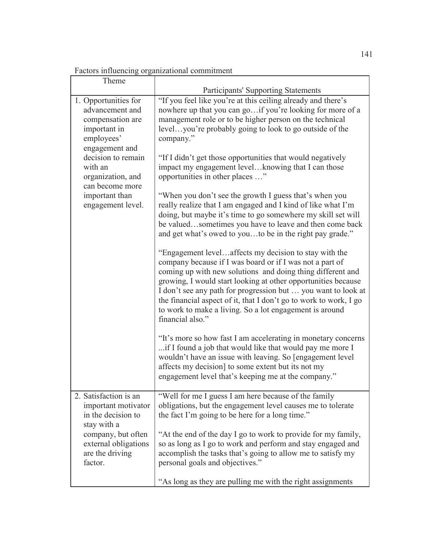|  | Factors influencing organizational commitment |  |
|--|-----------------------------------------------|--|
|  |                                               |  |

| Theme                                                                                                                                                                                                                       | <b>Participants' Supporting Statements</b>                                                                                                                                                                                                                                                                                                                                                                                                                                                                                                                                                                                                                                                                                                                                                                                                                                                                                                                                                                                                                                                                                                                                                                                                                                                                                                                                                                                                                                                                              |  |
|-----------------------------------------------------------------------------------------------------------------------------------------------------------------------------------------------------------------------------|-------------------------------------------------------------------------------------------------------------------------------------------------------------------------------------------------------------------------------------------------------------------------------------------------------------------------------------------------------------------------------------------------------------------------------------------------------------------------------------------------------------------------------------------------------------------------------------------------------------------------------------------------------------------------------------------------------------------------------------------------------------------------------------------------------------------------------------------------------------------------------------------------------------------------------------------------------------------------------------------------------------------------------------------------------------------------------------------------------------------------------------------------------------------------------------------------------------------------------------------------------------------------------------------------------------------------------------------------------------------------------------------------------------------------------------------------------------------------------------------------------------------------|--|
| 1. Opportunities for<br>advancement and<br>compensation are<br>important in<br>employees'<br>engagement and<br>decision to remain<br>with an<br>organization, and<br>can become more<br>important than<br>engagement level. | "If you feel like you're at this ceiling already and there's<br>nowhere up that you can go if you're looking for more of a<br>management role or to be higher person on the technical<br>levelyou're probably going to look to go outside of the<br>company."<br>"If I didn't get those opportunities that would negatively<br>impact my engagement levelknowing that I can those<br>opportunities in other places "<br>"When you don't see the growth I guess that's when you<br>really realize that I am engaged and I kind of like what I'm<br>doing, but maybe it's time to go somewhere my skill set will<br>be valuedsometimes you have to leave and then come back<br>and get what's owed to youto be in the right pay grade."<br>"Engagement levelaffects my decision to stay with the<br>company because if I was board or if I was not a part of<br>coming up with new solutions and doing thing different and<br>growing, I would start looking at other opportunities because<br>I don't see any path for progression but  you want to look at<br>the financial aspect of it, that I don't go to work to work, I go<br>to work to make a living. So a lot engagement is around<br>financial also."<br>"It's more so how fast I am accelerating in monetary concerns<br>if I found a job that would like that would pay me more I<br>wouldn't have an issue with leaving. So [engagement level]<br>affects my decision] to some extent but its not my<br>engagement level that's keeping me at the company." |  |
| 2. Satisfaction is an<br>important motivator<br>in the decision to<br>stay with a<br>company, but often<br>external obligations<br>are the driving<br>factor.                                                               | "Well for me I guess I am here because of the family<br>obligations, but the engagement level causes me to tolerate<br>the fact I'm going to be here for a long time."<br>"At the end of the day I go to work to provide for my family,<br>so as long as I go to work and perform and stay engaged and<br>accomplish the tasks that's going to allow me to satisfy my<br>personal goals and objectives."<br>"As long as they are pulling me with the right assignments                                                                                                                                                                                                                                                                                                                                                                                                                                                                                                                                                                                                                                                                                                                                                                                                                                                                                                                                                                                                                                                  |  |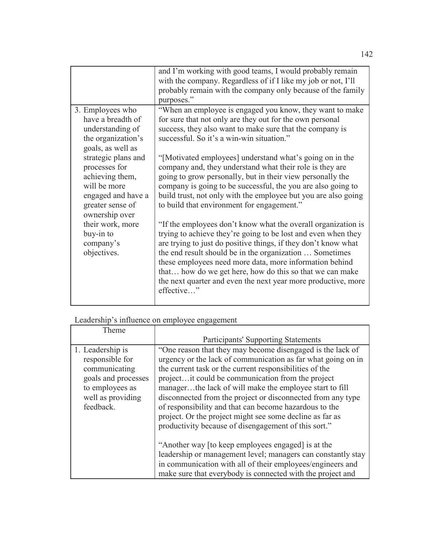|                                                                                                                                     | and I'm working with good teams, I would probably remain<br>with the company. Regardless of if I like my job or not, I'll<br>probably remain with the company only because of the family<br>purposes."                                                                                                                                                                                                                                                            |
|-------------------------------------------------------------------------------------------------------------------------------------|-------------------------------------------------------------------------------------------------------------------------------------------------------------------------------------------------------------------------------------------------------------------------------------------------------------------------------------------------------------------------------------------------------------------------------------------------------------------|
| 3. Employees who<br>have a breadth of<br>understanding of<br>the organization's<br>goals, as well as                                | "When an employee is engaged you know, they want to make<br>for sure that not only are they out for the own personal<br>success, they also want to make sure that the company is<br>successful. So it's a win-win situation."                                                                                                                                                                                                                                     |
| strategic plans and<br>processes for<br>achieving them,<br>will be more<br>engaged and have a<br>greater sense of<br>ownership over | "[Motivated employees] understand what's going on in the<br>company and, they understand what their role is they are<br>going to grow personally, but in their view personally the<br>company is going to be successful, the you are also going to<br>build trust, not only with the employee but you are also going<br>to build that environment for engagement."                                                                                                |
| their work, more<br>buy-in to<br>company's<br>objectives.                                                                           | "If the employees don't know what the overall organization is<br>trying to achieve they're going to be lost and even when they<br>are trying to just do positive things, if they don't know what<br>the end result should be in the organization  Sometimes<br>these employees need more data, more information behind<br>that how do we get here, how do this so that we can make<br>the next quarter and even the next year more productive, more<br>effective" |

## Leadership's influence on employee engagement

| Theme                                                                                                                            |                                                                                                                                                                                                                                                                                                                                                                                                                                                                                                                                                     |
|----------------------------------------------------------------------------------------------------------------------------------|-----------------------------------------------------------------------------------------------------------------------------------------------------------------------------------------------------------------------------------------------------------------------------------------------------------------------------------------------------------------------------------------------------------------------------------------------------------------------------------------------------------------------------------------------------|
|                                                                                                                                  | <b>Participants' Supporting Statements</b>                                                                                                                                                                                                                                                                                                                                                                                                                                                                                                          |
| 1. Leadership is<br>responsible for<br>communicating<br>goals and processes<br>to employees as<br>well as providing<br>feedback. | "One reason that they may become disengaged is the lack of<br>urgency or the lack of communication as far what going on in<br>the current task or the current responsibilities of the<br>project it could be communication from the project<br>managerthe lack of will make the employee start to fill<br>disconnected from the project or disconnected from any type<br>of responsibility and that can become hazardous to the<br>project. Or the project might see some decline as far as<br>productivity because of disengagement of this sort." |
|                                                                                                                                  | "Another way [to keep employees engaged] is at the<br>leadership or management level; managers can constantly stay<br>in communication with all of their employees/engineers and<br>make sure that everybody is connected with the project and                                                                                                                                                                                                                                                                                                      |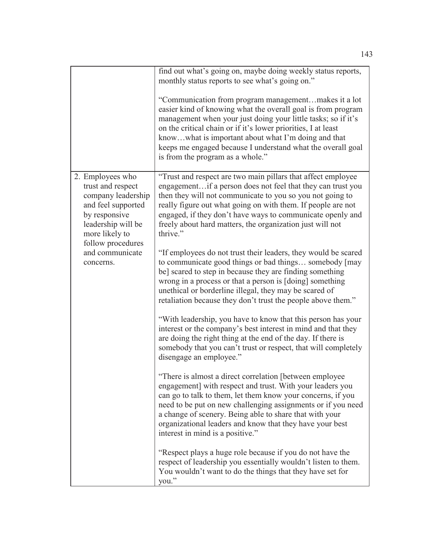|                                                                                                                                                                                                 | find out what's going on, maybe doing weekly status reports,<br>monthly status reports to see what's going on."<br>"Communication from program managementmakes it a lot<br>easier kind of knowing what the overall goal is from program<br>management when your just doing your little tasks; so if it's<br>on the critical chain or if it's lower priorities, I at least<br>knowwhat is important about what I'm doing and that<br>keeps me engaged because I understand what the overall goal<br>is from the program as a whole."                                                                                                                                                                                                                                                                                                                                                                                                                                                                                                                                                                                                                                                                                                                                                                                                                                                                                                                                                                                                                                                                                                                                                                |
|-------------------------------------------------------------------------------------------------------------------------------------------------------------------------------------------------|----------------------------------------------------------------------------------------------------------------------------------------------------------------------------------------------------------------------------------------------------------------------------------------------------------------------------------------------------------------------------------------------------------------------------------------------------------------------------------------------------------------------------------------------------------------------------------------------------------------------------------------------------------------------------------------------------------------------------------------------------------------------------------------------------------------------------------------------------------------------------------------------------------------------------------------------------------------------------------------------------------------------------------------------------------------------------------------------------------------------------------------------------------------------------------------------------------------------------------------------------------------------------------------------------------------------------------------------------------------------------------------------------------------------------------------------------------------------------------------------------------------------------------------------------------------------------------------------------------------------------------------------------------------------------------------------------|
| 2. Employees who<br>trust and respect<br>company leadership<br>and feel supported<br>by responsive<br>leadership will be<br>more likely to<br>follow procedures<br>and communicate<br>concerns. | "Trust and respect are two main pillars that affect employee<br>engagementif a person does not feel that they can trust you<br>then they will not communicate to you so you not going to<br>really figure out what going on with them. If people are not<br>engaged, if they don't have ways to communicate openly and<br>freely about hard matters, the organization just will not<br>thrive."<br>"If employees do not trust their leaders, they would be scared<br>to communicate good things or bad things somebody [may<br>be] scared to step in because they are finding something<br>wrong in a process or that a person is [doing] something<br>unethical or borderline illegal, they may be scared of<br>retaliation because they don't trust the people above them."<br>"With leadership, you have to know that this person has your<br>interest or the company's best interest in mind and that they<br>are doing the right thing at the end of the day. If there is<br>somebody that you can't trust or respect, that will completely<br>disengage an employee."<br>"There is almost a direct correlation [between employee<br>engagement] with respect and trust. With your leaders you<br>can go to talk to them, let them know your concerns, if you<br>need to be put on new challenging assignments or if you need<br>a change of scenery. Being able to share that with your<br>organizational leaders and know that they have your best<br>interest in mind is a positive."<br>"Respect plays a huge role because if you do not have the<br>respect of leadership you essentially wouldn't listen to them.<br>You wouldn't want to do the things that they have set for<br>you." |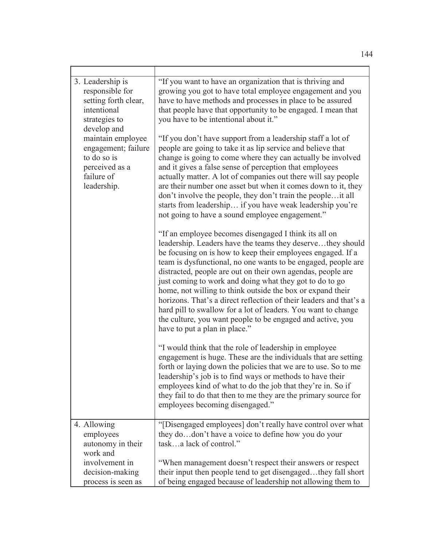| 3. Leadership is<br>responsible for<br>setting forth clear,<br>intentional<br>strategies to<br>develop and<br>maintain employee<br>engagement; failure<br>to do so is<br>perceived as a<br>failure of<br>leadership. | "If you want to have an organization that is thriving and<br>growing you got to have total employee engagement and you<br>have to have methods and processes in place to be assured<br>that people have that opportunity to be engaged. I mean that<br>you have to be intentional about it."<br>"If you don't have support from a leadership staff a lot of<br>people are going to take it as lip service and believe that<br>change is going to come where they can actually be involved<br>and it gives a false sense of perception that employees<br>actually matter. A lot of companies out there will say people<br>are their number one asset but when it comes down to it, they<br>don't involve the people, they don't train the people it all<br>starts from leadership if you have weak leadership you're<br>not going to have a sound employee engagement."<br>"If an employee becomes disengaged I think its all on<br>leadership. Leaders have the teams they deservethey should<br>be focusing on is how to keep their employees engaged. If a<br>team is dysfunctional, no one wants to be engaged, people are<br>distracted, people are out on their own agendas, people are<br>just coming to work and doing what they got to do to go<br>home, not willing to think outside the box or expand their<br>horizons. That's a direct reflection of their leaders and that's a<br>hard pill to swallow for a lot of leaders. You want to change<br>the culture, you want people to be engaged and active, you<br>have to put a plan in place."<br>"I would think that the role of leadership in employee<br>engagement is huge. These are the individuals that are setting<br>forth or laying down the policies that we are to use. So to me<br>leadership's job is to find ways or methods to have their<br>employees kind of what to do the job that they're in. So if<br>they fail to do that then to me they are the primary source for<br>employees becoming disengaged." |
|----------------------------------------------------------------------------------------------------------------------------------------------------------------------------------------------------------------------|---------------------------------------------------------------------------------------------------------------------------------------------------------------------------------------------------------------------------------------------------------------------------------------------------------------------------------------------------------------------------------------------------------------------------------------------------------------------------------------------------------------------------------------------------------------------------------------------------------------------------------------------------------------------------------------------------------------------------------------------------------------------------------------------------------------------------------------------------------------------------------------------------------------------------------------------------------------------------------------------------------------------------------------------------------------------------------------------------------------------------------------------------------------------------------------------------------------------------------------------------------------------------------------------------------------------------------------------------------------------------------------------------------------------------------------------------------------------------------------------------------------------------------------------------------------------------------------------------------------------------------------------------------------------------------------------------------------------------------------------------------------------------------------------------------------------------------------------------------------------------------------------------------------------------------------------------------------------------------------------|
|                                                                                                                                                                                                                      |                                                                                                                                                                                                                                                                                                                                                                                                                                                                                                                                                                                                                                                                                                                                                                                                                                                                                                                                                                                                                                                                                                                                                                                                                                                                                                                                                                                                                                                                                                                                                                                                                                                                                                                                                                                                                                                                                                                                                                                             |
| 4. Allowing<br>employees<br>autonomy in their<br>work and                                                                                                                                                            | "[Disengaged employees] don't really have control over what<br>they dodon't have a voice to define how you do your<br>taska lack of control."                                                                                                                                                                                                                                                                                                                                                                                                                                                                                                                                                                                                                                                                                                                                                                                                                                                                                                                                                                                                                                                                                                                                                                                                                                                                                                                                                                                                                                                                                                                                                                                                                                                                                                                                                                                                                                               |
| involvement in<br>decision-making<br>process is seen as                                                                                                                                                              | "When management doesn't respect their answers or respect<br>their input then people tend to get disengagedthey fall short<br>of being engaged because of leadership not allowing them to                                                                                                                                                                                                                                                                                                                                                                                                                                                                                                                                                                                                                                                                                                                                                                                                                                                                                                                                                                                                                                                                                                                                                                                                                                                                                                                                                                                                                                                                                                                                                                                                                                                                                                                                                                                                   |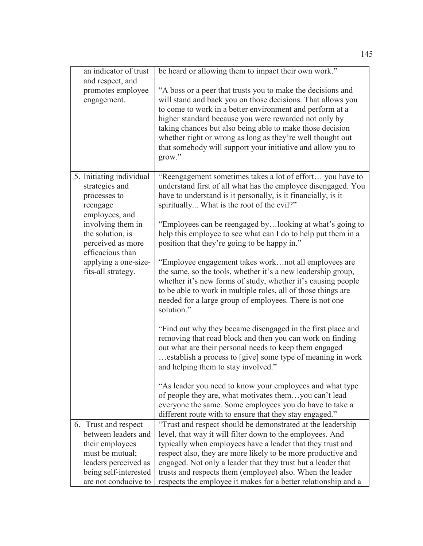| an indicator of trust<br>and respect, and<br>promotes employee<br>engagement.                                                                                                                                            | be heard or allowing them to impact their own work."<br>"A boss or a peer that trusts you to make the decisions and<br>will stand and back you on those decisions. That allows you<br>to come to work in a better environment and perform at a<br>higher standard because you were rewarded not only by<br>taking chances but also being able to make those decision<br>whether right or wrong as long as they're well thought out<br>that somebody will support your initiative and allow you to<br>grow."                                                                                                                                                                                                                                                                                                                                                                                                                                                                                                                                                                                                                                                                                                                                                                                    |
|--------------------------------------------------------------------------------------------------------------------------------------------------------------------------------------------------------------------------|------------------------------------------------------------------------------------------------------------------------------------------------------------------------------------------------------------------------------------------------------------------------------------------------------------------------------------------------------------------------------------------------------------------------------------------------------------------------------------------------------------------------------------------------------------------------------------------------------------------------------------------------------------------------------------------------------------------------------------------------------------------------------------------------------------------------------------------------------------------------------------------------------------------------------------------------------------------------------------------------------------------------------------------------------------------------------------------------------------------------------------------------------------------------------------------------------------------------------------------------------------------------------------------------|
| 5. Initiating individual<br>strategies and<br>processes to<br>reengage<br>employees, and<br>involving them in<br>the solution, is<br>perceived as more<br>efficacious than<br>applying a one-size-<br>fits-all strategy. | "Reengagement sometimes takes a lot of effort you have to<br>understand first of all what has the employee disengaged. You<br>have to understand is it personally, is it financially, is it<br>spiritually What is the root of the evil?"<br>"Employees can be reengaged bylooking at what's going to<br>help this employee to see what can I do to help put them in a<br>position that they're going to be happy in."<br>"Employee engagement takes worknot all employees are<br>the same, so the tools, whether it's a new leadership group,<br>whether it's new forms of study, whether it's causing people<br>to be able to work in multiple roles, all of those things are<br>needed for a large group of employees. There is not one<br>solution."<br>"Find out why they became disengaged in the first place and<br>removing that road block and then you can work on finding<br>out what are their personal needs to keep them engaged<br>establish a process to [give] some type of meaning in work<br>and helping them to stay involved."<br>"As leader you need to know your employees and what type<br>of people they are, what motivates themyou can't lead<br>everyone the same. Some employees you do have to take a<br>different route with to ensure that they stay engaged." |
| 6. Trust and respect<br>between leaders and<br>their employees<br>must be mutual;<br>leaders perceived as<br>being self-interested<br>are not conducive to                                                               | "Trust and respect should be demonstrated at the leadership<br>level, that way it will filter down to the employees. And<br>typically when employees have a leader that they trust and<br>respect also, they are more likely to be more productive and<br>engaged. Not only a leader that they trust but a leader that<br>trusts and respects them (employee) also. When the leader<br>respects the employee it makes for a better relationship and a                                                                                                                                                                                                                                                                                                                                                                                                                                                                                                                                                                                                                                                                                                                                                                                                                                          |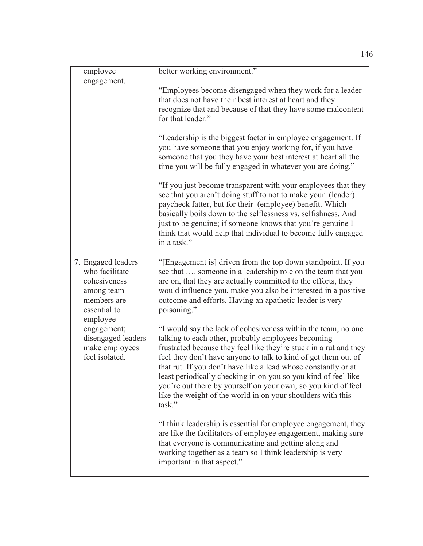| employee                                                                                                      | better working environment."                                                                                                                                                                                                                                                                                                                                                                                                                                                                                                             |
|---------------------------------------------------------------------------------------------------------------|------------------------------------------------------------------------------------------------------------------------------------------------------------------------------------------------------------------------------------------------------------------------------------------------------------------------------------------------------------------------------------------------------------------------------------------------------------------------------------------------------------------------------------------|
| engagement.                                                                                                   | "Employees become disengaged when they work for a leader<br>that does not have their best interest at heart and they<br>recognize that and because of that they have some malcontent<br>for that leader."                                                                                                                                                                                                                                                                                                                                |
|                                                                                                               | "Leadership is the biggest factor in employee engagement. If<br>you have someone that you enjoy working for, if you have<br>someone that you they have your best interest at heart all the<br>time you will be fully engaged in whatever you are doing."                                                                                                                                                                                                                                                                                 |
|                                                                                                               | "If you just become transparent with your employees that they<br>see that you aren't doing stuff to not to make your (leader)<br>paycheck fatter, but for their (employee) benefit. Which<br>basically boils down to the selflessness vs. selfishness. And<br>just to be genuine; if someone knows that you're genuine I<br>think that would help that individual to become fully engaged<br>in a task."                                                                                                                                 |
| 7. Engaged leaders<br>who facilitate<br>cohesiveness<br>among team<br>members are<br>essential to<br>employee | "[Engagement is] driven from the top down standpoint. If you<br>see that  someone in a leadership role on the team that you<br>are on, that they are actually committed to the efforts, they<br>would influence you, make you also be interested in a positive<br>outcome and efforts. Having an apathetic leader is very<br>poisoning."                                                                                                                                                                                                 |
| engagement;<br>disengaged leaders<br>make employees<br>feel isolated.                                         | "I would say the lack of cohesiveness within the team, no one<br>talking to each other, probably employees becoming<br>frustrated because they feel like they're stuck in a rut and they<br>feel they don't have anyone to talk to kind of get them out of<br>that rut. If you don't have like a lead whose constantly or at<br>least periodically checking in on you so you kind of feel like<br>you're out there by yourself on your own; so you kind of feel<br>like the weight of the world in on your shoulders with this<br>task." |
|                                                                                                               | "I think leadership is essential for employee engagement, they<br>are like the facilitators of employee engagement, making sure<br>that everyone is communicating and getting along and<br>working together as a team so I think leadership is very<br>important in that aspect."                                                                                                                                                                                                                                                        |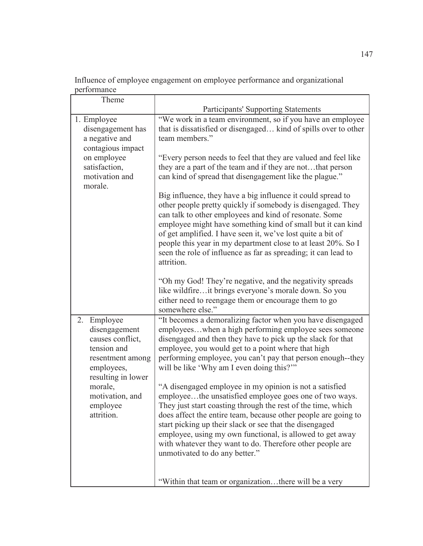Influence of employee engagement on employee performance and organizational performance

| Theme                                                                                                                      |                                                                                                                                                                                                                                                                                                                                                                                                                                                                            |
|----------------------------------------------------------------------------------------------------------------------------|----------------------------------------------------------------------------------------------------------------------------------------------------------------------------------------------------------------------------------------------------------------------------------------------------------------------------------------------------------------------------------------------------------------------------------------------------------------------------|
|                                                                                                                            | <b>Participants' Supporting Statements</b>                                                                                                                                                                                                                                                                                                                                                                                                                                 |
| 1. Employee<br>disengagement has<br>a negative and<br>contagious impact                                                    | "We work in a team environment, so if you have an employee<br>that is dissatisfied or disengaged kind of spills over to other<br>team members."                                                                                                                                                                                                                                                                                                                            |
| on employee<br>satisfaction,<br>motivation and<br>morale.                                                                  | "Every person needs to feel that they are valued and feel like<br>they are a part of the team and if they are notthat person<br>can kind of spread that disengagement like the plague."                                                                                                                                                                                                                                                                                    |
|                                                                                                                            | Big influence, they have a big influence it could spread to<br>other people pretty quickly if somebody is disengaged. They<br>can talk to other employees and kind of resonate. Some<br>employee might have something kind of small but it can kind<br>of get amplified. I have seen it, we've lost quite a bit of<br>people this year in my department close to at least 20%. So I<br>seen the role of influence as far as spreading; it can lead to<br>attrition.        |
|                                                                                                                            | "Oh my God! They're negative, and the negativity spreads<br>like wildfireit brings everyone's morale down. So you<br>either need to reengage them or encourage them to go<br>somewhere else."                                                                                                                                                                                                                                                                              |
| 2.<br>Employee<br>disengagement<br>causes conflict,<br>tension and<br>resentment among<br>employees,<br>resulting in lower | "It becomes a demoralizing factor when you have disengaged<br>employeeswhen a high performing employee sees someone<br>disengaged and then they have to pick up the slack for that<br>employee, you would get to a point where that high<br>performing employee, you can't pay that person enough--they<br>will be like 'Why am I even doing this?"                                                                                                                        |
| morale,<br>motivation, and<br>employee<br>attrition.                                                                       | "A disengaged employee in my opinion is not a satisfied<br>employeethe unsatisfied employee goes one of two ways.<br>They just start coasting through the rest of the time, which<br>does affect the entire team, because other people are going to<br>start picking up their slack or see that the disengaged<br>employee, using my own functional, is allowed to get away<br>with whatever they want to do. Therefore other people are<br>unmotivated to do any better." |
|                                                                                                                            | "Within that team or organizationthere will be a very                                                                                                                                                                                                                                                                                                                                                                                                                      |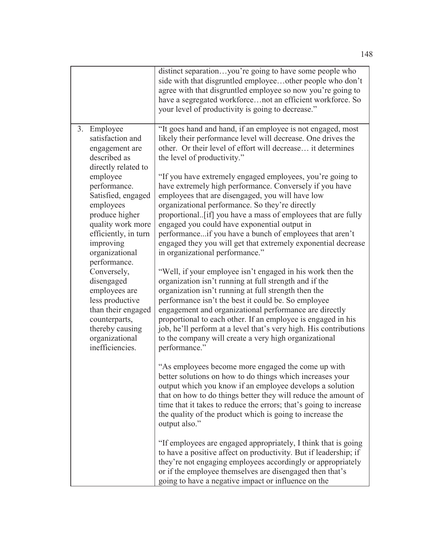|                                                                                                                                                                                                                                                                                                                                                                                                                                       | distinct separationyou're going to have some people who<br>side with that disgruntled employeeother people who don't<br>agree with that disgruntled employee so now you're going to<br>have a segregated workforcenot an efficient workforce. So<br>your level of productivity is going to decrease."                                                                                                                                                                                                                                                                                                                                                                                                                                                                                                                                                                                                                                                                                                                                                                                                                                                                                                                                                                                                                                                                                                                                                                                                                                                                                                                                                                                                                                                                                                                                                                                                                          |
|---------------------------------------------------------------------------------------------------------------------------------------------------------------------------------------------------------------------------------------------------------------------------------------------------------------------------------------------------------------------------------------------------------------------------------------|--------------------------------------------------------------------------------------------------------------------------------------------------------------------------------------------------------------------------------------------------------------------------------------------------------------------------------------------------------------------------------------------------------------------------------------------------------------------------------------------------------------------------------------------------------------------------------------------------------------------------------------------------------------------------------------------------------------------------------------------------------------------------------------------------------------------------------------------------------------------------------------------------------------------------------------------------------------------------------------------------------------------------------------------------------------------------------------------------------------------------------------------------------------------------------------------------------------------------------------------------------------------------------------------------------------------------------------------------------------------------------------------------------------------------------------------------------------------------------------------------------------------------------------------------------------------------------------------------------------------------------------------------------------------------------------------------------------------------------------------------------------------------------------------------------------------------------------------------------------------------------------------------------------------------------|
| 3. Employee<br>satisfaction and<br>engagement are<br>described as<br>directly related to<br>employee<br>performance.<br>Satisfied, engaged<br>employees<br>produce higher<br>quality work more<br>efficiently, in turn<br>improving<br>organizational<br>performance.<br>Conversely,<br>disengaged<br>employees are<br>less productive<br>than their engaged<br>counterparts,<br>thereby causing<br>organizational<br>inefficiencies. | "It goes hand and hand, if an employee is not engaged, most<br>likely their performance level will decrease. One drives the<br>other. Or their level of effort will decrease it determines<br>the level of productivity."<br>"If you have extremely engaged employees, you're going to<br>have extremely high performance. Conversely if you have<br>employees that are disengaged, you will have low<br>organizational performance. So they're directly<br>proportional. [if] you have a mass of employees that are fully<br>engaged you could have exponential output in<br>performanceif you have a bunch of employees that aren't<br>engaged they you will get that extremely exponential decrease<br>in organizational performance."<br>"Well, if your employee isn't engaged in his work then the<br>organization isn't running at full strength and if the<br>organization isn't running at full strength then the<br>performance isn't the best it could be. So employee<br>engagement and organizational performance are directly<br>proportional to each other. If an employee is engaged in his<br>job, he'll perform at a level that's very high. His contributions<br>to the company will create a very high organizational<br>performance."<br>"As employees become more engaged the come up with<br>better solutions on how to do things which increases your<br>output which you know if an employee develops a solution<br>that on how to do things better they will reduce the amount of<br>time that it takes to reduce the errors; that's going to increase<br>the quality of the product which is going to increase the<br>output also."<br>"If employees are engaged appropriately, I think that is going<br>to have a positive affect on productivity. But if leadership; if<br>they're not engaging employees accordingly or appropriately<br>or if the employee themselves are disengaged then that's |
|                                                                                                                                                                                                                                                                                                                                                                                                                                       | going to have a negative impact or influence on the                                                                                                                                                                                                                                                                                                                                                                                                                                                                                                                                                                                                                                                                                                                                                                                                                                                                                                                                                                                                                                                                                                                                                                                                                                                                                                                                                                                                                                                                                                                                                                                                                                                                                                                                                                                                                                                                            |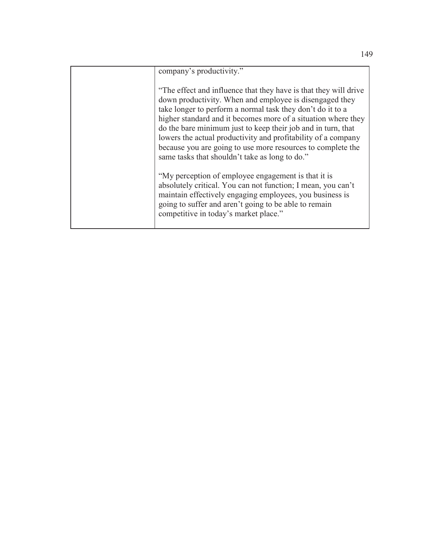| company's productivity."                                                                                                                                                                                                                                                                                                                                                                                                                                                                                     |
|--------------------------------------------------------------------------------------------------------------------------------------------------------------------------------------------------------------------------------------------------------------------------------------------------------------------------------------------------------------------------------------------------------------------------------------------------------------------------------------------------------------|
| "The effect and influence that they have is that they will drive<br>down productivity. When and employee is disengaged they<br>take longer to perform a normal task they don't do it to a<br>higher standard and it becomes more of a situation where they<br>do the bare minimum just to keep their job and in turn, that<br>lowers the actual productivity and profitability of a company<br>because you are going to use more resources to complete the<br>same tasks that shouldn't take as long to do." |
| "My perception of employee engagement is that it is<br>absolutely critical. You can not function; I mean, you can't<br>maintain effectively engaging employees, you business is<br>going to suffer and aren't going to be able to remain<br>competitive in today's market place."                                                                                                                                                                                                                            |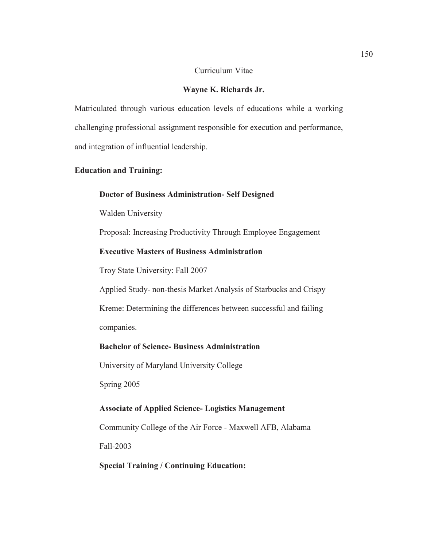#### Curriculum Vitae

#### **Wayne K. Richards Jr.**

Matriculated through various education levels of educations while a working challenging professional assignment responsible for execution and performance, and integration of influential leadership.

#### **Education and Training:**

#### **Doctor of Business Administration- Self Designed**

Walden University

Proposal: Increasing Productivity Through Employee Engagement

## **Executive Masters of Business Administration**

Troy State University: Fall 2007

 Applied Study- non-thesis Market Analysis of Starbucks and Crispy Kreme: Determining the differences between successful and failing

companies.

## **Bachelor of Science- Business Administration**

University of Maryland University College

Spring 2005

#### **Associate of Applied Science- Logistics Management**

Community College of the Air Force - Maxwell AFB, Alabama

Fall-2003

#### **Special Training / Continuing Education:**